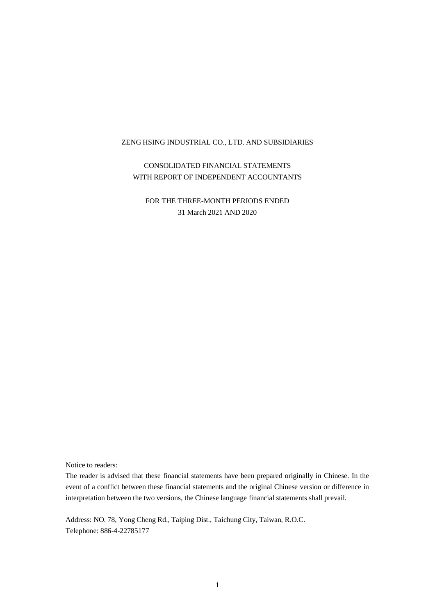CONSOLIDATED FINANCIAL STATEMENTS WITH REPORT OF INDEPENDENT ACCOUNTANTS

FOR THE THREE-MONTH PERIODS ENDED 31 March 2021 AND 2020

Notice to readers:

The reader is advised that these financial statements have been prepared originally in Chinese. In the event of a conflict between these financial statements and the original Chinese version or difference in interpretation between the two versions, the Chinese language financial statements shall prevail.

Address: NO. 78, Yong Cheng Rd., Taiping Dist., Taichung City, Taiwan, R.O.C. Telephone: 886-4-22785177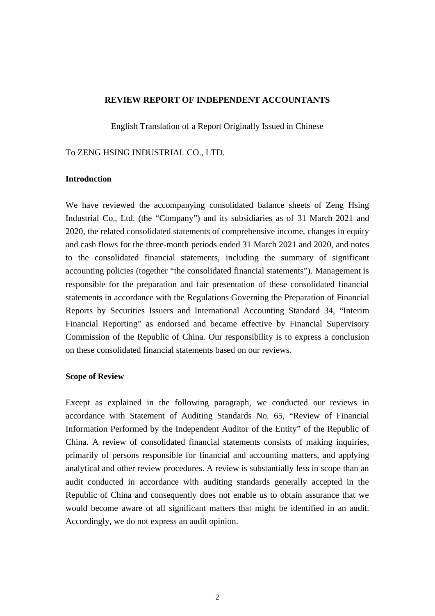#### **REVIEW REPORT OF INDEPENDENT ACCOUNTANTS**

English Translation of a Report Originally Issued in Chinese

#### To ZENG HSING INDUSTRIAL CO., LTD.

#### **Introduction**

We have reviewed the accompanying consolidated balance sheets of Zeng Hsing Industrial Co., Ltd. (the "Company") and its subsidiaries as of 31 March 2021 and 2020, the related consolidated statements of comprehensive income, changes in equity and cash flows for the three-month periods ended 31 March 2021 and 2020, and notes to the consolidated financial statements, including the summary of significant accounting policies (together "the consolidated financial statements"). Management is responsible for the preparation and fair presentation of these consolidated financial statements in accordance with the Regulations Governing the Preparation of Financial Reports by Securities Issuers and International Accounting Standard 34, "Interim Financial Reporting" as endorsed and became effective by Financial Supervisory Commission of the Republic of China. Our responsibility is to express a conclusion on these consolidated financial statements based on our reviews.

#### **Scope of Review**

Except as explained in the following paragraph, we conducted our reviews in accordance with Statement of Auditing Standards No. 65, "Review of Financial Information Performed by the Independent Auditor of the Entity" of the Republic of China. A review of consolidated financial statements consists of making inquiries, primarily of persons responsible for financial and accounting matters, and applying analytical and other review procedures. A review is substantially less in scope than an audit conducted in accordance with auditing standards generally accepted in the Republic of China and consequently does not enable us to obtain assurance that we would become aware of all significant matters that might be identified in an audit. Accordingly, we do not express an audit opinion.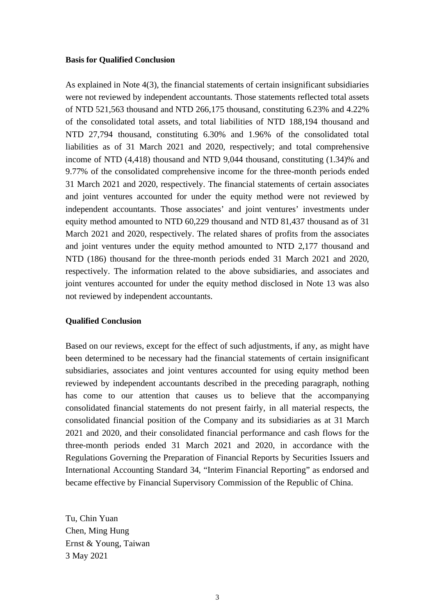#### **Basis for Qualified Conclusion**

As explained in Note 4(3), the financial statements of certain insignificant subsidiaries were not reviewed by independent accountants. Those statements reflected total assets of NTD 521,563 thousand and NTD 266,175 thousand, constituting 6.23% and 4.22% of the consolidated total assets, and total liabilities of NTD 188,194 thousand and NTD 27,794 thousand, constituting 6.30% and 1.96% of the consolidated total liabilities as of 31 March 2021 and 2020, respectively; and total comprehensive income of NTD (4,418) thousand and NTD 9,044 thousand, constituting (1.34)% and 9.77% of the consolidated comprehensive income for the three-month periods ended 31 March 2021 and 2020, respectively. The financial statements of certain associates and joint ventures accounted for under the equity method were not reviewed by independent accountants. Those associates' and joint ventures' investments under equity method amounted to NTD 60,229 thousand and NTD 81,437 thousand as of 31 March 2021 and 2020, respectively. The related shares of profits from the associates and joint ventures under the equity method amounted to NTD 2,177 thousand and NTD (186) thousand for the three-month periods ended 31 March 2021 and 2020, respectively. The information related to the above subsidiaries, and associates and joint ventures accounted for under the equity method disclosed in Note 13 was also not reviewed by independent accountants.

#### **Qualified Conclusion**

Based on our reviews, except for the effect of such adjustments, if any, as might have been determined to be necessary had the financial statements of certain insignificant subsidiaries, associates and joint ventures accounted for using equity method been reviewed by independent accountants described in the preceding paragraph, nothing has come to our attention that causes us to believe that the accompanying consolidated financial statements do not present fairly, in all material respects, the consolidated financial position of the Company and its subsidiaries as at 31 March 2021 and 2020, and their consolidated financial performance and cash flows for the three-month periods ended 31 March 2021 and 2020, in accordance with the Regulations Governing the Preparation of Financial Reports by Securities Issuers and International Accounting Standard 34, "Interim Financial Reporting" as endorsed and became effective by Financial Supervisory Commission of the Republic of China.

Tu, Chin Yuan Chen, Ming Hung Ernst & Young, Taiwan 3 May 2021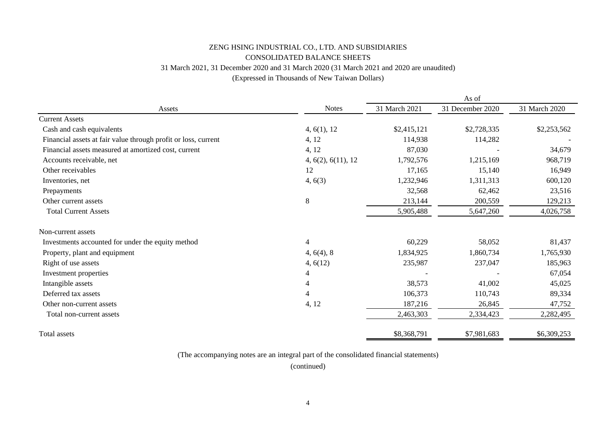# ZENG HSING INDUSTRIAL CO., LTD. AND SUBSIDIARIES 31 March 2021, 31 December 2020 and 31 March 2020 (31 March 2021 and 2020 are unaudited) (Expressed in Thousands of New Taiwan Dollars) CONSOLIDATED BALANCE SHEETS

| Assets                                                         | <b>Notes</b>       | 31 March 2021 | 31 December 2020 | 31 March 2020 |
|----------------------------------------------------------------|--------------------|---------------|------------------|---------------|
| <b>Current Assets</b>                                          |                    |               |                  |               |
| Cash and cash equivalents                                      | 4, 6(1), 12        | \$2,415,121   | \$2,728,335      | \$2,253,562   |
| Financial assets at fair value through profit or loss, current | 4, 12              | 114,938       | 114,282          |               |
| Financial assets measured at amortized cost, current           | 4, 12              | 87,030        |                  | 34,679        |
| Accounts receivable, net                                       | 4, 6(2), 6(11), 12 | 1,792,576     | 1,215,169        | 968,719       |
| Other receivables                                              | 12                 | 17,165        | 15,140           | 16,949        |
| Inventories, net                                               | 4, 6(3)            | 1,232,946     | 1,311,313        | 600,120       |
| Prepayments                                                    |                    | 32,568        | 62,462           | 23,516        |
| Other current assets                                           | 8                  | 213,144       | 200,559          | 129,213       |
| <b>Total Current Assets</b>                                    |                    | 5,905,488     | 5,647,260        | 4,026,758     |
| Non-current assets                                             |                    |               |                  |               |
| Investments accounted for under the equity method              | $\overline{4}$     | 60,229        | 58,052           | 81,437        |
| Property, plant and equipment                                  | 4, 6(4), 8         | 1,834,925     | 1,860,734        | 1,765,930     |
| Right of use assets                                            | 4, 6(12)           | 235,987       | 237,047          | 185,963       |
| Investment properties                                          | $\overline{4}$     |               |                  | 67,054        |
| Intangible assets                                              | 4                  | 38,573        | 41,002           | 45,025        |
| Deferred tax assets                                            | 4                  | 106,373       | 110,743          | 89,334        |
| Other non-current assets                                       | 4, 12              | 187,216       | 26,845           | 47,752        |
| Total non-current assets                                       |                    | 2,463,303     | 2,334,423        | 2,282,495     |
| <b>Total assets</b>                                            |                    | \$8,368,791   | \$7,981,683      | \$6,309,253   |

(The accompanying notes are an integral part of the consolidated financial statements)

(continued)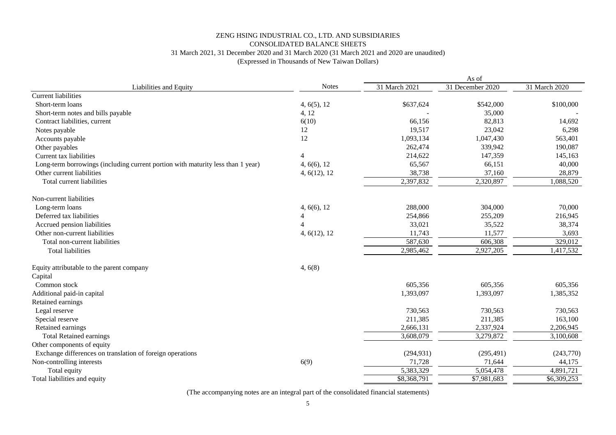### 31 March 2021, 31 December 2020 and 31 March 2020 (31 March 2021 and 2020 are unaudited) CONSOLIDATED BALANCE SHEETS ZENG HSING INDUSTRIAL CO., LTD. AND SUBSIDIARIES (Expressed in Thousands of New Taiwan Dollars)

|                                                                                 |              | As of         |                  |               |  |  |
|---------------------------------------------------------------------------------|--------------|---------------|------------------|---------------|--|--|
| Liabilities and Equity                                                          | <b>Notes</b> | 31 March 2021 | 31 December 2020 | 31 March 2020 |  |  |
| <b>Current liabilities</b>                                                      |              |               |                  |               |  |  |
| Short-term loans                                                                | 4, 6(5), 12  | \$637,624     | \$542,000        | \$100,000     |  |  |
| Short-term notes and bills payable                                              | 4, 12        |               | 35,000           |               |  |  |
| Contract liabilities, current                                                   | 6(10)        | 66,156        | 82,813           | 14,692        |  |  |
| Notes payable                                                                   | 12           | 19,517        | 23,042           | 6,298         |  |  |
| Accounts payable                                                                | 12           | 1,093,134     | 1,047,430        | 563,401       |  |  |
| Other payables                                                                  |              | 262,474       | 339,942          | 190,087       |  |  |
| Current tax liabilities                                                         | 4            | 214,622       | 147,359          | 145,163       |  |  |
| Long-term borrowings (including current portion with maturity less than 1 year) | 4, 6(6), 12  | 65,567        | 66,151           | 40,000        |  |  |
| Other current liabilities                                                       | 4, 6(12), 12 | 38,738        | 37,160           | 28,879        |  |  |
| <b>Total current liabilities</b>                                                |              | 2,397,832     | 2,320,897        | 1,088,520     |  |  |
| Non-current liabilities                                                         |              |               |                  |               |  |  |
| Long-term loans                                                                 | 4, 6(6), 12  | 288,000       | 304,000          | 70,000        |  |  |
| Deferred tax liabilities                                                        | 4            | 254,866       | 255,209          | 216,945       |  |  |
| Accrued pension liabilities                                                     |              | 33,021        | 35,522           | 38,374        |  |  |
| Other non-current liabilities                                                   | 4, 6(12), 12 | 11,743        | 11,577           | 3,693         |  |  |
| Total non-current liabilities                                                   |              | 587,630       | 606,308          | 329,012       |  |  |
| <b>Total liabilities</b>                                                        |              | 2,985,462     | 2,927,205        | ,417,532      |  |  |
| Equity attributable to the parent company                                       | 4, 6(8)      |               |                  |               |  |  |
| Capital                                                                         |              |               |                  |               |  |  |
| Common stock                                                                    |              | 605,356       | 605,356          | 605,356       |  |  |
| Additional paid-in capital                                                      |              | 1,393,097     | 1,393,097        | 1,385,352     |  |  |
| Retained earnings                                                               |              |               |                  |               |  |  |
| Legal reserve                                                                   |              | 730,563       | 730,563          | 730,563       |  |  |
| Special reserve                                                                 |              | 211,385       | 211,385          | 163,100       |  |  |
| Retained earnings                                                               |              | 2,666,131     | 2,337,924        | 2,206,945     |  |  |
| <b>Total Retained earnings</b>                                                  |              | 3,608,079     | 3,279,872        | 3,100,608     |  |  |
| Other components of equity                                                      |              |               |                  |               |  |  |
| Exchange differences on translation of foreign operations                       |              | (294, 931)    | (295, 491)       | (243,770)     |  |  |
| Non-controlling interests                                                       | 6(9)         | 71,728        | 71,644           | 44,175        |  |  |
| Total equity                                                                    |              | 5,383,329     | 5,054,478        | 4,891,721     |  |  |
| Total liabilities and equity                                                    |              | \$8,368,791   | \$7,981,683      | \$6,309,253   |  |  |

(The accompanying notes are an integral part of the consolidated financial statements)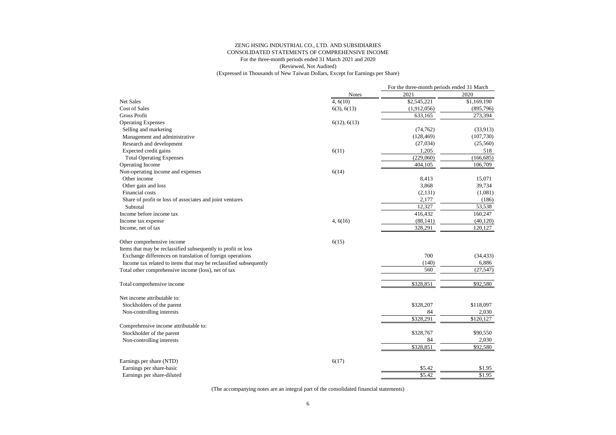|                                                                   |              | For the three-month periods ended 31 March |             |  |
|-------------------------------------------------------------------|--------------|--------------------------------------------|-------------|--|
|                                                                   | <b>Notes</b> | 2021                                       | 2020        |  |
| Net Sales                                                         | 4, 6(10)     | \$2,545,221                                | \$1,169,190 |  |
| <b>Cost of Sales</b>                                              | 6(3), 6(13)  | (1,912,056)                                | (895,796)   |  |
| <b>Gross Profit</b>                                               |              | 633,165                                    | 273,394     |  |
| <b>Operating Expenses</b>                                         | 6(12), 6(13) |                                            |             |  |
| Selling and marketing                                             |              | (74, 762)                                  | (33,913)    |  |
| Management and administrative                                     |              | (128, 469)                                 | (107,730)   |  |
| Research and development                                          |              | (27,034)                                   | (25,560)    |  |
| Expected credit gains                                             | 6(11)        | 1,205                                      | 518         |  |
| <b>Total Operating Expenses</b>                                   |              | (229,060)                                  | (166, 685)  |  |
| Operating Income                                                  |              | 404,105                                    | 106,709     |  |
| Non-operating income and expenses                                 | 6(14)        |                                            |             |  |
| Other income                                                      |              | 8,413                                      | 15,071      |  |
| Other gain and loss                                               |              | 3,868                                      | 39,734      |  |
| <b>Financial costs</b>                                            |              | (2, 131)                                   | (1,081)     |  |
| Share of profit or loss of associates and joint ventures          |              | 2,177                                      | (186)       |  |
| Subtotal                                                          |              | 12,327                                     | 53,538      |  |
| Income before income tax                                          |              | 416,432                                    | 160,247     |  |
| Income tax expense                                                | 4, 6(16)     | (88, 141)                                  | (40, 120)   |  |
| Income, net of tax                                                |              | 328,291                                    | 120,127     |  |
| Other comprehensive income                                        | 6(15)        |                                            |             |  |
| Items that may be reclassified subsequently to profit or loss     |              |                                            |             |  |
| Exchange differences on translation of foreign operations         |              | 700                                        | (34, 433)   |  |
| Income tax related to items that may be reclassified subsequently |              | (140)                                      | 6,886       |  |
| Total other comprehensive income (loss), net of tax               |              | 560                                        | (27, 547)   |  |
|                                                                   |              |                                            |             |  |
| Total comprehensive income                                        |              | \$328,851                                  | \$92,580    |  |
| Net income attributable to:                                       |              |                                            |             |  |
| Stockholders of the parent                                        |              | \$328,207                                  | \$118,097   |  |
| Non-controlling interests                                         |              | 84                                         | 2,030       |  |
|                                                                   |              | \$328,291                                  | \$120,127   |  |
| Comprehensive income attributable to:                             |              |                                            |             |  |
| Stockholder of the parent                                         |              | \$328,767                                  | \$90,550    |  |
| Non-controlling interests                                         |              | 84                                         | 2,030       |  |
|                                                                   |              | \$328,851                                  | \$92,580    |  |
| Earnings per share (NTD)                                          | 6(17)        |                                            |             |  |
| Earnings per share-basic                                          |              | \$5.42                                     | \$1.95      |  |
| Earnings per share-diluted                                        |              | \$5.42                                     | \$1.95      |  |
|                                                                   |              |                                            |             |  |

(The accompanying notes are an integral part of the consolidated financial statements)

### ZENG HSING INDUSTRIAL CO., LTD. AND SUBSIDIARIES CONSOLIDATED STATEMENTS OF COMPREHENSIVE INCOME

# For the three-month periods ended 31 March 2021 and 2020

(Reviewed, Not Audited)

(Expressed in Thousands of New Taiwan Dollars, Except for Earnings per Share)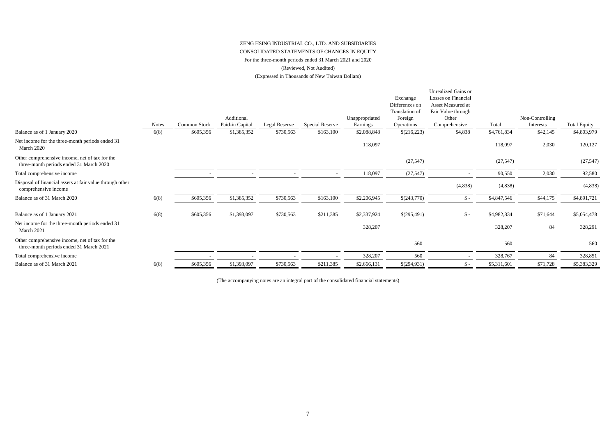|                                                                                           | <b>Notes</b> | <b>Common Stock</b> | Additional<br>Paid-in Capital | Legal Reserve | <b>Special Reserve</b> | Unappropriated<br>Earnings | Exchange<br>Differences on<br>Translation of<br>Foreign<br>Operations | <b>Unrealized Gains or</b><br>Losses on Financial<br><b>Asset Measured at</b><br>Fair Value through<br>Other<br>Comprehensive | Total       | Non-Controlling<br>Interests | <b>Total Equity</b> |
|-------------------------------------------------------------------------------------------|--------------|---------------------|-------------------------------|---------------|------------------------|----------------------------|-----------------------------------------------------------------------|-------------------------------------------------------------------------------------------------------------------------------|-------------|------------------------------|---------------------|
| Balance as of 1 January 2020                                                              | 6(8)         | \$605,356           | \$1,385,352                   | \$730,563     | \$163,100              | \$2,088,848                | \$(216,223)                                                           | \$4,838                                                                                                                       | \$4,761,834 | \$42,145                     | \$4,803,979         |
| Net income for the three-month periods ended 31<br>March 2020                             |              |                     |                               |               |                        | 118,097                    |                                                                       |                                                                                                                               | 118,097     | 2,030                        | 120,127             |
| Other comprehensive income, net of tax for the<br>three-month periods ended 31 March 2020 |              |                     |                               |               |                        |                            | (27, 547)                                                             |                                                                                                                               | (27, 547)   |                              | (27, 547)           |
| Total comprehensive income                                                                |              |                     |                               |               |                        | 118,097                    | (27, 547)                                                             | $\overline{\phantom{a}}$                                                                                                      | 90,550      | 2,030                        | 92,580              |
| Disposal of financial assets at fair value through other<br>comprehensive income          |              |                     |                               |               |                        |                            |                                                                       | (4,838)                                                                                                                       | (4,838)     |                              | (4,838)             |
| Balance as of 31 March 2020                                                               | 6(8)         | \$605,356           | \$1,385,352                   | \$730,563     | \$163,100              | \$2,206,945                | \$(243,770)                                                           | $\mathbb{S}$ –                                                                                                                | \$4,847,546 | \$44,175                     | \$4,891,721         |
| Balance as of 1 January 2021                                                              | 6(8)         | \$605,356           | \$1,393,097                   | \$730,563     | \$211,385              | \$2,337,924                | \$(295,491)                                                           | $\mathcal{S}$ -                                                                                                               | \$4,982,834 | \$71,644                     | \$5,054,478         |
| Net income for the three-month periods ended 31<br>March 2021                             |              |                     |                               |               |                        | 328,207                    |                                                                       |                                                                                                                               | 328,207     | 84                           | 328,291             |
| Other comprehensive income, net of tax for the<br>three-month periods ended 31 March 2021 |              |                     |                               |               |                        |                            | 560                                                                   |                                                                                                                               | 560         |                              | 560                 |
| Total comprehensive income                                                                |              |                     |                               |               |                        | 328,207                    | 560                                                                   |                                                                                                                               | 328,767     | 84                           | 328,851             |
| Balance as of 31 March 2021                                                               | 6(8)         | \$605,356           | \$1,393,097                   | \$730,563     | \$211,385              | \$2,666,131                | \$(294,931)                                                           | $\mathsf{\$}$ -                                                                                                               | \$5,311,601 | \$71,728                     | \$5,383,329         |

(Reviewed, Not Audited)

(The accompanying notes are an integral part of the consolidated financial statements)

(Expressed in Thousands of New Taiwan Dollars)

# ZENG HSING INDUSTRIAL CO., LTD. AND SUBSIDIARIES CONSOLIDATED STATEMENTS OF CHANGES IN EQUITY

# For the three-month periods ended 31 March 2021 and 2020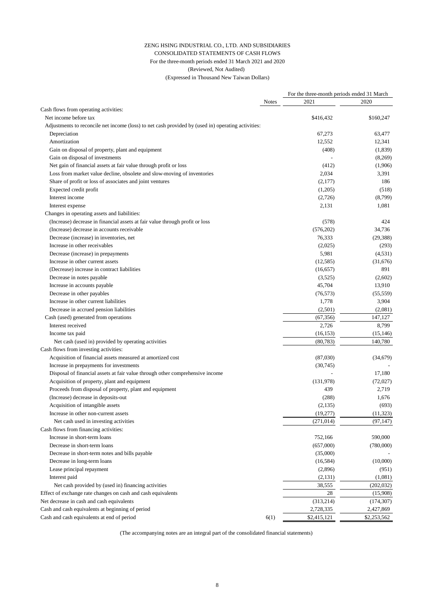|                                                                                                    |              | For the three-month periods ended 31 March |             |  |
|----------------------------------------------------------------------------------------------------|--------------|--------------------------------------------|-------------|--|
|                                                                                                    | <b>Notes</b> | 2021                                       | 2020        |  |
| Cash flows from operating activities:                                                              |              |                                            |             |  |
| Net income before tax                                                                              |              | \$416,432                                  | \$160,247   |  |
| Adjustments to reconcile net income (loss) to net cash provided by (used in) operating activities: |              |                                            |             |  |
| Depreciation                                                                                       |              | 67,273                                     | 63,477      |  |
| Amortization                                                                                       |              | 12,552                                     | 12,341      |  |
| Gain on disposal of property, plant and equipment                                                  |              | (408)                                      | (1,839)     |  |
| Gain on disposal of investments                                                                    |              |                                            | (8,269)     |  |
| Net gain of financial assets at fair value through profit or loss                                  |              | (412)                                      | (1,906)     |  |
| Loss from market value decline, obsolete and slow-moving of inventories                            |              | 2,034                                      | 3,391       |  |
| Share of profit or loss of associates and joint ventures                                           |              | (2,177)                                    | 186         |  |
| Expected credit profit                                                                             |              | (1,205)                                    | (518)       |  |
| Interest income                                                                                    |              | (2,726)                                    | (8,799)     |  |
| Interest expense                                                                                   |              | 2,131                                      | 1,081       |  |
| Changes in operating assets and liabilities:                                                       |              |                                            |             |  |
| (Increase) decrease in financial assets at fair value through profit or loss                       |              | (578)                                      | 424         |  |
| (Increase) decrease in accounts receivable                                                         |              | (576,202)                                  | 34,736      |  |
| Decrease (increase) in inventories, net                                                            |              | 76,333                                     | (29, 388)   |  |
| Increase in other receivables                                                                      |              | (2,025)                                    | (293)       |  |
| Decrease (increase) in prepayments                                                                 |              | 5,981                                      | (4,531)     |  |
| Increase in other current assets                                                                   |              | (12, 585)                                  | (31,676)    |  |
| (Decrease) increase in contract liabilities                                                        |              | (16, 657)                                  | 891         |  |
| Decrease in notes payable                                                                          |              | (3,525)                                    | (2,602)     |  |
| Increase in accounts payable                                                                       |              | 45,704                                     | 13,910      |  |
| Decrease in other payables                                                                         |              | (76, 573)                                  | (55, 559)   |  |
| Increase in other current liabilities                                                              |              | 1,778                                      |             |  |
|                                                                                                    |              |                                            | 3,904       |  |
| Decrease in accrued pension liabilities                                                            |              | (2,501)                                    | (2,081)     |  |
| Cash (used) generated from operations                                                              |              | (67, 356)                                  | 147,127     |  |
| Interest received                                                                                  |              | 2,726                                      | 8,799       |  |
| Income tax paid                                                                                    |              | (16, 153)                                  | (15, 146)   |  |
| Net cash (used in) provided by operating activities                                                |              | (80, 783)                                  | 140,780     |  |
| Cash flows from investing activities:                                                              |              |                                            |             |  |
| Acquisition of financial assets measured at amortized cost                                         |              | (87,030)                                   | (34,679)    |  |
| Increase in prepayments for investments                                                            |              | (30,745)                                   |             |  |
| Disposal of financial assets at fair value through other comprehensive income                      |              |                                            | 17,180      |  |
| Acquisition of property, plant and equipment                                                       |              | (131,978)                                  | (72,027)    |  |
| Proceeds from disposal of property, plant and equipment                                            |              | 439                                        | 2,719       |  |
| (Increase) decrease in deposits-out                                                                |              | (288)                                      | 1,676       |  |
| Acquisition of intangible assets                                                                   |              | (2,135)                                    | (693)       |  |
| Increase in other non-current assets                                                               |              | (19,277)                                   | (11, 323)   |  |
| Net cash used in investing activities                                                              |              | (271, 014)                                 | (97, 147)   |  |
| Cash flows from financing activities:                                                              |              |                                            |             |  |
| Increase in short-term loans                                                                       |              | 752,166                                    | 590,000     |  |
| Decrease in short-term loans                                                                       |              | (657,000)                                  | (780,000)   |  |
| Decrease in short-term notes and bills payable                                                     |              | (35,000)                                   |             |  |
| Decrease in long-term loans                                                                        |              | (16, 584)                                  | (10,000)    |  |
| Lease principal repayment                                                                          |              | (2,896)                                    | (951)       |  |
| Interest paid                                                                                      |              | (2,131)                                    | (1,081)     |  |
| Net cash provided by (used in) financing activities                                                |              | 38,555                                     | (202, 032)  |  |
| Effect of exchange rate changes on cash and cash equivalents                                       |              | 28                                         | (15,908)    |  |
| Net decrease in cash and cash equivalents                                                          |              | (313,214)                                  | (174, 307)  |  |
| Cash and cash equivalents at beginning of period                                                   |              | 2,728,335                                  | 2,427,869   |  |
| Cash and cash equivalents at end of period                                                         | 6(1)         | \$2,415,121                                | \$2,253,562 |  |

(The accompanying notes are an integral part of the consolidated financial statements)

# ZENG HSING INDUSTRIAL CO., LTD. AND SUBSIDIARIES CONSOLIDATED STATEMENTS OF CASH FLOWS For the three-month periods ended 31 March 2021 and 2020 (Reviewed, Not Audited)

(Expressed in Thousand New Taiwan Dollars)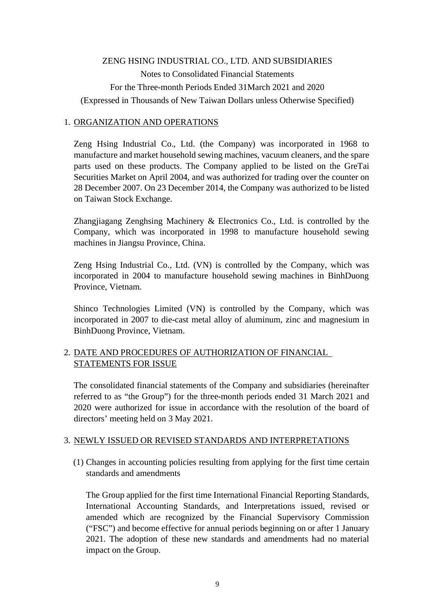# ZENG HSING INDUSTRIAL CO., LTD. AND SUBSIDIARIES Notes to Consolidated Financial Statements For the Three-month Periods Ended 31March 2021 and 2020 (Expressed in Thousands of New Taiwan Dollars unless Otherwise Specified)

### 1. ORGANIZATION AND OPERATIONS

Zeng Hsing Industrial Co., Ltd. (the Company) was incorporated in 1968 to manufacture and market household sewing machines, vacuum cleaners, and the spare parts used on these products. The Company applied to be listed on the GreTai Securities Market on April 2004, and was authorized for trading over the counter on 28 December 2007. On 23 December 2014, the Company was authorized to be listed on Taiwan Stock Exchange.

Zhangjiagang Zenghsing Machinery & Electronics Co., Ltd. is controlled by the Company, which was incorporated in 1998 to manufacture household sewing machines in Jiangsu Province, China.

Zeng Hsing Industrial Co., Ltd. (VN) is controlled by the Company, which was incorporated in 2004 to manufacture household sewing machines in BinhDuong Province, Vietnam.

Shinco Technologies Limited (VN) is controlled by the Company, which was incorporated in 2007 to die-cast metal alloy of aluminum, zinc and magnesium in BinhDuong Province, Vietnam.

### 2. DATE AND PROCEDURES OF AUTHORIZATION OF FINANCIAL STATEMENTS FOR ISSUE

The consolidated financial statements of the Company and subsidiaries (hereinafter referred to as "the Group") for the three-month periods ended 31 March 2021 and 2020 were authorized for issue in accordance with the resolution of the board of directors' meeting held on 3 May 2021.

### 3. NEWLY ISSUED OR REVISED STANDARDS AND INTERPRETATIONS

(1) Changes in accounting policies resulting from applying for the first time certain standards and amendments

The Group applied for the first time International Financial Reporting Standards, International Accounting Standards, and Interpretations issued, revised or amended which are recognized by the Financial Supervisory Commission ("FSC") and become effective for annual periods beginning on or after 1 January 2021. The adoption of these new standards and amendments had no material impact on the Group.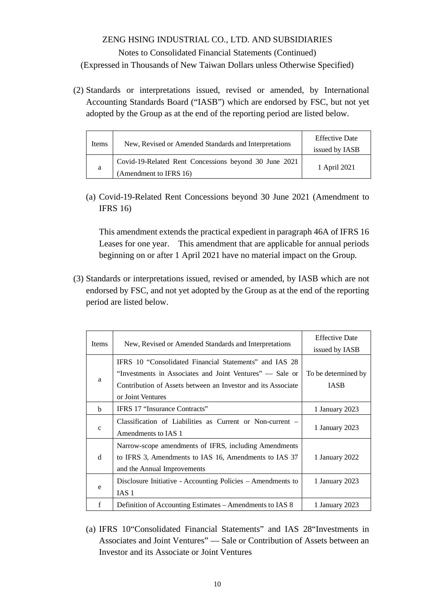(2) Standards or interpretations issued, revised or amended, by International Accounting Standards Board ("IASB") which are endorsed by FSC, but not yet adopted by the Group as at the end of the reporting period are listed below.

| New, Revised or Amended Standards and Interpretations<br>Items |                                                       | <b>Effective Date</b> |
|----------------------------------------------------------------|-------------------------------------------------------|-----------------------|
|                                                                |                                                       | issued by IASB        |
|                                                                | Covid-19-Related Rent Concessions beyond 30 June 2021 | 1 April 2021          |
| a                                                              | (Amendment to IFRS 16)                                |                       |

(a) Covid-19-Related Rent Concessions beyond 30 June 2021 (Amendment to IFRS 16)

This amendment extends the practical expedient in paragraph 46A of IFRS 16 Leases for one year. This amendment that are applicable for annual periods beginning on or after 1 April 2021 have no material impact on the Group.

(3) Standards or interpretations issued, revised or amended, by IASB which are not endorsed by FSC, and not yet adopted by the Group as at the end of the reporting period are listed below.

| Items        | New, Revised or Amended Standards and Interpretations                                                                                                                                                   | <b>Effective Date</b><br>issued by IASB |
|--------------|---------------------------------------------------------------------------------------------------------------------------------------------------------------------------------------------------------|-----------------------------------------|
| a            | IFRS 10 "Consolidated Financial Statements" and IAS 28<br>"Investments in Associates and Joint Ventures" — Sale or<br>Contribution of Assets between an Investor and its Associate<br>or Joint Ventures | To be determined by<br><b>IASB</b>      |
| h            | IFRS 17 "Insurance Contracts"                                                                                                                                                                           | 1 January 2023                          |
| $\mathbf{C}$ | Classification of Liabilities as Current or Non-current –<br>Amendments to IAS 1                                                                                                                        | 1 January 2023                          |
| d            | Narrow-scope amendments of IFRS, including Amendments<br>to IFRS 3, Amendments to IAS 16, Amendments to IAS 37<br>and the Annual Improvements                                                           | 1 January 2022                          |
| e            | Disclosure Initiative - Accounting Policies – Amendments to<br>IAS 1                                                                                                                                    | 1 January 2023                          |
| f            | Definition of Accounting Estimates – Amendments to IAS 8                                                                                                                                                | 1 January 2023                          |

(a) IFRS 10"Consolidated Financial Statements" and IAS 28"Investments in Associates and Joint Ventures" — Sale or Contribution of Assets between an Investor and its Associate or Joint Ventures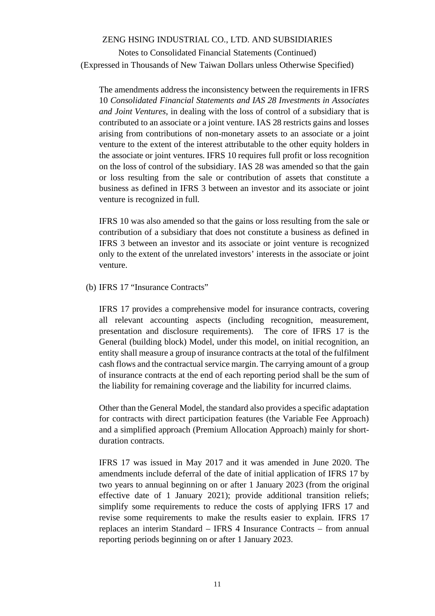Notes to Consolidated Financial Statements (Continued) (Expressed in Thousands of New Taiwan Dollars unless Otherwise Specified)

The amendments address the inconsistency between the requirements in IFRS 10 *Consolidated Financial Statements and IAS 28 Investments in Associates and Joint Ventures*, in dealing with the loss of control of a subsidiary that is contributed to an associate or a joint venture. IAS 28 restricts gains and losses arising from contributions of non-monetary assets to an associate or a joint venture to the extent of the interest attributable to the other equity holders in the associate or joint ventures. IFRS 10 requires full profit or loss recognition on the loss of control of the subsidiary. IAS 28 was amended so that the gain or loss resulting from the sale or contribution of assets that constitute a business as defined in IFRS 3 between an investor and its associate or joint venture is recognized in full.

IFRS 10 was also amended so that the gains or loss resulting from the sale or contribution of a subsidiary that does not constitute a business as defined in IFRS 3 between an investor and its associate or joint venture is recognized only to the extent of the unrelated investors' interests in the associate or joint venture.

(b) IFRS 17 "Insurance Contracts"

IFRS 17 provides a comprehensive model for insurance contracts, covering all relevant accounting aspects (including recognition, measurement, presentation and disclosure requirements). The core of IFRS 17 is the General (building block) Model, under this model, on initial recognition, an entity shall measure a group of insurance contracts at the total of the fulfilment cash flows and the contractual service margin. The carrying amount of a group of insurance contracts at the end of each reporting period shall be the sum of the liability for remaining coverage and the liability for incurred claims.

Other than the General Model, the standard also provides a specific adaptation for contracts with direct participation features (the Variable Fee Approach) and a simplified approach (Premium Allocation Approach) mainly for shortduration contracts.

IFRS 17 was issued in May 2017 and it was amended in June 2020. The amendments include deferral of the date of initial application of IFRS 17 by two years to annual beginning on or after 1 January 2023 (from the original effective date of 1 January 2021); provide additional transition reliefs; simplify some requirements to reduce the costs of applying IFRS 17 and revise some requirements to make the results easier to explain. IFRS 17 replaces an interim Standard – IFRS 4 Insurance Contracts – from annual reporting periods beginning on or after 1 January 2023.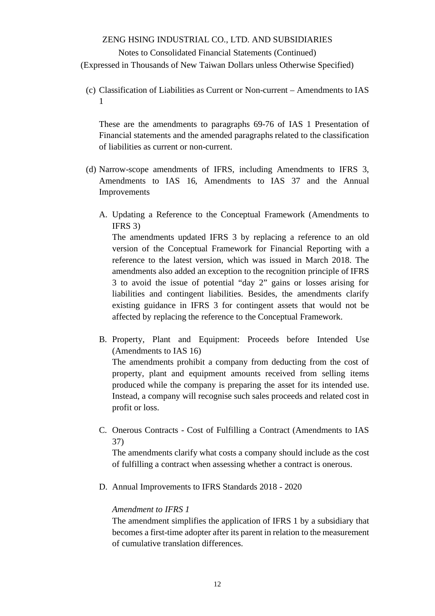#### Notes to Consolidated Financial Statements (Continued)

(Expressed in Thousands of New Taiwan Dollars unless Otherwise Specified)

(c) Classification of Liabilities as Current or Non-current – Amendments to IAS 1

These are the amendments to paragraphs 69-76 of IAS 1 Presentation of Financial statements and the amended paragraphs related to the classification of liabilities as current or non-current.

- (d) Narrow-scope amendments of IFRS, including Amendments to IFRS 3, Amendments to IAS 16, Amendments to IAS 37 and the Annual Improvements
	- A. Updating a Reference to the Conceptual Framework (Amendments to IFRS 3)

The amendments updated IFRS 3 by replacing a reference to an old version of the Conceptual Framework for Financial Reporting with a reference to the latest version, which was issued in March 2018. The amendments also added an exception to the recognition principle of IFRS 3 to avoid the issue of potential "day 2" gains or losses arising for liabilities and contingent liabilities. Besides, the amendments clarify existing guidance in IFRS 3 for contingent assets that would not be affected by replacing the reference to the Conceptual Framework.

B. Property, Plant and Equipment: Proceeds before Intended Use (Amendments to IAS 16)

The amendments prohibit a company from deducting from the cost of property, plant and equipment amounts received from selling items produced while the company is preparing the asset for its intended use. Instead, a company will recognise such sales proceeds and related cost in profit or loss.

C. Onerous Contracts - Cost of Fulfilling a Contract (Amendments to IAS 37)

The amendments clarify what costs a company should include as the cost of fulfilling a contract when assessing whether a contract is onerous.

D. Annual Improvements to IFRS Standards 2018 - 2020

#### *Amendment to IFRS 1*

The amendment simplifies the application of IFRS 1 by a subsidiary that becomes a first-time adopter after its parent in relation to the measurement of cumulative translation differences.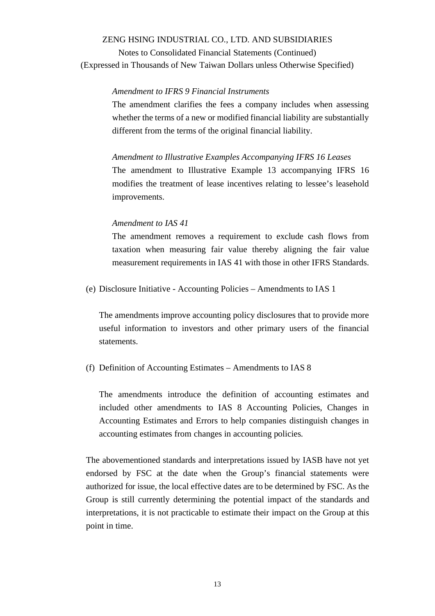Notes to Consolidated Financial Statements (Continued) (Expressed in Thousands of New Taiwan Dollars unless Otherwise Specified)

#### *Amendment to IFRS 9 Financial Instruments*

The amendment clarifies the fees a company includes when assessing whether the terms of a new or modified financial liability are substantially different from the terms of the original financial liability.

*Amendment to Illustrative Examples Accompanying IFRS 16 Leases* The amendment to Illustrative Example 13 accompanying IFRS 16 modifies the treatment of lease incentives relating to lessee's leasehold improvements.

#### *Amendment to IAS 41*

The amendment removes a requirement to exclude cash flows from taxation when measuring fair value thereby aligning the fair value measurement requirements in IAS 41 with those in other IFRS Standards.

(e) Disclosure Initiative - Accounting Policies – Amendments to IAS 1

The amendments improve accounting policy disclosures that to provide more useful information to investors and other primary users of the financial statements.

#### (f) Definition of Accounting Estimates – Amendments to IAS 8

The amendments introduce the definition of accounting estimates and included other amendments to IAS 8 Accounting Policies, Changes in Accounting Estimates and Errors to help companies distinguish changes in accounting estimates from changes in accounting policies.

The abovementioned standards and interpretations issued by IASB have not yet endorsed by FSC at the date when the Group's financial statements were authorized for issue, the local effective dates are to be determined by FSC. As the Group is still currently determining the potential impact of the standards and interpretations, it is not practicable to estimate their impact on the Group at this point in time.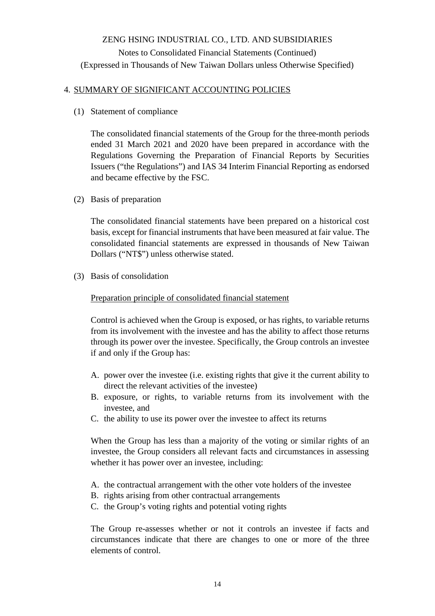### 4. SUMMARY OF SIGNIFICANT ACCOUNTING POLICIES

(1) Statement of compliance

The consolidated financial statements of the Group for the three-month periods ended 31 March 2021 and 2020 have been prepared in accordance with the Regulations Governing the Preparation of Financial Reports by Securities Issuers ("the Regulations") and IAS 34 Interim Financial Reporting as endorsed and became effective by the FSC.

(2) Basis of preparation

The consolidated financial statements have been prepared on a historical cost basis, except for financial instruments that have been measured at fair value. The consolidated financial statements are expressed in thousands of New Taiwan Dollars ("NT\$") unless otherwise stated.

(3) Basis of consolidation

### Preparation principle of consolidated financial statement

Control is achieved when the Group is exposed, or has rights, to variable returns from its involvement with the investee and has the ability to affect those returns through its power over the investee. Specifically, the Group controls an investee if and only if the Group has:

- A. power over the investee (i.e. existing rights that give it the current ability to direct the relevant activities of the investee)
- B. exposure, or rights, to variable returns from its involvement with the investee, and
- C. the ability to use its power over the investee to affect its returns

When the Group has less than a majority of the voting or similar rights of an investee, the Group considers all relevant facts and circumstances in assessing whether it has power over an investee, including:

- A. the contractual arrangement with the other vote holders of the investee
- B. rights arising from other contractual arrangements
- C. the Group's voting rights and potential voting rights

The Group re-assesses whether or not it controls an investee if facts and circumstances indicate that there are changes to one or more of the three elements of control.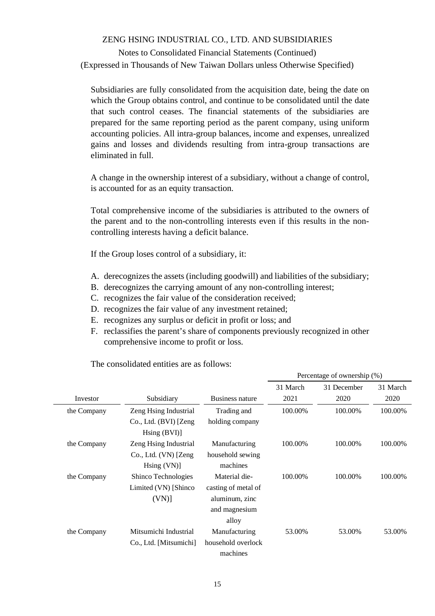# Notes to Consolidated Financial Statements (Continued) (Expressed in Thousands of New Taiwan Dollars unless Otherwise Specified)

Subsidiaries are fully consolidated from the acquisition date, being the date on which the Group obtains control, and continue to be consolidated until the date that such control ceases. The financial statements of the subsidiaries are prepared for the same reporting period as the parent company, using uniform accounting policies. All intra-group balances, income and expenses, unrealized gains and losses and dividends resulting from intra-group transactions are eliminated in full.

A change in the ownership interest of a subsidiary, without a change of control, is accounted for as an equity transaction.

Total comprehensive income of the subsidiaries is attributed to the owners of the parent and to the non-controlling interests even if this results in the noncontrolling interests having a deficit balance.

If the Group loses control of a subsidiary, it:

- A. derecognizes the assets (including goodwill) and liabilities of the subsidiary;
- B. derecognizes the carrying amount of any non-controlling interest;
- C. recognizes the fair value of the consideration received;
- D. recognizes the fair value of any investment retained;
- E. recognizes any surplus or deficit in profit or loss; and
- F. reclassifies the parent's share of components previously recognized in other comprehensive income to profit or loss.

Percentage of ownership (%)

|             |                             |                     | 31 March | 31 December | 31 March |
|-------------|-----------------------------|---------------------|----------|-------------|----------|
| Investor    | Subsidiary                  | Business nature     | 2021     | 2020        | 2020     |
| the Company | Zeng Hsing Industrial       | Trading and         | 100.00%  | 100.00%     | 100.00%  |
|             | Co., Ltd. (BVI) [Zeng]      | holding company     |          |             |          |
|             | $\text{Hsing} (\text{BVI})$ |                     |          |             |          |
| the Company | Zeng Hsing Industrial       | Manufacturing       | 100.00%  | 100.00%     | 100.00%  |
|             | Co., Ltd. (VN) [Zeng]       | household sewing    |          |             |          |
|             | $\text{Hsing}$ (VN)]        | machines            |          |             |          |
| the Company | Shinco Technologies         | Material die-       | 100.00%  | 100.00%     | 100.00%  |
|             | Limited (VN) [Shinco]       | casting of metal of |          |             |          |
|             | (VN)                        | aluminum, zinc      |          |             |          |
|             |                             | and magnesium       |          |             |          |
|             |                             | alloy               |          |             |          |
| the Company | Mitsumichi Industrial       | Manufacturing       | 53.00%   | 53.00%      | 53.00%   |
|             | Co., Ltd. [Mitsumichi]      | household overlock  |          |             |          |
|             |                             | machines            |          |             |          |

The consolidated entities are as follows: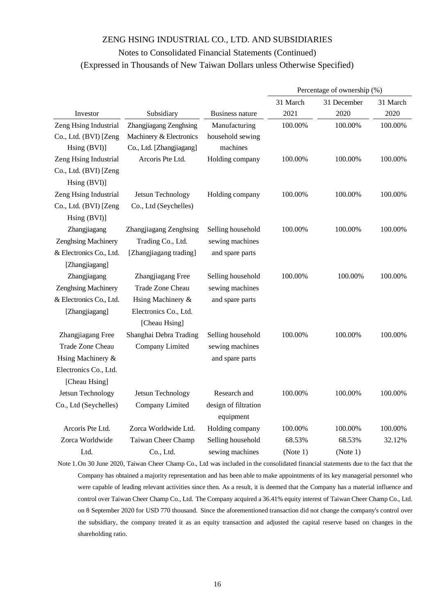|                         |                          |                      | Percentage of ownership (%) |             |          |  |
|-------------------------|--------------------------|----------------------|-----------------------------|-------------|----------|--|
|                         |                          |                      | 31 March                    | 31 December | 31 March |  |
| Investor                | Subsidiary               | Business nature      | 2021                        | 2020        | 2020     |  |
| Zeng Hsing Industrial   | Zhangjiagang Zenghsing   | Manufacturing        | 100.00%                     | 100.00%     | 100.00%  |  |
| Co., Ltd. (BVI) [Zeng   | Machinery & Electronics  | household sewing     |                             |             |          |  |
| Hsing (BVI)]            | Co., Ltd. [Zhangjiagang] | machines             |                             |             |          |  |
| Zeng Hsing Industrial   | Arcoris Pte Ltd.         | Holding company      | 100.00%                     | 100.00%     | 100.00%  |  |
| Co., Ltd. (BVI) [Zeng   |                          |                      |                             |             |          |  |
| Hsing (BVI)]            |                          |                      |                             |             |          |  |
| Zeng Hsing Industrial   | Jetsun Technology        | Holding company      | 100.00%                     | 100.00%     | 100.00%  |  |
| Co., Ltd. (BVI) [Zeng   | Co., Ltd (Seychelles)    |                      |                             |             |          |  |
| Hsing (BVI)]            |                          |                      |                             |             |          |  |
| Zhangjiagang            | Zhangjiagang Zenghsing   | Selling household    | 100.00%                     | 100.00%     | 100.00%  |  |
| Zenghsing Machinery     | Trading Co., Ltd.        | sewing machines      |                             |             |          |  |
| & Electronics Co., Ltd. | [Zhangjiagang trading]   | and spare parts      |                             |             |          |  |
| [Zhangjiagang]          |                          |                      |                             |             |          |  |
| Zhangjiagang            | Zhangjiagang Free        | Selling household    | 100.00%                     | 100.00%     | 100.00%  |  |
| Zenghsing Machinery     | Trade Zone Cheau         | sewing machines      |                             |             |          |  |
| & Electronics Co., Ltd. | Hsing Machinery &        | and spare parts      |                             |             |          |  |
| [Zhangjiagang]          | Electronics Co., Ltd.    |                      |                             |             |          |  |
|                         | [Cheau Hsing]            |                      |                             |             |          |  |
| Zhangjiagang Free       | Shanghai Debra Trading   | Selling household    | 100.00%                     | 100.00%     | 100.00%  |  |
| Trade Zone Cheau        | Company Limited          | sewing machines      |                             |             |          |  |
| Hsing Machinery &       |                          | and spare parts      |                             |             |          |  |
| Electronics Co., Ltd.   |                          |                      |                             |             |          |  |
| [Cheau Hsing]           |                          |                      |                             |             |          |  |
| Jetsun Technology       | Jetsun Technology        | Research and         | 100.00%                     | 100.00%     | 100.00%  |  |
| Co., Ltd (Seychelles)   | Company Limited          | design of filtration |                             |             |          |  |
|                         |                          | equipment            |                             |             |          |  |
| Arcoris Pte Ltd.        | Zorca Worldwide Ltd.     | Holding company      | 100.00%                     | 100.00%     | 100.00%  |  |
| Zorca Worldwide         | Taiwan Cheer Champ       | Selling household    | 68.53%                      | 68.53%      | 32.12%   |  |
| Ltd.                    | Co., Ltd.                | sewing machines      | (Note 1)                    | (Note 1)    |          |  |

Note 1.On 30 June 2020, Taiwan Cheer Champ Co., Ltd was included in the consolidated financial statements due to the fact that the Company has obtained a majority representation and has been able to make appointments of its key managerial personnel who were capable of leading relevant activities since then. As a result, it is deemed that the Company has a material influence and control over Taiwan Cheer Champ Co., Ltd. The Company acquired a 36.41% equity interest of Taiwan Cheer Champ Co., Ltd. on 8 September 2020 for USD 770 thousand. Since the aforementioned transaction did not change the company's control over the subsidiary, the company treated it as an equity transaction and adjusted the capital reserve based on changes in the shareholding ratio.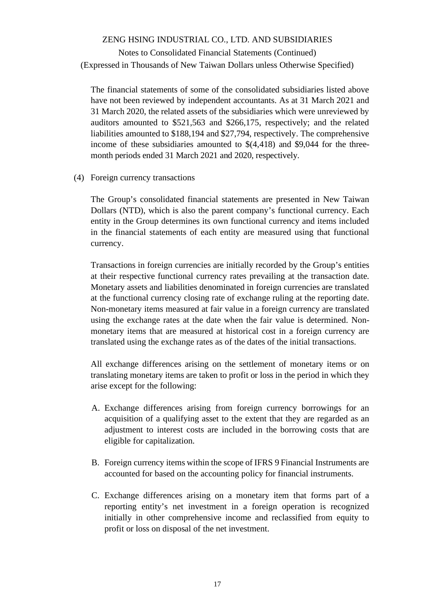# Notes to Consolidated Financial Statements (Continued) (Expressed in Thousands of New Taiwan Dollars unless Otherwise Specified)

The financial statements of some of the consolidated subsidiaries listed above have not been reviewed by independent accountants. As at 31 March 2021 and 31 March 2020, the related assets of the subsidiaries which were unreviewed by auditors amounted to \$521,563 and \$266,175, respectively; and the related liabilities amounted to \$188,194 and \$27,794, respectively. The comprehensive income of these subsidiaries amounted to  $\frac{1}{4}$  (4,418) and \$9,044 for the threemonth periods ended 31 March 2021 and 2020, respectively.

(4) Foreign currency transactions

The Group's consolidated financial statements are presented in New Taiwan Dollars (NTD), which is also the parent company's functional currency. Each entity in the Group determines its own functional currency and items included in the financial statements of each entity are measured using that functional currency.

Transactions in foreign currencies are initially recorded by the Group's entities at their respective functional currency rates prevailing at the transaction date. Monetary assets and liabilities denominated in foreign currencies are translated at the functional currency closing rate of exchange ruling at the reporting date. Non-monetary items measured at fair value in a foreign currency are translated using the exchange rates at the date when the fair value is determined. Nonmonetary items that are measured at historical cost in a foreign currency are translated using the exchange rates as of the dates of the initial transactions.

All exchange differences arising on the settlement of monetary items or on translating monetary items are taken to profit or loss in the period in which they arise except for the following:

- A. Exchange differences arising from foreign currency borrowings for an acquisition of a qualifying asset to the extent that they are regarded as an adjustment to interest costs are included in the borrowing costs that are eligible for capitalization.
- B. Foreign currency items within the scope of IFRS 9 Financial Instruments are accounted for based on the accounting policy for financial instruments.
- C. Exchange differences arising on a monetary item that forms part of a reporting entity's net investment in a foreign operation is recognized initially in other comprehensive income and reclassified from equity to profit or loss on disposal of the net investment.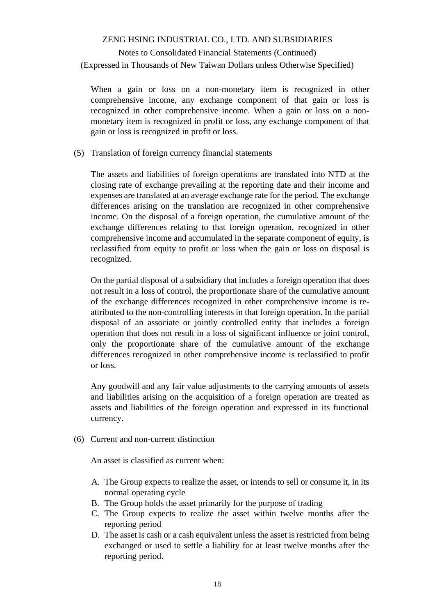# Notes to Consolidated Financial Statements (Continued) (Expressed in Thousands of New Taiwan Dollars unless Otherwise Specified)

When a gain or loss on a non-monetary item is recognized in other comprehensive income, any exchange component of that gain or loss is recognized in other comprehensive income. When a gain or loss on a nonmonetary item is recognized in profit or loss, any exchange component of that gain or loss is recognized in profit or loss.

(5) Translation of foreign currency financial statements

The assets and liabilities of foreign operations are translated into NTD at the closing rate of exchange prevailing at the reporting date and their income and expenses are translated at an average exchange rate for the period. The exchange differences arising on the translation are recognized in other comprehensive income. On the disposal of a foreign operation, the cumulative amount of the exchange differences relating to that foreign operation, recognized in other comprehensive income and accumulated in the separate component of equity, is reclassified from equity to profit or loss when the gain or loss on disposal is recognized.

On the partial disposal of a subsidiary that includes a foreign operation that does not result in a loss of control, the proportionate share of the cumulative amount of the exchange differences recognized in other comprehensive income is reattributed to the non-controlling interests in that foreign operation. In the partial disposal of an associate or jointly controlled entity that includes a foreign operation that does not result in a loss of significant influence or joint control, only the proportionate share of the cumulative amount of the exchange differences recognized in other comprehensive income is reclassified to profit or loss.

Any goodwill and any fair value adjustments to the carrying amounts of assets and liabilities arising on the acquisition of a foreign operation are treated as assets and liabilities of the foreign operation and expressed in its functional currency.

(6) Current and non-current distinction

An asset is classified as current when:

- A. The Group expects to realize the asset, or intends to sell or consume it, in its normal operating cycle
- B. The Group holds the asset primarily for the purpose of trading
- C. The Group expects to realize the asset within twelve months after the reporting period
- D. The asset is cash or a cash equivalent unless the asset is restricted from being exchanged or used to settle a liability for at least twelve months after the reporting period.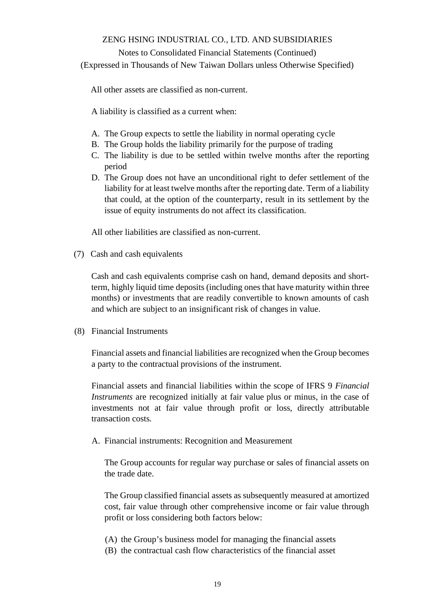#### Notes to Consolidated Financial Statements (Continued)

(Expressed in Thousands of New Taiwan Dollars unless Otherwise Specified)

All other assets are classified as non-current.

A liability is classified as a current when:

- A. The Group expects to settle the liability in normal operating cycle
- B. The Group holds the liability primarily for the purpose of trading
- C. The liability is due to be settled within twelve months after the reporting period
- D. The Group does not have an unconditional right to defer settlement of the liability for at least twelve months after the reporting date. Term of a liability that could, at the option of the counterparty, result in its settlement by the issue of equity instruments do not affect its classification.

All other liabilities are classified as non-current.

(7) Cash and cash equivalents

Cash and cash equivalents comprise cash on hand, demand deposits and shortterm, highly liquid time deposits (including ones that have maturity within three months) or investments that are readily convertible to known amounts of cash and which are subject to an insignificant risk of changes in value.

(8) Financial Instruments

Financial assets and financial liabilities are recognized when the Group becomes a party to the contractual provisions of the instrument.

Financial assets and financial liabilities within the scope of IFRS 9 *Financial Instruments* are recognized initially at fair value plus or minus, in the case of investments not at fair value through profit or loss, directly attributable transaction costs.

A. Financial instruments: Recognition and Measurement

The Group accounts for regular way purchase or sales of financial assets on the trade date.

The Group classified financial assets as subsequently measured at amortized cost, fair value through other comprehensive income or fair value through profit or loss considering both factors below:

- (A) the Group's business model for managing the financial assets
- (B) the contractual cash flow characteristics of the financial asset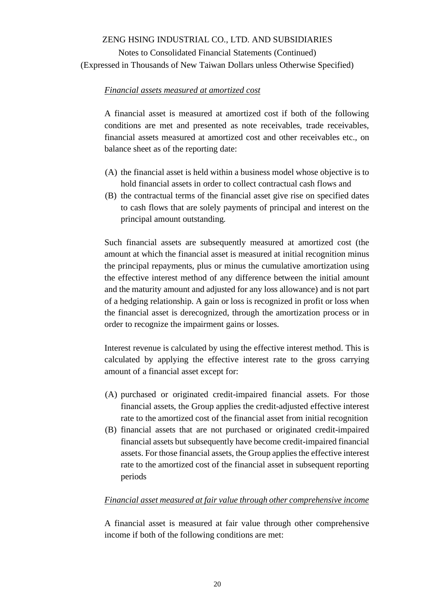Notes to Consolidated Financial Statements (Continued) (Expressed in Thousands of New Taiwan Dollars unless Otherwise Specified)

### *Financial assets measured at amortized cost*

A financial asset is measured at amortized cost if both of the following conditions are met and presented as note receivables, trade receivables, financial assets measured at amortized cost and other receivables etc., on balance sheet as of the reporting date:

- (A) the financial asset is held within a business model whose objective is to hold financial assets in order to collect contractual cash flows and
- (B) the contractual terms of the financial asset give rise on specified dates to cash flows that are solely payments of principal and interest on the principal amount outstanding.

Such financial assets are subsequently measured at amortized cost (the amount at which the financial asset is measured at initial recognition minus the principal repayments, plus or minus the cumulative amortization using the effective interest method of any difference between the initial amount and the maturity amount and adjusted for any loss allowance) and is not part of a hedging relationship. A gain or loss is recognized in profit or loss when the financial asset is derecognized, through the amortization process or in order to recognize the impairment gains or losses.

Interest revenue is calculated by using the effective interest method. This is calculated by applying the effective interest rate to the gross carrying amount of a financial asset except for:

- (A) purchased or originated credit-impaired financial assets. For those financial assets, the Group applies the credit-adjusted effective interest rate to the amortized cost of the financial asset from initial recognition
- (B) financial assets that are not purchased or originated credit-impaired financial assets but subsequently have become credit-impaired financial assets. For those financial assets, the Group applies the effective interest rate to the amortized cost of the financial asset in subsequent reporting periods

### *Financial asset measured at fair value through other comprehensive income*

A financial asset is measured at fair value through other comprehensive income if both of the following conditions are met: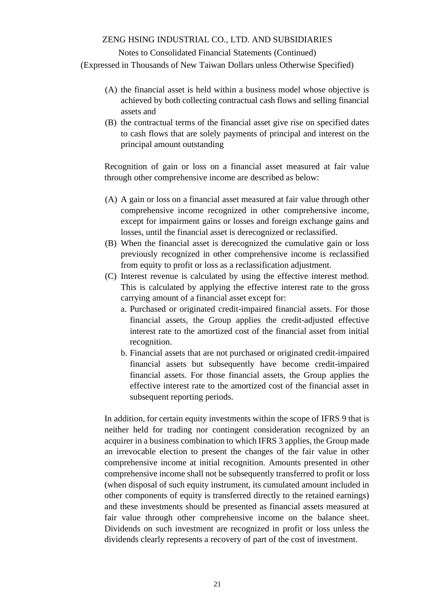### Notes to Consolidated Financial Statements (Continued)

(Expressed in Thousands of New Taiwan Dollars unless Otherwise Specified)

- (A) the financial asset is held within a business model whose objective is achieved by both collecting contractual cash flows and selling financial assets and
- (B) the contractual terms of the financial asset give rise on specified dates to cash flows that are solely payments of principal and interest on the principal amount outstanding

Recognition of gain or loss on a financial asset measured at fair value through other comprehensive income are described as below:

- (A) A gain or loss on a financial asset measured at fair value through other comprehensive income recognized in other comprehensive income, except for impairment gains or losses and foreign exchange gains and losses, until the financial asset is derecognized or reclassified.
- (B) When the financial asset is derecognized the cumulative gain or loss previously recognized in other comprehensive income is reclassified from equity to profit or loss as a reclassification adjustment.
- (C) Interest revenue is calculated by using the effective interest method. This is calculated by applying the effective interest rate to the gross carrying amount of a financial asset except for:
	- a. Purchased or originated credit-impaired financial assets. For those financial assets, the Group applies the credit-adjusted effective interest rate to the amortized cost of the financial asset from initial recognition.
	- b. Financial assets that are not purchased or originated credit-impaired financial assets but subsequently have become credit-impaired financial assets. For those financial assets, the Group applies the effective interest rate to the amortized cost of the financial asset in subsequent reporting periods.

In addition, for certain equity investments within the scope of IFRS 9 that is neither held for trading nor contingent consideration recognized by an acquirer in a business combination to which IFRS 3 applies, the Group made an irrevocable election to present the changes of the fair value in other comprehensive income at initial recognition. Amounts presented in other comprehensive income shall not be subsequently transferred to profit or loss (when disposal of such equity instrument, its cumulated amount included in other components of equity is transferred directly to the retained earnings) and these investments should be presented as financial assets measured at fair value through other comprehensive income on the balance sheet. Dividends on such investment are recognized in profit or loss unless the dividends clearly represents a recovery of part of the cost of investment.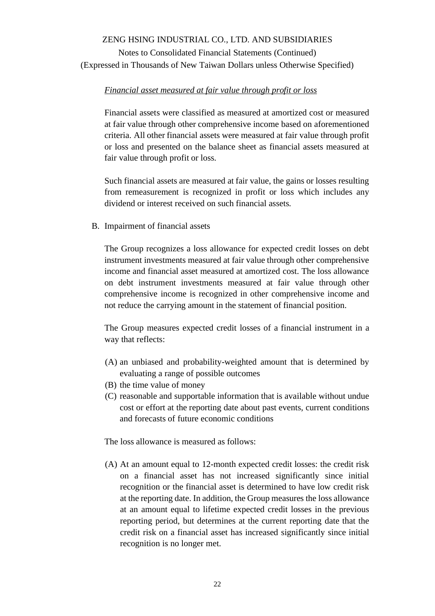Notes to Consolidated Financial Statements (Continued) (Expressed in Thousands of New Taiwan Dollars unless Otherwise Specified)

### *Financial asset measured at fair value through profit or loss*

Financial assets were classified as measured at amortized cost or measured at fair value through other comprehensive income based on aforementioned criteria. All other financial assets were measured at fair value through profit or loss and presented on the balance sheet as financial assets measured at fair value through profit or loss.

Such financial assets are measured at fair value, the gains or losses resulting from remeasurement is recognized in profit or loss which includes any dividend or interest received on such financial assets.

B. Impairment of financial assets

The Group recognizes a loss allowance for expected credit losses on debt instrument investments measured at fair value through other comprehensive income and financial asset measured at amortized cost. The loss allowance on debt instrument investments measured at fair value through other comprehensive income is recognized in other comprehensive income and not reduce the carrying amount in the statement of financial position.

The Group measures expected credit losses of a financial instrument in a way that reflects:

- (A) an unbiased and probability-weighted amount that is determined by evaluating a range of possible outcomes
- (B) the time value of money
- (C) reasonable and supportable information that is available without undue cost or effort at the reporting date about past events, current conditions and forecasts of future economic conditions

The loss allowance is measured as follows:

(A) At an amount equal to 12-month expected credit losses: the credit risk on a financial asset has not increased significantly since initial recognition or the financial asset is determined to have low credit risk at the reporting date. In addition, the Group measures the loss allowance at an amount equal to lifetime expected credit losses in the previous reporting period, but determines at the current reporting date that the credit risk on a financial asset has increased significantly since initial recognition is no longer met.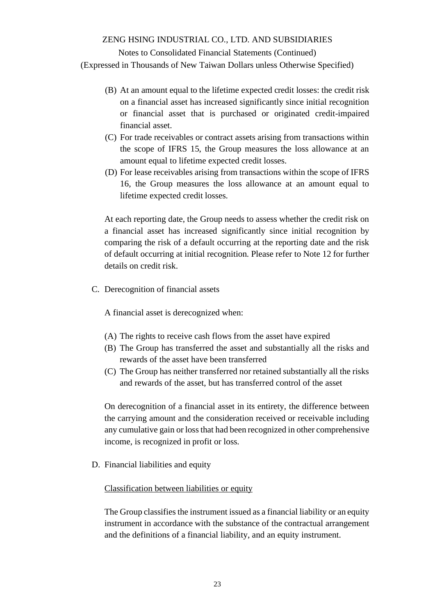Notes to Consolidated Financial Statements (Continued)

(Expressed in Thousands of New Taiwan Dollars unless Otherwise Specified)

- (B) At an amount equal to the lifetime expected credit losses: the credit risk on a financial asset has increased significantly since initial recognition or financial asset that is purchased or originated credit-impaired financial asset.
- (C) For trade receivables or contract assets arising from transactions within the scope of IFRS 15, the Group measures the loss allowance at an amount equal to lifetime expected credit losses.
- (D) For lease receivables arising from transactions within the scope of IFRS 16, the Group measures the loss allowance at an amount equal to lifetime expected credit losses.

At each reporting date, the Group needs to assess whether the credit risk on a financial asset has increased significantly since initial recognition by comparing the risk of a default occurring at the reporting date and the risk of default occurring at initial recognition. Please refer to Note 12 for further details on credit risk.

C. Derecognition of financial assets

A financial asset is derecognized when:

- (A) The rights to receive cash flows from the asset have expired
- (B) The Group has transferred the asset and substantially all the risks and rewards of the asset have been transferred
- (C) The Group has neither transferred nor retained substantially all the risks and rewards of the asset, but has transferred control of the asset

On derecognition of a financial asset in its entirety, the difference between the carrying amount and the consideration received or receivable including any cumulative gain or loss that had been recognized in other comprehensive income, is recognized in profit or loss.

D. Financial liabilities and equity

Classification between liabilities or equity

The Group classifies the instrument issued as a financial liability or an equity instrument in accordance with the substance of the contractual arrangement and the definitions of a financial liability, and an equity instrument.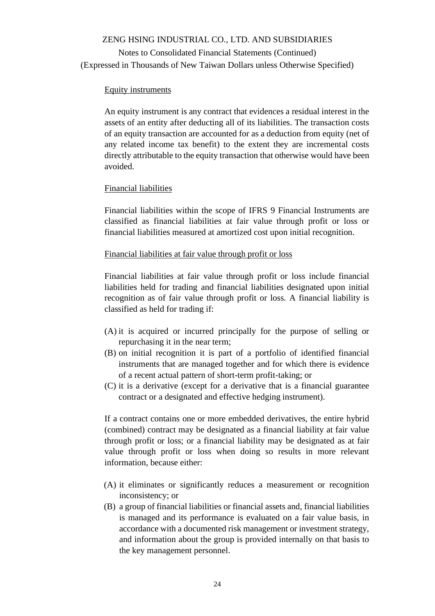### Equity instruments

An equity instrument is any contract that evidences a residual interest in the assets of an entity after deducting all of its liabilities. The transaction costs of an equity transaction are accounted for as a deduction from equity (net of any related income tax benefit) to the extent they are incremental costs directly attributable to the equity transaction that otherwise would have been avoided.

### Financial liabilities

Financial liabilities within the scope of IFRS 9 Financial Instruments are classified as financial liabilities at fair value through profit or loss or financial liabilities measured at amortized cost upon initial recognition.

### Financial liabilities at fair value through profit or loss

Financial liabilities at fair value through profit or loss include financial liabilities held for trading and financial liabilities designated upon initial recognition as of fair value through profit or loss. A financial liability is classified as held for trading if:

- (A) it is acquired or incurred principally for the purpose of selling or repurchasing it in the near term;
- (B) on initial recognition it is part of a portfolio of identified financial instruments that are managed together and for which there is evidence of a recent actual pattern of short-term profit-taking; or
- (C) it is a derivative (except for a derivative that is a financial guarantee contract or a designated and effective hedging instrument).

If a contract contains one or more embedded derivatives, the entire hybrid (combined) contract may be designated as a financial liability at fair value through profit or loss; or a financial liability may be designated as at fair value through profit or loss when doing so results in more relevant information, because either:

- (A) it eliminates or significantly reduces a measurement or recognition inconsistency; or
- (B) a group of financial liabilities or financial assets and, financial liabilities is managed and its performance is evaluated on a fair value basis, in accordance with a documented risk management or investment strategy, and information about the group is provided internally on that basis to the key management personnel.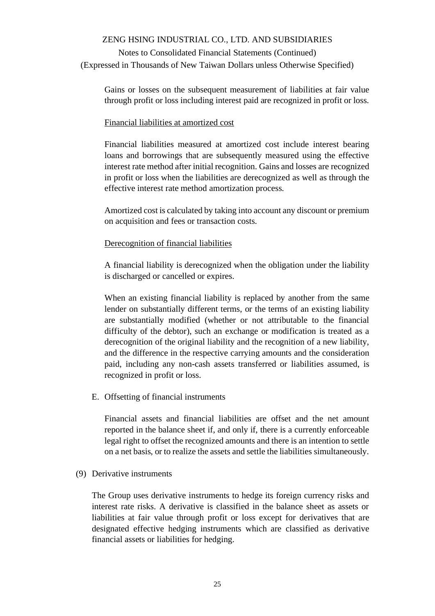Notes to Consolidated Financial Statements (Continued) (Expressed in Thousands of New Taiwan Dollars unless Otherwise Specified)

Gains or losses on the subsequent measurement of liabilities at fair value through profit or loss including interest paid are recognized in profit or loss.

### Financial liabilities at amortized cost

Financial liabilities measured at amortized cost include interest bearing loans and borrowings that are subsequently measured using the effective interest rate method after initial recognition. Gains and losses are recognized in profit or loss when the liabilities are derecognized as well as through the effective interest rate method amortization process.

Amortized cost is calculated by taking into account any discount or premium on acquisition and fees or transaction costs.

### Derecognition of financial liabilities

A financial liability is derecognized when the obligation under the liability is discharged or cancelled or expires.

When an existing financial liability is replaced by another from the same lender on substantially different terms, or the terms of an existing liability are substantially modified (whether or not attributable to the financial difficulty of the debtor), such an exchange or modification is treated as a derecognition of the original liability and the recognition of a new liability, and the difference in the respective carrying amounts and the consideration paid, including any non-cash assets transferred or liabilities assumed, is recognized in profit or loss.

E. Offsetting of financial instruments

Financial assets and financial liabilities are offset and the net amount reported in the balance sheet if, and only if, there is a currently enforceable legal right to offset the recognized amounts and there is an intention to settle on a net basis, or to realize the assets and settle the liabilities simultaneously.

(9) Derivative instruments

The Group uses derivative instruments to hedge its foreign currency risks and interest rate risks. A derivative is classified in the balance sheet as assets or liabilities at fair value through profit or loss except for derivatives that are designated effective hedging instruments which are classified as derivative financial assets or liabilities for hedging.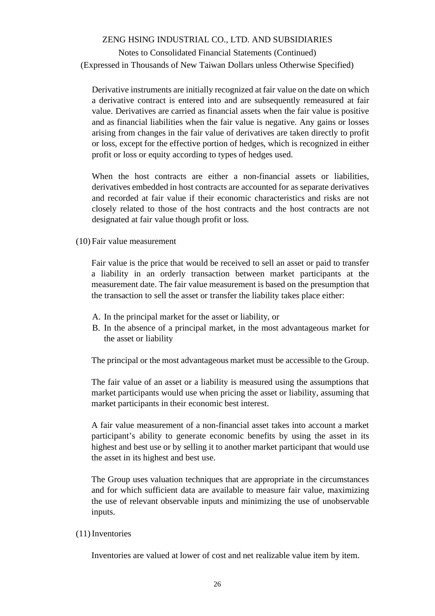# Notes to Consolidated Financial Statements (Continued) (Expressed in Thousands of New Taiwan Dollars unless Otherwise Specified)

Derivative instruments are initially recognized at fair value on the date on which a derivative contract is entered into and are subsequently remeasured at fair value. Derivatives are carried as financial assets when the fair value is positive and as financial liabilities when the fair value is negative. Any gains or losses arising from changes in the fair value of derivatives are taken directly to profit or loss, except for the effective portion of hedges, which is recognized in either profit or loss or equity according to types of hedges used.

When the host contracts are either a non-financial assets or liabilities, derivatives embedded in host contracts are accounted for as separate derivatives and recorded at fair value if their economic characteristics and risks are not closely related to those of the host contracts and the host contracts are not designated at fair value though profit or loss.

(10) Fair value measurement

Fair value is the price that would be received to sell an asset or paid to transfer a liability in an orderly transaction between market participants at the measurement date. The fair value measurement is based on the presumption that the transaction to sell the asset or transfer the liability takes place either:

- A. In the principal market for the asset or liability, or
- B. In the absence of a principal market, in the most advantageous market for the asset or liability

The principal or the most advantageous market must be accessible to the Group.

The fair value of an asset or a liability is measured using the assumptions that market participants would use when pricing the asset or liability, assuming that market participants in their economic best interest.

A fair value measurement of a non-financial asset takes into account a market participant's ability to generate economic benefits by using the asset in its highest and best use or by selling it to another market participant that would use the asset in its highest and best use.

The Group uses valuation techniques that are appropriate in the circumstances and for which sufficient data are available to measure fair value, maximizing the use of relevant observable inputs and minimizing the use of unobservable inputs.

#### (11)Inventories

Inventories are valued at lower of cost and net realizable value item by item.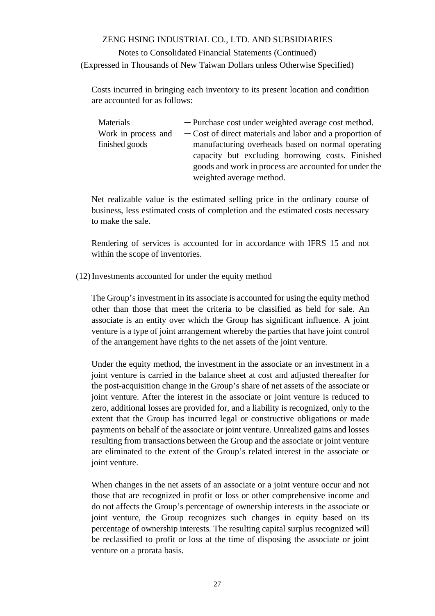Costs incurred in bringing each inventory to its present location and condition are accounted for as follows:

| Materials           | - Purchase cost under weighted average cost method.      |  |  |  |  |
|---------------------|----------------------------------------------------------|--|--|--|--|
| Work in process and | - Cost of direct materials and labor and a proportion of |  |  |  |  |
| finished goods      | manufacturing overheads based on normal operating        |  |  |  |  |
|                     | capacity but excluding borrowing costs. Finished         |  |  |  |  |
|                     | goods and work in process are accounted for under the    |  |  |  |  |
|                     | weighted average method.                                 |  |  |  |  |

Net realizable value is the estimated selling price in the ordinary course of business, less estimated costs of completion and the estimated costs necessary to make the sale.

Rendering of services is accounted for in accordance with IFRS 15 and not within the scope of inventories.

(12)Investments accounted for under the equity method

The Group's investment in its associate is accounted for using the equity method other than those that meet the criteria to be classified as held for sale. An associate is an entity over which the Group has significant influence. A joint venture is a type of joint arrangement whereby the parties that have joint control of the arrangement have rights to the net assets of the joint venture.

Under the equity method, the investment in the associate or an investment in a joint venture is carried in the balance sheet at cost and adjusted thereafter for the post-acquisition change in the Group's share of net assets of the associate or joint venture. After the interest in the associate or joint venture is reduced to zero, additional losses are provided for, and a liability is recognized, only to the extent that the Group has incurred legal or constructive obligations or made payments on behalf of the associate or joint venture. Unrealized gains and losses resulting from transactions between the Group and the associate or joint venture are eliminated to the extent of the Group's related interest in the associate or joint venture.

When changes in the net assets of an associate or a joint venture occur and not those that are recognized in profit or loss or other comprehensive income and do not affects the Group's percentage of ownership interests in the associate or joint venture, the Group recognizes such changes in equity based on its percentage of ownership interests. The resulting capital surplus recognized will be reclassified to profit or loss at the time of disposing the associate or joint venture on a prorata basis.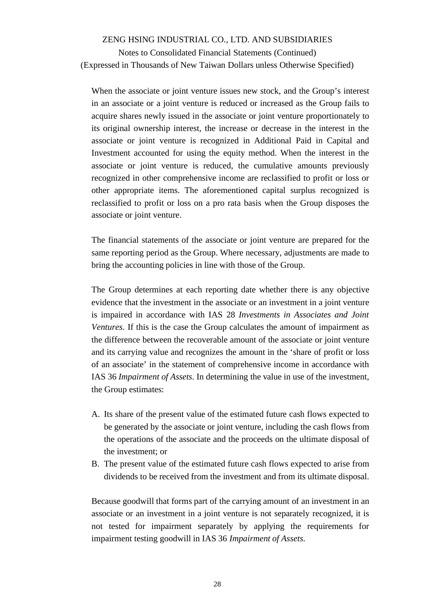Notes to Consolidated Financial Statements (Continued) (Expressed in Thousands of New Taiwan Dollars unless Otherwise Specified)

When the associate or joint venture issues new stock, and the Group's interest in an associate or a joint venture is reduced or increased as the Group fails to acquire shares newly issued in the associate or joint venture proportionately to its original ownership interest, the increase or decrease in the interest in the associate or joint venture is recognized in Additional Paid in Capital and Investment accounted for using the equity method. When the interest in the associate or joint venture is reduced, the cumulative amounts previously recognized in other comprehensive income are reclassified to profit or loss or other appropriate items. The aforementioned capital surplus recognized is reclassified to profit or loss on a pro rata basis when the Group disposes the associate or joint venture.

The financial statements of the associate or joint venture are prepared for the same reporting period as the Group. Where necessary, adjustments are made to bring the accounting policies in line with those of the Group.

The Group determines at each reporting date whether there is any objective evidence that the investment in the associate or an investment in a joint venture is impaired in accordance with IAS 28 *Investments in Associates and Joint Ventures*. If this is the case the Group calculates the amount of impairment as the difference between the recoverable amount of the associate or joint venture and its carrying value and recognizes the amount in the 'share of profit or loss of an associate' in the statement of comprehensive income in accordance with IAS 36 *Impairment of Assets*. In determining the value in use of the investment, the Group estimates:

- A. Its share of the present value of the estimated future cash flows expected to be generated by the associate or joint venture, including the cash flows from the operations of the associate and the proceeds on the ultimate disposal of the investment; or
- B. The present value of the estimated future cash flows expected to arise from dividends to be received from the investment and from its ultimate disposal.

Because goodwill that forms part of the carrying amount of an investment in an associate or an investment in a joint venture is not separately recognized, it is not tested for impairment separately by applying the requirements for impairment testing goodwill in IAS 36 *Impairment of Assets*.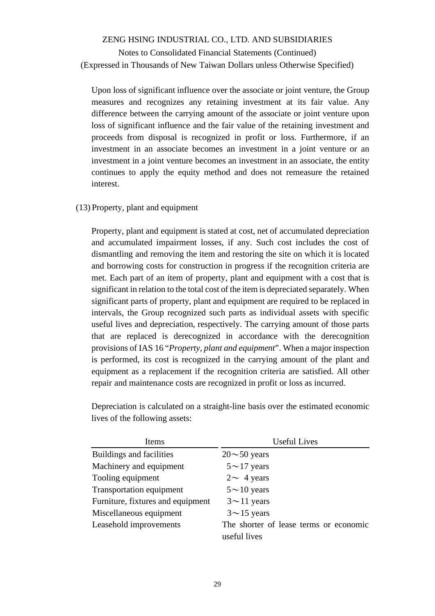### Notes to Consolidated Financial Statements (Continued) (Expressed in Thousands of New Taiwan Dollars unless Otherwise Specified)

Upon loss of significant influence over the associate or joint venture, the Group measures and recognizes any retaining investment at its fair value. Any difference between the carrying amount of the associate or joint venture upon loss of significant influence and the fair value of the retaining investment and proceeds from disposal is recognized in profit or loss. Furthermore, if an investment in an associate becomes an investment in a joint venture or an investment in a joint venture becomes an investment in an associate, the entity continues to apply the equity method and does not remeasure the retained interest.

#### (13) Property, plant and equipment

Property, plant and equipment is stated at cost, net of accumulated depreciation and accumulated impairment losses, if any. Such cost includes the cost of dismantling and removing the item and restoring the site on which it is located and borrowing costs for construction in progress if the recognition criteria are met. Each part of an item of property, plant and equipment with a cost that is significant in relation to the total cost of the item is depreciated separately. When significant parts of property, plant and equipment are required to be replaced in intervals, the Group recognized such parts as individual assets with specific useful lives and depreciation, respectively. The carrying amount of those parts that are replaced is derecognized in accordance with the derecognition provisions of IAS 16 "*Property, plant and equipment*". When a major inspection is performed, its cost is recognized in the carrying amount of the plant and equipment as a replacement if the recognition criteria are satisfied. All other repair and maintenance costs are recognized in profit or loss as incurred.

| Items                             | <b>Useful Lives</b>                    |
|-----------------------------------|----------------------------------------|
| Buildings and facilities          | $20 \sim 50$ years                     |
| Machinery and equipment           | $5 \sim 17$ years                      |
| Tooling equipment                 | $2 \sim 4$ years                       |
| <b>Transportation equipment</b>   | $5 \sim 10$ years                      |
| Furniture, fixtures and equipment | $3 \sim 11$ years                      |
| Miscellaneous equipment           | $3{\sim}15$ years                      |
| Leasehold improvements            | The shorter of lease terms or economic |
|                                   | useful lives                           |

Depreciation is calculated on a straight-line basis over the estimated economic lives of the following assets: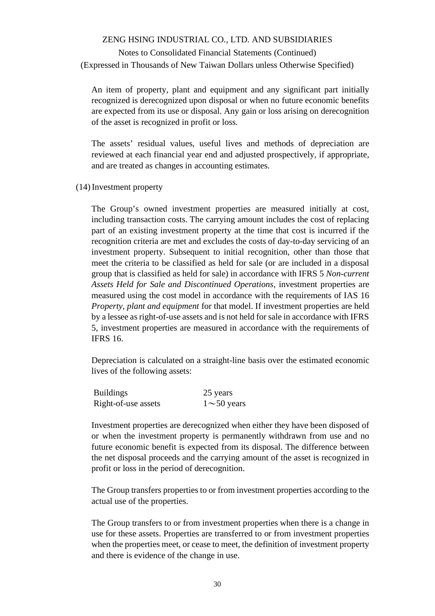# Notes to Consolidated Financial Statements (Continued) (Expressed in Thousands of New Taiwan Dollars unless Otherwise Specified)

An item of property, plant and equipment and any significant part initially recognized is derecognized upon disposal or when no future economic benefits are expected from its use or disposal. Any gain or loss arising on derecognition of the asset is recognized in profit or loss.

The assets' residual values, useful lives and methods of depreciation are reviewed at each financial year end and adjusted prospectively, if appropriate, and are treated as changes in accounting estimates.

(14)Investment property

The Group's owned investment properties are measured initially at cost, including transaction costs. The carrying amount includes the cost of replacing part of an existing investment property at the time that cost is incurred if the recognition criteria are met and excludes the costs of day-to-day servicing of an investment property. Subsequent to initial recognition, other than those that meet the criteria to be classified as held for sale (or are included in a disposal group that is classified as held for sale) in accordance with IFRS 5 *Non-current Assets Held for Sale and Discontinued Operations*, investment properties are measured using the cost model in accordance with the requirements of IAS 16 *Property, plant and equipment* for that model. If investment properties are held by a lessee as right-of-use assets and is not held for sale in accordance with IFRS 5, investment properties are measured in accordance with the requirements of IFRS 16.

Depreciation is calculated on a straight-line basis over the estimated economic lives of the following assets:

| <b>Buildings</b>    | 25 years         |
|---------------------|------------------|
| Right-of-use assets | $1\sim$ 50 years |

Investment properties are derecognized when either they have been disposed of or when the investment property is permanently withdrawn from use and no future economic benefit is expected from its disposal. The difference between the net disposal proceeds and the carrying amount of the asset is recognized in profit or loss in the period of derecognition.

The Group transfers properties to or from investment properties according to the actual use of the properties.

The Group transfers to or from investment properties when there is a change in use for these assets. Properties are transferred to or from investment properties when the properties meet, or cease to meet, the definition of investment property and there is evidence of the change in use.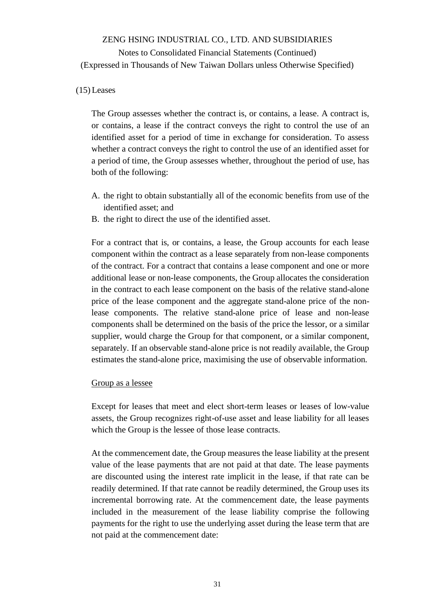### (15) Leases

The Group assesses whether the contract is, or contains, a lease. A contract is, or contains, a lease if the contract conveys the right to control the use of an identified asset for a period of time in exchange for consideration. To assess whether a contract conveys the right to control the use of an identified asset for a period of time, the Group assesses whether, throughout the period of use, has both of the following:

- A. the right to obtain substantially all of the economic benefits from use of the identified asset; and
- B. the right to direct the use of the identified asset.

For a contract that is, or contains, a lease, the Group accounts for each lease component within the contract as a lease separately from non-lease components of the contract. For a contract that contains a lease component and one or more additional lease or non-lease components, the Group allocates the consideration in the contract to each lease component on the basis of the relative stand-alone price of the lease component and the aggregate stand-alone price of the nonlease components. The relative stand-alone price of lease and non-lease components shall be determined on the basis of the price the lessor, or a similar supplier, would charge the Group for that component, or a similar component, separately. If an observable stand-alone price is not readily available, the Group estimates the stand-alone price, maximising the use of observable information.

#### Group as a lessee

Except for leases that meet and elect short-term leases or leases of low-value assets, the Group recognizes right-of-use asset and lease liability for all leases which the Group is the lessee of those lease contracts.

At the commencement date, the Group measures the lease liability at the present value of the lease payments that are not paid at that date. The lease payments are discounted using the interest rate implicit in the lease, if that rate can be readily determined. If that rate cannot be readily determined, the Group uses its incremental borrowing rate. At the commencement date, the lease payments included in the measurement of the lease liability comprise the following payments for the right to use the underlying asset during the lease term that are not paid at the commencement date: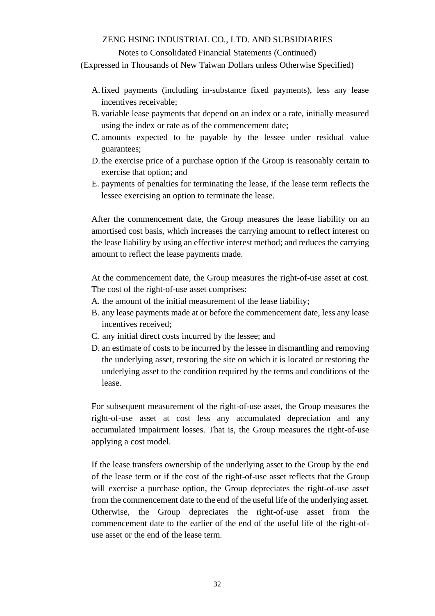#### Notes to Consolidated Financial Statements (Continued)

(Expressed in Thousands of New Taiwan Dollars unless Otherwise Specified)

- A.fixed payments (including in-substance fixed payments), less any lease incentives receivable;
- B. variable lease payments that depend on an index or a rate, initially measured using the index or rate as of the commencement date;
- C. amounts expected to be payable by the lessee under residual value guarantees;
- D.the exercise price of a purchase option if the Group is reasonably certain to exercise that option; and
- E. payments of penalties for terminating the lease, if the lease term reflects the lessee exercising an option to terminate the lease.

After the commencement date, the Group measures the lease liability on an amortised cost basis, which increases the carrying amount to reflect interest on the lease liability by using an effective interest method; and reduces the carrying amount to reflect the lease payments made.

At the commencement date, the Group measures the right-of-use asset at cost. The cost of the right-of-use asset comprises:

- A. the amount of the initial measurement of the lease liability;
- B. any lease payments made at or before the commencement date, less any lease incentives received;
- C. any initial direct costs incurred by the lessee; and
- D. an estimate of costs to be incurred by the lessee in dismantling and removing the underlying asset, restoring the site on which it is located or restoring the underlying asset to the condition required by the terms and conditions of the lease.

For subsequent measurement of the right-of-use asset, the Group measures the right-of-use asset at cost less any accumulated depreciation and any accumulated impairment losses. That is, the Group measures the right-of-use applying a cost model.

If the lease transfers ownership of the underlying asset to the Group by the end of the lease term or if the cost of the right-of-use asset reflects that the Group will exercise a purchase option, the Group depreciates the right-of-use asset from the commencement date to the end of the useful life of the underlying asset. Otherwise, the Group depreciates the right-of-use asset from the commencement date to the earlier of the end of the useful life of the right-ofuse asset or the end of the lease term.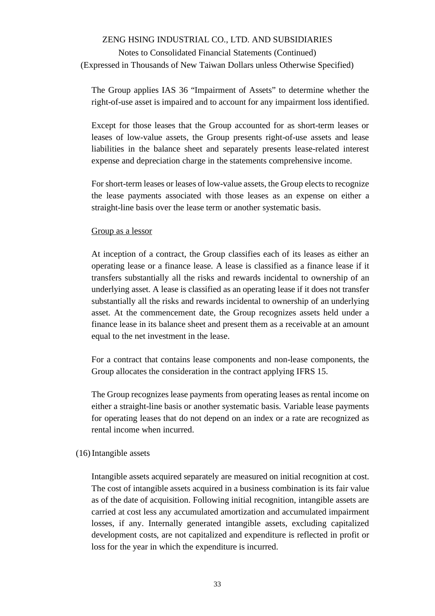# Notes to Consolidated Financial Statements (Continued) (Expressed in Thousands of New Taiwan Dollars unless Otherwise Specified)

The Group applies IAS 36 "Impairment of Assets" to determine whether the right-of-use asset is impaired and to account for any impairment loss identified.

Except for those leases that the Group accounted for as short-term leases or leases of low-value assets, the Group presents right-of-use assets and lease liabilities in the balance sheet and separately presents lease-related interest expense and depreciation charge in the statements comprehensive income.

For short-term leases or leases of low-value assets, the Group elects to recognize the lease payments associated with those leases as an expense on either a straight-line basis over the lease term or another systematic basis.

#### Group as a lessor

At inception of a contract, the Group classifies each of its leases as either an operating lease or a finance lease. A lease is classified as a finance lease if it transfers substantially all the risks and rewards incidental to ownership of an underlying asset. A lease is classified as an operating lease if it does not transfer substantially all the risks and rewards incidental to ownership of an underlying asset. At the commencement date, the Group recognizes assets held under a finance lease in its balance sheet and present them as a receivable at an amount equal to the net investment in the lease.

For a contract that contains lease components and non-lease components, the Group allocates the consideration in the contract applying IFRS 15.

The Group recognizes lease payments from operating leases as rental income on either a straight-line basis or another systematic basis. Variable lease payments for operating leases that do not depend on an index or a rate are recognized as rental income when incurred.

#### (16)Intangible assets

Intangible assets acquired separately are measured on initial recognition at cost. The cost of intangible assets acquired in a business combination is its fair value as of the date of acquisition. Following initial recognition, intangible assets are carried at cost less any accumulated amortization and accumulated impairment losses, if any. Internally generated intangible assets, excluding capitalized development costs, are not capitalized and expenditure is reflected in profit or loss for the year in which the expenditure is incurred.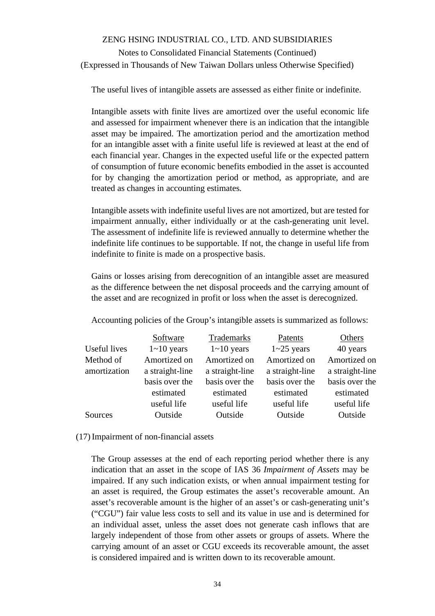The useful lives of intangible assets are assessed as either finite or indefinite.

Intangible assets with finite lives are amortized over the useful economic life and assessed for impairment whenever there is an indication that the intangible asset may be impaired. The amortization period and the amortization method for an intangible asset with a finite useful life is reviewed at least at the end of each financial year. Changes in the expected useful life or the expected pattern of consumption of future economic benefits embodied in the asset is accounted for by changing the amortization period or method, as appropriate, and are treated as changes in accounting estimates.

Intangible assets with indefinite useful lives are not amortized, but are tested for impairment annually, either individually or at the cash-generating unit level. The assessment of indefinite life is reviewed annually to determine whether the indefinite life continues to be supportable. If not, the change in useful life from indefinite to finite is made on a prospective basis.

Gains or losses arising from derecognition of an intangible asset are measured as the difference between the net disposal proceeds and the carrying amount of the asset and are recognized in profit or loss when the asset is derecognized.

Accounting policies of the Group's intangible assets is summarized as follows:

|              | Software        | Trademarks        | Patents           | Others          |
|--------------|-----------------|-------------------|-------------------|-----------------|
| Useful lives | $1 - 10$ years  | $1 \sim 10$ years | $1 \sim 25$ years | 40 years        |
| Method of    | Amortized on    | Amortized on      | Amortized on      | Amortized on    |
| amortization | a straight-line | a straight-line   | a straight-line   | a straight-line |
|              | basis over the  | basis over the    | basis over the    | basis over the  |
|              | estimated       | estimated         | estimated         | estimated       |
|              | useful life     | useful life       | useful life       | useful life     |
| Sources      | Outside         | Outside           | Outside           | Outside         |

#### (17)Impairment of non-financial assets

The Group assesses at the end of each reporting period whether there is any indication that an asset in the scope of IAS 36 *Impairment of Assets* may be impaired. If any such indication exists, or when annual impairment testing for an asset is required, the Group estimates the asset's recoverable amount. An asset's recoverable amount is the higher of an asset's or cash-generating unit's ("CGU") fair value less costs to sell and its value in use and is determined for an individual asset, unless the asset does not generate cash inflows that are largely independent of those from other assets or groups of assets. Where the carrying amount of an asset or CGU exceeds its recoverable amount, the asset is considered impaired and is written down to its recoverable amount.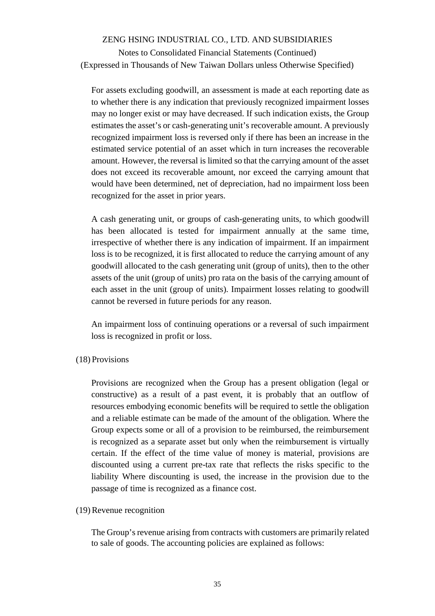Notes to Consolidated Financial Statements (Continued) (Expressed in Thousands of New Taiwan Dollars unless Otherwise Specified)

For assets excluding goodwill, an assessment is made at each reporting date as to whether there is any indication that previously recognized impairment losses may no longer exist or may have decreased. If such indication exists, the Group estimates the asset's or cash-generating unit's recoverable amount. A previously recognized impairment loss is reversed only if there has been an increase in the estimated service potential of an asset which in turn increases the recoverable amount. However, the reversal is limited so that the carrying amount of the asset does not exceed its recoverable amount, nor exceed the carrying amount that would have been determined, net of depreciation, had no impairment loss been recognized for the asset in prior years.

A cash generating unit, or groups of cash-generating units, to which goodwill has been allocated is tested for impairment annually at the same time, irrespective of whether there is any indication of impairment. If an impairment loss is to be recognized, it is first allocated to reduce the carrying amount of any goodwill allocated to the cash generating unit (group of units), then to the other assets of the unit (group of units) pro rata on the basis of the carrying amount of each asset in the unit (group of units). Impairment losses relating to goodwill cannot be reversed in future periods for any reason.

An impairment loss of continuing operations or a reversal of such impairment loss is recognized in profit or loss.

#### (18) Provisions

Provisions are recognized when the Group has a present obligation (legal or constructive) as a result of a past event, it is probably that an outflow of resources embodying economic benefits will be required to settle the obligation and a reliable estimate can be made of the amount of the obligation. Where the Group expects some or all of a provision to be reimbursed, the reimbursement is recognized as a separate asset but only when the reimbursement is virtually certain. If the effect of the time value of money is material, provisions are discounted using a current pre-tax rate that reflects the risks specific to the liability Where discounting is used, the increase in the provision due to the passage of time is recognized as a finance cost.

#### (19)Revenue recognition

The Group's revenue arising from contracts with customers are primarily related to sale of goods. The accounting policies are explained as follows: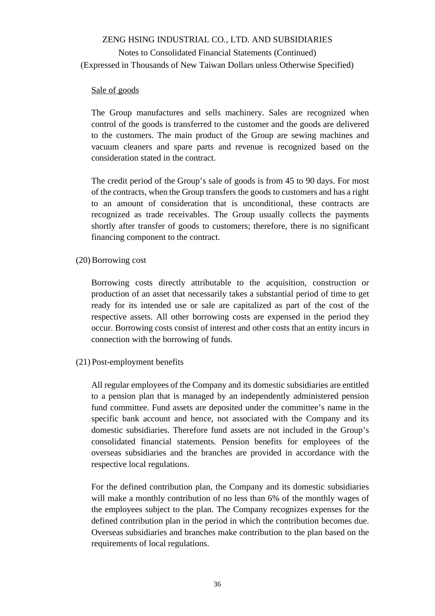### Sale of goods

The Group manufactures and sells machinery. Sales are recognized when control of the goods is transferred to the customer and the goods are delivered to the customers. The main product of the Group are sewing machines and vacuum cleaners and spare parts and revenue is recognized based on the consideration stated in the contract.

The credit period of the Group's sale of goods is from 45 to 90 days. For most of the contracts, when the Group transfers the goods to customers and has a right to an amount of consideration that is unconditional, these contracts are recognized as trade receivables. The Group usually collects the payments shortly after transfer of goods to customers; therefore, there is no significant financing component to the contract.

(20)Borrowing cost

Borrowing costs directly attributable to the acquisition, construction or production of an asset that necessarily takes a substantial period of time to get ready for its intended use or sale are capitalized as part of the cost of the respective assets. All other borrowing costs are expensed in the period they occur. Borrowing costs consist of interest and other costs that an entity incurs in connection with the borrowing of funds.

(21) Post-employment benefits

All regular employees of the Company and its domestic subsidiaries are entitled to a pension plan that is managed by an independently administered pension fund committee. Fund assets are deposited under the committee's name in the specific bank account and hence, not associated with the Company and its domestic subsidiaries. Therefore fund assets are not included in the Group's consolidated financial statements. Pension benefits for employees of the overseas subsidiaries and the branches are provided in accordance with the respective local regulations.

For the defined contribution plan, the Company and its domestic subsidiaries will make a monthly contribution of no less than 6% of the monthly wages of the employees subject to the plan. The Company recognizes expenses for the defined contribution plan in the period in which the contribution becomes due. Overseas subsidiaries and branches make contribution to the plan based on the requirements of local regulations.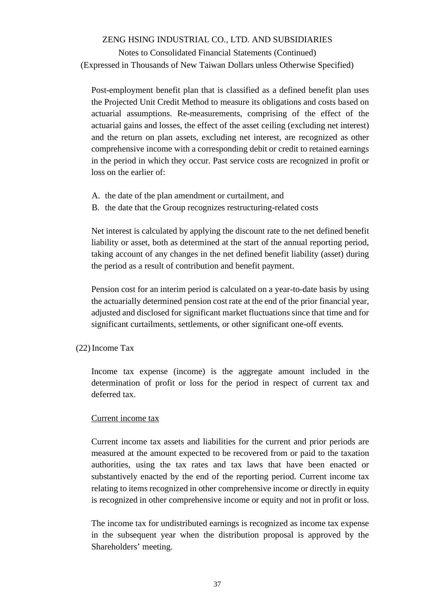# Notes to Consolidated Financial Statements (Continued) (Expressed in Thousands of New Taiwan Dollars unless Otherwise Specified)

Post-employment benefit plan that is classified as a defined benefit plan uses the Projected Unit Credit Method to measure its obligations and costs based on actuarial assumptions. Re-measurements, comprising of the effect of the actuarial gains and losses, the effect of the asset ceiling (excluding net interest) and the return on plan assets, excluding net interest, are recognized as other comprehensive income with a corresponding debit or credit to retained earnings in the period in which they occur. Past service costs are recognized in profit or loss on the earlier of:

- A. the date of the plan amendment or curtailment, and
- B. the date that the Group recognizes restructuring-related costs

Net interest is calculated by applying the discount rate to the net defined benefit liability or asset, both as determined at the start of the annual reporting period, taking account of any changes in the net defined benefit liability (asset) during the period as a result of contribution and benefit payment.

Pension cost for an interim period is calculated on a year-to-date basis by using the actuarially determined pension cost rate at the end of the prior financial year, adjusted and disclosed for significant market fluctuations since that time and for significant curtailments, settlements, or other significant one-off events.

## (22)Income Tax

Income tax expense (income) is the aggregate amount included in the determination of profit or loss for the period in respect of current tax and deferred tax.

## Current income tax

Current income tax assets and liabilities for the current and prior periods are measured at the amount expected to be recovered from or paid to the taxation authorities, using the tax rates and tax laws that have been enacted or substantively enacted by the end of the reporting period. Current income tax relating to items recognized in other comprehensive income or directly in equity is recognized in other comprehensive income or equity and not in profit or loss.

The income tax for undistributed earnings is recognized as income tax expense in the subsequent year when the distribution proposal is approved by the Shareholders' meeting.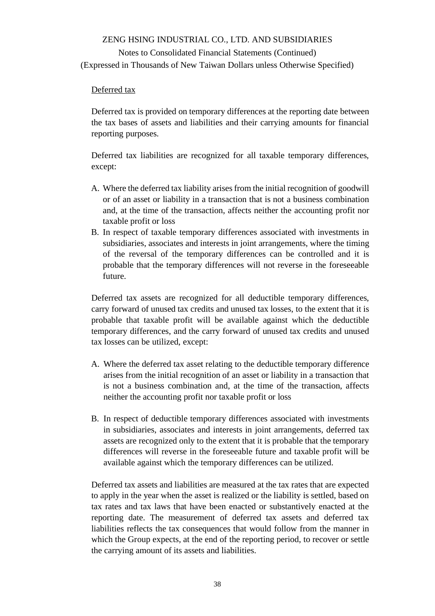# Notes to Consolidated Financial Statements (Continued) (Expressed in Thousands of New Taiwan Dollars unless Otherwise Specified)

### Deferred tax

Deferred tax is provided on temporary differences at the reporting date between the tax bases of assets and liabilities and their carrying amounts for financial reporting purposes.

Deferred tax liabilities are recognized for all taxable temporary differences, except:

- A. Where the deferred tax liability arises from the initial recognition of goodwill or of an asset or liability in a transaction that is not a business combination and, at the time of the transaction, affects neither the accounting profit nor taxable profit or loss
- B. In respect of taxable temporary differences associated with investments in subsidiaries, associates and interests in joint arrangements, where the timing of the reversal of the temporary differences can be controlled and it is probable that the temporary differences will not reverse in the foreseeable future.

Deferred tax assets are recognized for all deductible temporary differences, carry forward of unused tax credits and unused tax losses, to the extent that it is probable that taxable profit will be available against which the deductible temporary differences, and the carry forward of unused tax credits and unused tax losses can be utilized, except:

- A. Where the deferred tax asset relating to the deductible temporary difference arises from the initial recognition of an asset or liability in a transaction that is not a business combination and, at the time of the transaction, affects neither the accounting profit nor taxable profit or loss
- B. In respect of deductible temporary differences associated with investments in subsidiaries, associates and interests in joint arrangements, deferred tax assets are recognized only to the extent that it is probable that the temporary differences will reverse in the foreseeable future and taxable profit will be available against which the temporary differences can be utilized.

Deferred tax assets and liabilities are measured at the tax rates that are expected to apply in the year when the asset is realized or the liability is settled, based on tax rates and tax laws that have been enacted or substantively enacted at the reporting date. The measurement of deferred tax assets and deferred tax liabilities reflects the tax consequences that would follow from the manner in which the Group expects, at the end of the reporting period, to recover or settle the carrying amount of its assets and liabilities.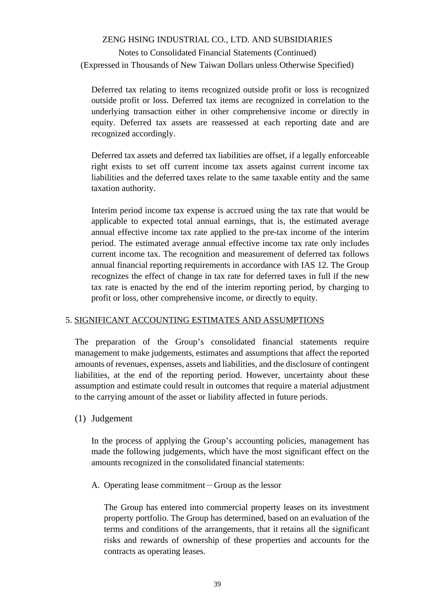# Notes to Consolidated Financial Statements (Continued) (Expressed in Thousands of New Taiwan Dollars unless Otherwise Specified)

Deferred tax relating to items recognized outside profit or loss is recognized outside profit or loss. Deferred tax items are recognized in correlation to the underlying transaction either in other comprehensive income or directly in equity. Deferred tax assets are reassessed at each reporting date and are recognized accordingly.

Deferred tax assets and deferred tax liabilities are offset, if a legally enforceable right exists to set off current income tax assets against current income tax liabilities and the deferred taxes relate to the same taxable entity and the same taxation authority.

Interim period income tax expense is accrued using the tax rate that would be applicable to expected total annual earnings, that is, the estimated average annual effective income tax rate applied to the pre-tax income of the interim period. The estimated average annual effective income tax rate only includes current income tax. The recognition and measurement of deferred tax follows annual financial reporting requirements in accordance with IAS 12. The Group recognizes the effect of change in tax rate for deferred taxes in full if the new tax rate is enacted by the end of the interim reporting period, by charging to profit or loss, other comprehensive income, or directly to equity.

## 5. SIGNIFICANT ACCOUNTING ESTIMATES AND ASSUMPTIONS

The preparation of the Group's consolidated financial statements require management to make judgements, estimates and assumptions that affect the reported amounts of revenues, expenses, assets and liabilities, and the disclosure of contingent liabilities, at the end of the reporting period. However, uncertainty about these assumption and estimate could result in outcomes that require a material adjustment to the carrying amount of the asset or liability affected in future periods.

## (1) Judgement

In the process of applying the Group's accounting policies, management has made the following judgements, which have the most significant effect on the amounts recognized in the consolidated financial statements:

A. Operating lease commitment-Group as the lessor

The Group has entered into commercial property leases on its investment property portfolio. The Group has determined, based on an evaluation of the terms and conditions of the arrangements, that it retains all the significant risks and rewards of ownership of these properties and accounts for the contracts as operating leases.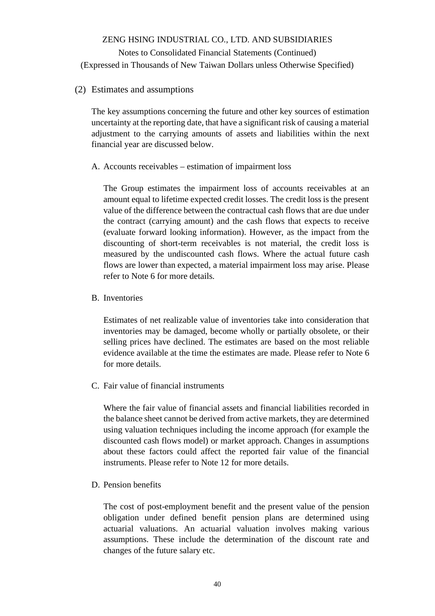(2) Estimates and assumptions

The key assumptions concerning the future and other key sources of estimation uncertainty at the reporting date, that have a significant risk of causing a material adjustment to the carrying amounts of assets and liabilities within the next financial year are discussed below.

A. Accounts receivables – estimation of impairment loss

The Group estimates the impairment loss of accounts receivables at an amount equal to lifetime expected credit losses. The credit loss is the present value of the difference between the contractual cash flows that are due under the contract (carrying amount) and the cash flows that expects to receive (evaluate forward looking information). However, as the impact from the discounting of short-term receivables is not material, the credit loss is measured by the undiscounted cash flows. Where the actual future cash flows are lower than expected, a material impairment loss may arise. Please refer to Note 6 for more details.

B. Inventories

Estimates of net realizable value of inventories take into consideration that inventories may be damaged, become wholly or partially obsolete, or their selling prices have declined. The estimates are based on the most reliable evidence available at the time the estimates are made. Please refer to Note 6 for more details.

C. Fair value of financial instruments

Where the fair value of financial assets and financial liabilities recorded in the balance sheet cannot be derived from active markets, they are determined using valuation techniques including the income approach (for example the discounted cash flows model) or market approach. Changes in assumptions about these factors could affect the reported fair value of the financial instruments. Please refer to Note 12 for more details.

D. Pension benefits

The cost of post-employment benefit and the present value of the pension obligation under defined benefit pension plans are determined using actuarial valuations. An actuarial valuation involves making various assumptions. These include the determination of the discount rate and changes of the future salary etc.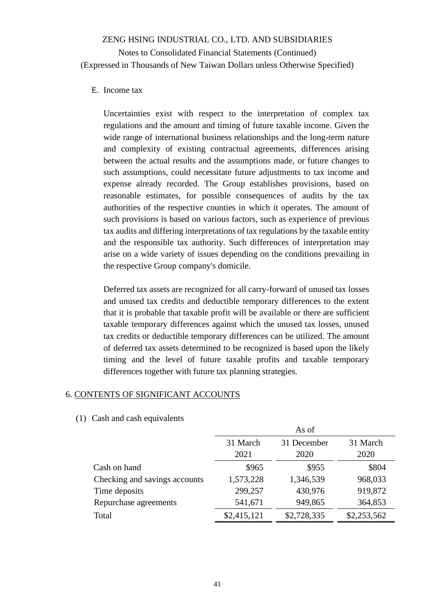#### E. Income tax

Uncertainties exist with respect to the interpretation of complex tax regulations and the amount and timing of future taxable income. Given the wide range of international business relationships and the long-term nature and complexity of existing contractual agreements, differences arising between the actual results and the assumptions made, or future changes to such assumptions, could necessitate future adjustments to tax income and expense already recorded. The Group establishes provisions, based on reasonable estimates, for possible consequences of audits by the tax authorities of the respective counties in which it operates. The amount of such provisions is based on various factors, such as experience of previous tax audits and differing interpretations of tax regulations by the taxable entity and the responsible tax authority. Such differences of interpretation may arise on a wide variety of issues depending on the conditions prevailing in the respective Group company's domicile.

Deferred tax assets are recognized for all carry-forward of unused tax losses and unused tax credits and deductible temporary differences to the extent that it is probable that taxable profit will be available or there are sufficient taxable temporary differences against which the unused tax losses, unused tax credits or deductible temporary differences can be utilized. The amount of deferred tax assets determined to be recognized is based upon the likely timing and the level of future taxable profits and taxable temporary differences together with future tax planning strategies.

## 6. CONTENTS OF SIGNIFICANT ACCOUNTS

|                               |             | As of       |             |
|-------------------------------|-------------|-------------|-------------|
|                               | 31 March    | 31 December | 31 March    |
|                               | 2021        | 2020        | 2020        |
| Cash on hand                  | \$965       | \$955       | \$804       |
| Checking and savings accounts | 1,573,228   | 1,346,539   | 968,033     |
| Time deposits                 | 299,257     | 430,976     | 919,872     |
| Repurchase agreements         | 541,671     | 949,865     | 364,853     |
| Total                         | \$2,415,121 | \$2,728,335 | \$2,253,562 |

(1) Cash and cash equivalents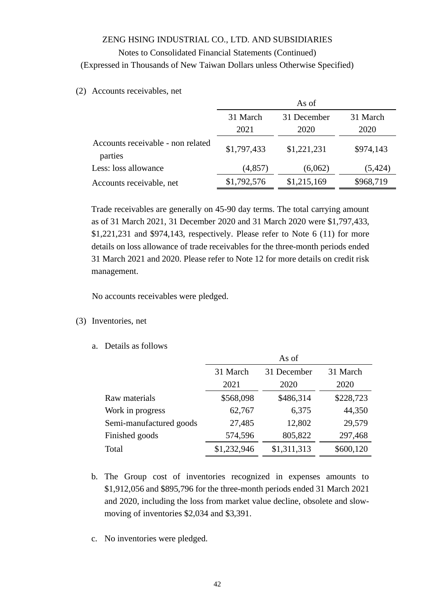#### Notes to Consolidated Financial Statements (Continued)

(Expressed in Thousands of New Taiwan Dollars unless Otherwise Specified)

(2) Accounts receivables, net

|                                              | As of            |                     |                  |  |  |
|----------------------------------------------|------------------|---------------------|------------------|--|--|
|                                              | 31 March<br>2021 | 31 December<br>2020 | 31 March<br>2020 |  |  |
| Accounts receivable - non related<br>parties | \$1,797,433      | \$1,221,231         | \$974,143        |  |  |
| Less: loss allowance                         | (4, 857)         | (6,062)             | (5, 424)         |  |  |
| Accounts receivable, net                     | \$1,792,576      | \$1,215,169         | \$968,719        |  |  |

Trade receivables are generally on 45-90 day terms. The total carrying amount as of 31 March 2021, 31 December 2020 and 31 March 2020 were \$1,797,433, \$1,221,231 and \$974,143, respectively. Please refer to Note 6 (11) for more details on loss allowance of trade receivables for the three-month periods ended 31 March 2021 and 2020. Please refer to Note 12 for more details on credit risk management.

No accounts receivables were pledged.

- (3) Inventories, net
	- a. Details as follows

|                         | As of       |             |           |  |  |
|-------------------------|-------------|-------------|-----------|--|--|
|                         | 31 March    | 31 December | 31 March  |  |  |
|                         | 2021        | 2020        | 2020      |  |  |
| Raw materials           | \$568,098   | \$486,314   | \$228,723 |  |  |
| Work in progress        | 62,767      | 6,375       | 44,350    |  |  |
| Semi-manufactured goods | 27,485      | 12,802      | 29,579    |  |  |
| Finished goods          | 574,596     | 805,822     | 297,468   |  |  |
| Total                   | \$1,232,946 | \$1,311,313 | \$600,120 |  |  |

- b. The Group cost of inventories recognized in expenses amounts to \$1,912,056 and \$895,796 for the three-month periods ended 31 March 2021 and 2020, including the loss from market value decline, obsolete and slowmoving of inventories \$2,034 and \$3,391.
- c. No inventories were pledged.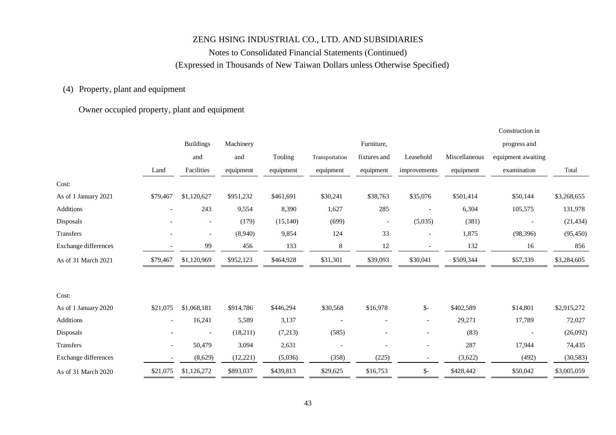## Notes to Consolidated Financial Statements (Continued) (Expressed in Thousands of New Taiwan Dollars unless Otherwise Specified)

## (4) Property, plant and equipment

## Owner occupied property, plant and equipment

|                      |                          |                          |           |           |                          |                          |                          |               | Construction in          |             |
|----------------------|--------------------------|--------------------------|-----------|-----------|--------------------------|--------------------------|--------------------------|---------------|--------------------------|-------------|
|                      |                          | <b>Buildings</b>         | Machinery |           |                          | Furniture,               |                          |               | progress and             |             |
|                      |                          | and                      | and       | Tooling   | Transportation           | fixtures and             | Leasehold                | Miscellaneous | equipment awaiting       |             |
|                      | Land                     | Facilities               | equipment | equipment | equipment                | equipment                | improvements             | equipment     | examination              | Total       |
| Cost:                |                          |                          |           |           |                          |                          |                          |               |                          |             |
| As of 1 January 2021 | \$79,467                 | \$1,120,627              | \$951,232 | \$461,691 | \$30,241                 | \$38,763                 | \$35,076                 | \$501,414     | \$50,144                 | \$3,268,655 |
| Additions            | $\overline{\phantom{a}}$ | 243                      | 9,554     | 8,390     | 1,627                    | 285                      |                          | 6,304         | 105,575                  | 131,978     |
| Disposals            |                          | $\overline{\phantom{0}}$ | (179)     | (15, 140) | (699)                    | $\overline{\phantom{a}}$ | (5,035)                  | (381)         | $\overline{\phantom{a}}$ | (21, 434)   |
| Transfers            |                          |                          | (8,940)   | 9,854     | 124                      | 33                       | $\overline{\phantom{a}}$ | 1,875         | (98, 396)                | (95, 450)   |
| Exchange differences |                          | 99                       | 456       | 133       | 8                        | 12                       | $\overline{\phantom{a}}$ | 132           | 16                       | 856         |
| As of 31 March 2021  | \$79,467                 | \$1,120,969              | \$952,123 | \$464,928 | \$31,301                 | \$39,093                 | \$30,041                 | \$509,344     | \$57,339                 | \$3,284,605 |
| Cost:                |                          |                          |           |           |                          |                          |                          |               |                          |             |
| As of 1 January 2020 | \$21,075                 | \$1,068,181              | \$914,786 | \$446,294 | \$30,568                 | \$16,978                 | $\mathsf{S}$ -           | \$402,589     | \$14,801                 | \$2,915,272 |
| Additions            | $\overline{\phantom{a}}$ | 16,241                   | 5,589     | 3,137     |                          | $\overline{a}$           | $\overline{\phantom{a}}$ | 29,271        | 17,789                   | 72,027      |
| Disposals            |                          |                          | (18,211)  | (7,213)   | (585)                    |                          |                          | (83)          |                          | (26,092)    |
| Transfers            | $\overline{\phantom{a}}$ | 50,479                   | 3,094     | 2,631     | $\overline{\phantom{a}}$ |                          | $\overline{\phantom{a}}$ | 287           | 17,944                   | 74,435      |
| Exchange differences |                          | (8,629)                  | (12, 221) | (5,036)   | (358)                    | (225)                    | $\overline{\phantom{a}}$ | (3,622)       | (492)                    | (30, 583)   |
| As of 31 March 2020  | \$21,075                 | \$1,126,272              | \$893,037 | \$439,813 | \$29,625                 | \$16,753                 | $\frac{1}{2}$            | \$428,442     | \$50,042                 | \$3,005,059 |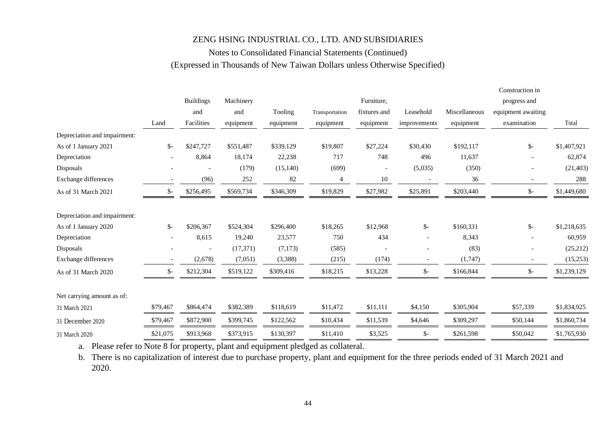## Notes to Consolidated Financial Statements (Continued) (Expressed in Thousands of New Taiwan Dollars unless Otherwise Specified)

|                              |          |                  |           |           |                |                          |                          |               | Construction in    |             |
|------------------------------|----------|------------------|-----------|-----------|----------------|--------------------------|--------------------------|---------------|--------------------|-------------|
|                              |          | <b>Buildings</b> | Machinery |           |                | Furniture,               |                          |               | progress and       |             |
|                              |          | and              | and       | Tooling   | Transportation | fixtures and             | Leasehold                | Miscellaneous | equipment awaiting |             |
|                              | Land     | Facilities       | equipment | equipment | equipment      | equipment                | improvements             | equipment     | examination        | Total       |
| Depreciation and impairment: |          |                  |           |           |                |                          |                          |               |                    |             |
| As of 1 January 2021         | \$-      | \$247,727        | \$551,487 | \$339,129 | \$19,807       | \$27,224                 | \$30,430                 | \$192,117     | $\frac{1}{2}$      | \$1,407,921 |
| Depreciation                 |          | 8,864            | 18,174    | 22,238    | 717            | 748                      | 496                      | 11,637        |                    | 62,874      |
| Disposals                    |          |                  | (179)     | (15, 140) | (699)          | $\overline{\phantom{a}}$ | (5,035)                  | (350)         |                    | (21, 403)   |
| Exchange differences         |          | (96)             | 252       | 82        | 4              | $10\,$                   |                          | 36            |                    | 288         |
| As of 31 March 2021          | \$-      | \$256,495        | \$569,734 | \$346,309 | \$19,829       | \$27,982                 | \$25,891                 | \$203,440     | \$-                | \$1,449,680 |
| Depreciation and impairment: |          |                  |           |           |                |                          |                          |               |                    |             |
| As of 1 January 2020         | $S-$     | \$206,367        | \$524,304 | \$296,400 | \$18,265       | \$12,968                 | \$-                      | \$160,331     | $\frac{1}{2}$      | \$1,218,635 |
| Depreciation                 |          | 8,615            | 19,240    | 23,577    | 750            | 434                      | $\overline{\phantom{a}}$ | 8,343         |                    | 60,959      |
| Disposals                    |          |                  | (17, 371) | (7,173)   | (585)          |                          |                          | (83)          |                    | (25, 212)   |
| Exchange differences         |          | (2,678)          | (7,051)   | (3,388)   | (215)          | (174)                    |                          | (1,747)       |                    | (15,253)    |
| As of 31 March 2020          | \$-      | \$212,304        | \$519,122 | \$309,416 | \$18,215       | \$13,228                 | $\mathsf{S}$ -           | \$166,844     | \$-                | \$1,239,129 |
| Net carrying amount as of:   |          |                  |           |           |                |                          |                          |               |                    |             |
| 31 March 2021                | \$79,467 | \$864,474        | \$382,389 | \$118,619 | \$11,472       | \$11,111                 | \$4,150                  | \$305,904     | \$57,339           | \$1,834,925 |
| 31 December 2020             | \$79,467 | \$872,900        | \$399,745 | \$122,562 | \$10,434       | \$11,539                 | \$4,646                  | \$309,297     | \$50,144           | \$1,860,734 |
| 31 March 2020                | \$21,075 | \$913,968        | \$373,915 | \$130,397 | \$11,410       | \$3,525                  | \$-                      | \$261,598     | \$50,042           | \$1,765,930 |

a. Please refer to Note 8 for property, plant and equipment pledged as collateral.

b. There is no capitalization of interest due to purchase property, plant and equipment for the three periods ended of 31 March 2021 and 2020.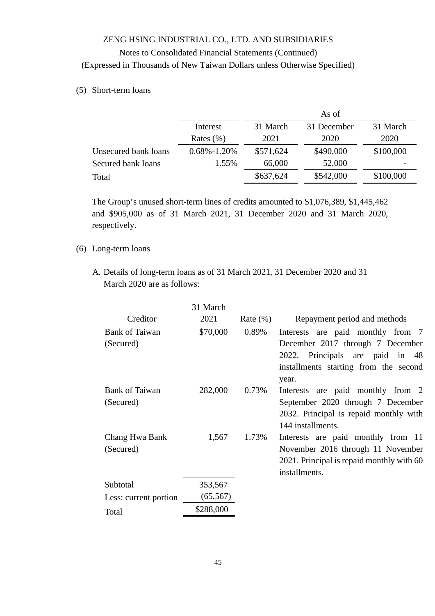#### (5) Short-term loans

|                      |                   | As of     |             |           |  |  |
|----------------------|-------------------|-----------|-------------|-----------|--|--|
|                      | Interest          | 31 March  | 31 December | 31 March  |  |  |
|                      | Rates $(\% )$     | 2021      | 2020        | 2020      |  |  |
| Unsecured bank loans | $0.68\% - 1.20\%$ | \$571,624 | \$490,000   | \$100,000 |  |  |
| Secured bank loans   | 1.55%             | 66,000    | 52,000      |           |  |  |
| Total                |                   | \$637,624 | \$542,000   | \$100,000 |  |  |

The Group's unused short-term lines of credits amounted to \$1,076,389, \$1,445,462 and \$905,000 as of 31 March 2021, 31 December 2020 and 31 March 2020, respectively.

### (6) Long-term loans

A. Details of long-term loans as of 31 March 2021, 31 December 2020 and 31 March 2020 are as follows:

| 31 March  |             |                                           |
|-----------|-------------|-------------------------------------------|
| 2021      | Rate $(\%)$ | Repayment period and methods              |
| \$70,000  | 0.89%       | Interests are paid monthly from 7         |
|           |             | December 2017 through 7 December          |
|           |             | 2022. Principals are paid in 48           |
|           |             | installments starting from the second     |
|           |             | year.                                     |
| 282,000   | 0.73%       | Interests are paid monthly from 2         |
|           |             | September 2020 through 7 December         |
|           |             | 2032. Principal is repaid monthly with    |
|           |             | 144 installments.                         |
| 1,567     | 1.73%       | Interests are paid monthly from 11        |
|           |             | November 2016 through 11 November         |
|           |             | 2021. Principal is repaid monthly with 60 |
|           |             | installments.                             |
| 353,567   |             |                                           |
| (65, 567) |             |                                           |
| \$288,000 |             |                                           |
|           |             |                                           |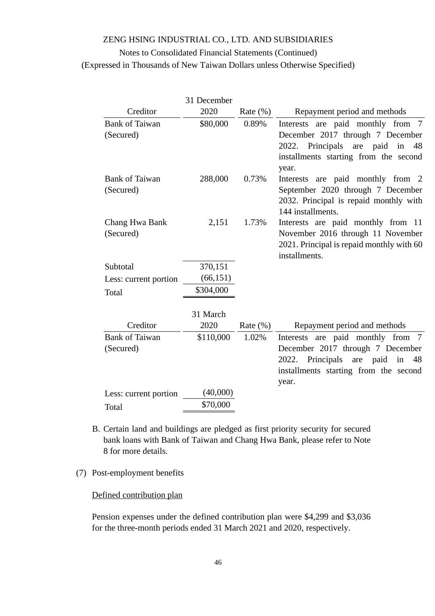## Notes to Consolidated Financial Statements (Continued) (Expressed in Thousands of New Taiwan Dollars unless Otherwise Specified)

|                                    | 31 December      |              |                                                                                                                                                                        |
|------------------------------------|------------------|--------------|------------------------------------------------------------------------------------------------------------------------------------------------------------------------|
| Creditor                           | 2020             | Rate $(\%)$  | Repayment period and methods                                                                                                                                           |
| <b>Bank of Taiwan</b><br>(Secured) | \$80,000         | 0.89%        | Interests are paid monthly from<br>7<br>December 2017 through 7 December<br>2022. Principals<br>are paid<br>in<br>48<br>installments starting from the second<br>year. |
| <b>Bank of Taiwan</b><br>(Secured) | 288,000          | 0.73%        | Interests are paid monthly from 2<br>September 2020 through 7 December<br>2032. Principal is repaid monthly with<br>144 installments.                                  |
| Chang Hwa Bank<br>(Secured)        | 2,151            | 1.73%        | Interests are paid monthly from 11<br>November 2016 through 11 November<br>2021. Principal is repaid monthly with 60<br>installments.                                  |
| Subtotal                           | 370,151          |              |                                                                                                                                                                        |
| Less: current portion              | (66, 151)        |              |                                                                                                                                                                        |
| Total                              | \$304,000        |              |                                                                                                                                                                        |
| Creditor                           | 31 March<br>2020 | Rate $(\% )$ | Repayment period and methods                                                                                                                                           |
| <b>Bank of Taiwan</b>              | \$110,000        | 1.02%        | are paid monthly from 7<br>Interests                                                                                                                                   |
| (Secured)                          |                  |              | December 2017 through 7 December<br>Principals<br>are paid<br>in<br>2022.<br>48<br>installments starting from the second<br>year.                                      |
| Less: current portion              | (40,000)         |              |                                                                                                                                                                        |
| Total                              | \$70,000         |              |                                                                                                                                                                        |

B. Certain land and buildings are pledged as first priority security for secured bank loans with Bank of Taiwan and Chang Hwa Bank, please refer to Note 8 for more details.

### (7) Post-employment benefits

### Defined contribution plan

Pension expenses under the defined contribution plan were \$4,299 and \$3,036 for the three-month periods ended 31 March 2021 and 2020, respectively.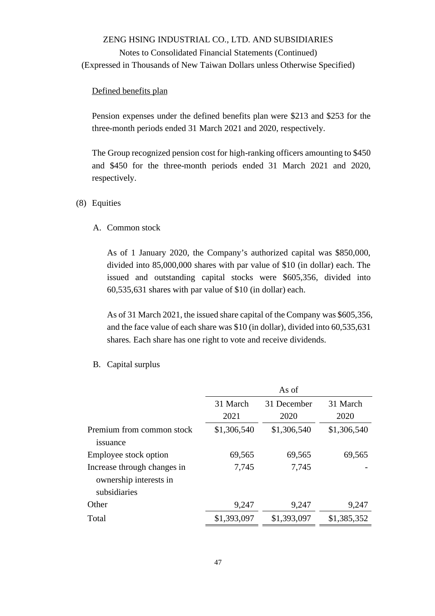#### Defined benefits plan

Pension expenses under the defined benefits plan were \$213 and \$253 for the three-month periods ended 31 March 2021 and 2020, respectively.

The Group recognized pension cost for high-ranking officers amounting to \$450 and \$450 for the three-month periods ended 31 March 2021 and 2020, respectively.

#### (8) Equities

#### A. Common stock

As of 1 January 2020, the Company's authorized capital was \$850,000, divided into 85,000,000 shares with par value of \$10 (in dollar) each. The issued and outstanding capital stocks were \$605,356, divided into 60,535,631 shares with par value of \$10 (in dollar) each.

As of 31 March 2021, the issued share capital of the Company was \$605,356, and the face value of each share was \$10 (in dollar), divided into 60,535,631 shares. Each share has one right to vote and receive dividends.

#### As of 31 March 2021 31 December 2020 31 March 2020 Premium from common stock issuance \$1,306,540 \$1,306,540 \$1,306,540 Employee stock option 69,565 69,565 69,565 Increase through changes in ownership interests in subsidiaries 7,745 7,745 - Other 9,247 9,247 9,247 Total \$1,393,097 \$1,393,097 \$1,385,352

B. Capital surplus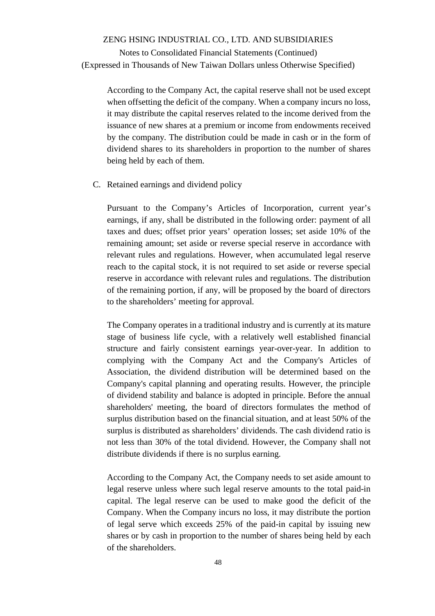Notes to Consolidated Financial Statements (Continued) (Expressed in Thousands of New Taiwan Dollars unless Otherwise Specified)

According to the Company Act, the capital reserve shall not be used except when offsetting the deficit of the company. When a company incurs no loss, it may distribute the capital reserves related to the income derived from the issuance of new shares at a premium or income from endowments received by the company. The distribution could be made in cash or in the form of dividend shares to its shareholders in proportion to the number of shares being held by each of them.

C. Retained earnings and dividend policy

Pursuant to the Company's Articles of Incorporation, current year's earnings, if any, shall be distributed in the following order: payment of all taxes and dues; offset prior years' operation losses; set aside 10% of the remaining amount; set aside or reverse special reserve in accordance with relevant rules and regulations. However, when accumulated legal reserve reach to the capital stock, it is not required to set aside or reverse special reserve in accordance with relevant rules and regulations. The distribution of the remaining portion, if any, will be proposed by the board of directors to the shareholders' meeting for approval.

The Company operates in a traditional industry and is currently at its mature stage of business life cycle, with a relatively well established financial structure and fairly consistent earnings year-over-year. In addition to complying with the Company Act and the Company's Articles of Association, the dividend distribution will be determined based on the Company's capital planning and operating results. However, the principle of dividend stability and balance is adopted in principle. Before the annual shareholders' meeting, the board of directors formulates the method of surplus distribution based on the financial situation, and at least 50% of the surplus is distributed as shareholders' dividends. The cash dividend ratio is not less than 30% of the total dividend. However, the Company shall not distribute dividends if there is no surplus earning.

According to the Company Act, the Company needs to set aside amount to legal reserve unless where such legal reserve amounts to the total paid-in capital. The legal reserve can be used to make good the deficit of the Company. When the Company incurs no loss, it may distribute the portion of legal serve which exceeds 25% of the paid-in capital by issuing new shares or by cash in proportion to the number of shares being held by each of the shareholders.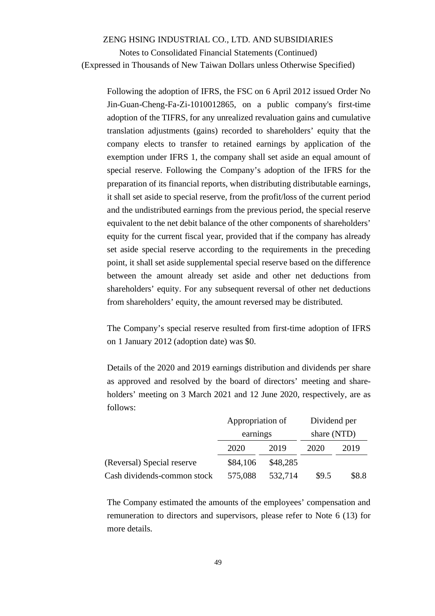Notes to Consolidated Financial Statements (Continued) (Expressed in Thousands of New Taiwan Dollars unless Otherwise Specified)

Following the adoption of IFRS, the FSC on 6 April 2012 issued Order No Jin-Guan-Cheng-Fa-Zi-1010012865, on a public company's first-time adoption of the TIFRS, for any unrealized revaluation gains and cumulative translation adjustments (gains) recorded to shareholders' equity that the company elects to transfer to retained earnings by application of the exemption under IFRS 1, the company shall set aside an equal amount of special reserve. Following the Company's adoption of the IFRS for the preparation of its financial reports, when distributing distributable earnings, it shall set aside to special reserve, from the profit/loss of the current period and the undistributed earnings from the previous period, the special reserve equivalent to the net debit balance of the other components of shareholders' equity for the current fiscal year, provided that if the company has already set aside special reserve according to the requirements in the preceding point, it shall set aside supplemental special reserve based on the difference between the amount already set aside and other net deductions from shareholders' equity. For any subsequent reversal of other net deductions from shareholders' equity, the amount reversed may be distributed.

The Company's special reserve resulted from first-time adoption of IFRS on 1 January 2012 (adoption date) was \$0.

Details of the 2020 and 2019 earnings distribution and dividends per share as approved and resolved by the board of directors' meeting and shareholders' meeting on 3 March 2021 and 12 June 2020, respectively, are as follows:

|                             | Appropriation of |          | Dividend per |       |
|-----------------------------|------------------|----------|--------------|-------|
|                             | earnings         |          | share (NTD)  |       |
|                             | 2020             | 2019     | 2020         | 2019  |
| (Reversal) Special reserve  | \$84,106         | \$48,285 |              |       |
| Cash dividends-common stock | 575,088          | 532,714  | \$9.5        | \$8.8 |

The Company estimated the amounts of the employees' compensation and remuneration to directors and supervisors, please refer to Note 6 (13) for more details.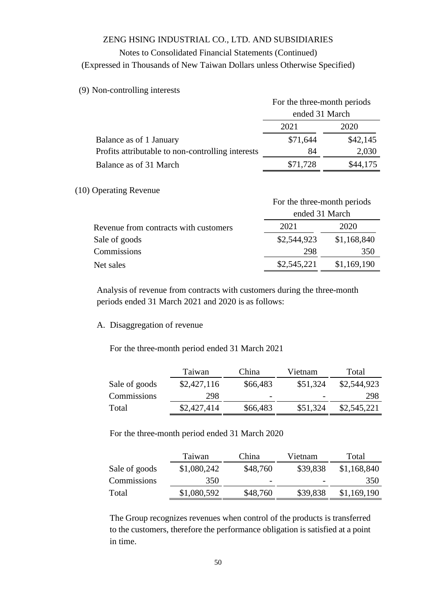# Notes to Consolidated Financial Statements (Continued)

(Expressed in Thousands of New Taiwan Dollars unless Otherwise Specified)

#### (9) Non-controlling interests

|                                                   | For the three-month periods |          |  |
|---------------------------------------------------|-----------------------------|----------|--|
|                                                   | ended 31 March              |          |  |
|                                                   | 2021                        | 2020     |  |
| Balance as of 1 January                           | \$71,644                    | \$42,145 |  |
| Profits attributable to non-controlling interests | 84                          | 2,030    |  |
| Balance as of 31 March                            | \$71,728                    | \$44,175 |  |

#### (10) Operating Revenue

|                                       | For the three-month periods |             |  |  |
|---------------------------------------|-----------------------------|-------------|--|--|
|                                       | ended 31 March              |             |  |  |
| Revenue from contracts with customers | 2021                        | 2020        |  |  |
| Sale of goods                         | \$2,544,923                 | \$1,168,840 |  |  |
| Commissions                           | 298                         | 350         |  |  |
| Net sales                             | \$2,545,221                 | \$1,169,190 |  |  |

Analysis of revenue from contracts with customers during the three-month periods ended 31 March 2021 and 2020 is as follows:

#### A. Disaggregation of revenue

For the three-month period ended 31 March 2021

|               | Taiwan      | China                    | Vietnam  | Total       |
|---------------|-------------|--------------------------|----------|-------------|
| Sale of goods | \$2,427,116 | \$66,483                 | \$51,324 | \$2,544,923 |
| Commissions   | 298         | $\overline{\phantom{a}}$ |          | 298         |
| Total         | \$2,427,414 | \$66,483                 | \$51,324 | \$2,545,221 |

For the three-month period ended 31 March 2020

|               | Taiwan      | China                    | Vietnam  | Total       |
|---------------|-------------|--------------------------|----------|-------------|
| Sale of goods | \$1,080,242 | \$48,760                 | \$39,838 | \$1,168,840 |
| Commissions   | 350         | $\overline{\phantom{0}}$ |          | 350         |
| Total         | \$1,080,592 | \$48,760                 | \$39,838 | \$1,169,190 |

The Group recognizes revenues when control of the products is transferred to the customers, therefore the performance obligation is satisfied at a point in time.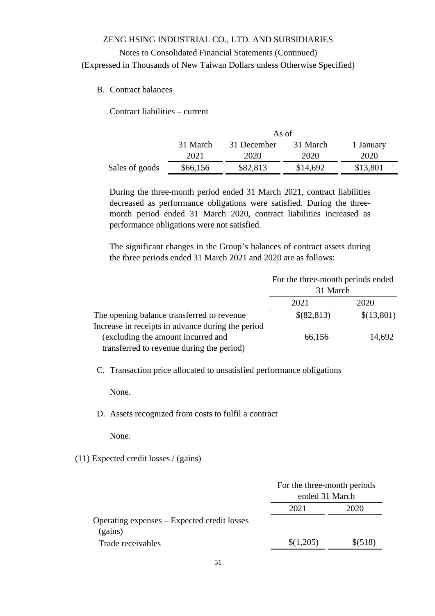## Notes to Consolidated Financial Statements (Continued) (Expressed in Thousands of New Taiwan Dollars unless Otherwise Specified)

B. Contract balances

Contract liabilities – current

|                | As of    |             |          |           |  |
|----------------|----------|-------------|----------|-----------|--|
|                | 31 March | 31 December | 31 March | 1 January |  |
|                | 2021     | 2020        | 2020     | 2020      |  |
| Sales of goods | \$66,156 | \$82,813    | \$14,692 | \$13,801  |  |

During the three-month period ended 31 March 2021, contract liabilities decreased as performance obligations were satisfied. During the threemonth period ended 31 March 2020, contract liabilities increased as performance obligations were not satisfied.

The significant changes in the Group's balances of contract assets during the three periods ended 31 March 2021 and 2020 are as follows:

|                                                   | For the three-month periods ended<br>31 March |            |
|---------------------------------------------------|-----------------------------------------------|------------|
|                                                   | 2021                                          | 2020       |
| The opening balance transferred to revenue        | \$(82,813)                                    | \$(13,801) |
| Increase in receipts in advance during the period |                                               |            |
| (excluding the amount incurred and                | 66,156                                        | 14,692     |
| transferred to revenue during the period)         |                                               |            |

C. Transaction price allocated to unsatisfied performance obligations

None.

D. Assets recognized from costs to fulfil a contract

None.

(11) Expected credit losses / (gains)

|                                             | For the three-month periods |         |
|---------------------------------------------|-----------------------------|---------|
|                                             | ended 31 March              |         |
|                                             | 2021                        | 2020    |
| Operating expenses – Expected credit losses |                             |         |
| (gains)                                     |                             |         |
| Trade receivables                           | \$(1,205)                   | \$(518) |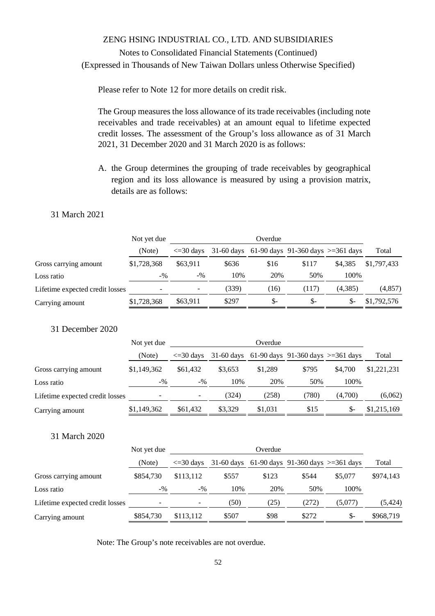Please refer to Note 12 for more details on credit risk.

The Group measures the loss allowance of its trade receivables (including note receivables and trade receivables) at an amount equal to lifetime expected credit losses. The assessment of the Group's loss allowance as of 31 March 2021, 31 December 2020 and 31 March 2020 is as follows:

A. the Group determines the grouping of trade receivables by geographical region and its loss allowance is measured by using a provision matrix, details are as follows:

#### 31 March 2021

|                                 | Not yet due | Overdue              |       |      |                                                  |         |             |
|---------------------------------|-------------|----------------------|-------|------|--------------------------------------------------|---------|-------------|
|                                 | (Note)      | $\epsilon = 30$ days |       |      | 31-60 days 61-90 days 91-360 days $> = 361$ days |         | Total       |
| Gross carrying amount           | \$1,728,368 | \$63.911             | \$636 | \$16 | \$117                                            | \$4.385 | \$1,797,433 |
| Loss ratio                      | $-9/6$      | $-9/0$               | 10%   | 20%  | 50%                                              | 100%    |             |
| Lifetime expected credit losses |             |                      | (339) | (16) | (117)                                            | (4,385) | (4,857)     |
| Carrying amount                 | \$1,728,368 | \$63,911             | \$297 | \$-  | \$-                                              | \$-     | \$1,792,576 |
|                                 |             |                      |       |      |                                                  |         |             |

31 December 2020

|                                 | Not yet due | Overdue              |         |         |                                                  |         |             |  |
|---------------------------------|-------------|----------------------|---------|---------|--------------------------------------------------|---------|-------------|--|
|                                 | (Note)      | $\epsilon = 30$ days |         |         | 31-60 days 61-90 days 91-360 days $> = 361$ days |         | Total       |  |
| Gross carrying amount           | \$1,149,362 | \$61,432             | \$3.653 | \$1,289 | \$795                                            | \$4,700 | \$1,221,231 |  |
| Loss ratio                      | $-9/0$      | $-9/0$               | 10%     | 20%     | 50%                                              | 100%    |             |  |
| Lifetime expected credit losses |             | -                    | (324)   | (258)   | (780)                                            | (4,700) | (6,062)     |  |
| Carrying amount                 | \$1,149,362 | \$61,432             | \$3,329 | \$1,031 | \$15                                             | \$-     | \$1,215,169 |  |

### 31 March 2020

|                                 | Not yet due | Overdue                  |       |       |                                                  |         |           |
|---------------------------------|-------------|--------------------------|-------|-------|--------------------------------------------------|---------|-----------|
|                                 | (Note)      | $\epsilon = 30$ days     |       |       | 31-60 days 61-90 days 91-360 days $> = 361$ days |         | Total     |
| Gross carrying amount           | \$854,730   | \$113,112                | \$557 | \$123 | \$544                                            | \$5,077 | \$974,143 |
| Loss ratio                      | $-9/0$      | $-9/0$                   | 10%   | 20%   | 50%                                              | 100%    |           |
| Lifetime expected credit losses |             | $\overline{\phantom{a}}$ | (50)  | (25)  | (272)                                            | (5,077) | (5, 424)  |
| Carrying amount                 | \$854,730   | \$113.112                | \$507 | \$98  | \$272                                            | $S-$    | \$968,719 |

Note: The Group's note receivables are not overdue.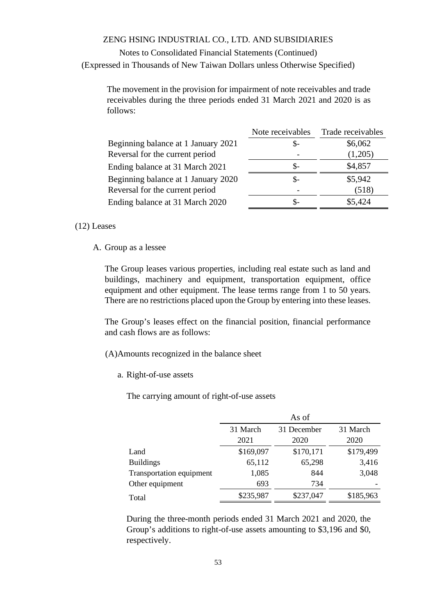## Notes to Consolidated Financial Statements (Continued) (Expressed in Thousands of New Taiwan Dollars unless Otherwise Specified)

The movement in the provision for impairment of note receivables and trade receivables during the three periods ended 31 March 2021 and 2020 is as follows:

| Note receivables | Trade receivables |
|------------------|-------------------|
| \$-              | \$6,062           |
|                  | (1,205)           |
| \$-              | \$4,857           |
| \$-              | \$5,942           |
|                  | (518)             |
| \$-              | \$5,424           |
|                  |                   |

#### (12) Leases

A. Group as a lessee

The Group leases various properties, including real estate such as land and buildings, machinery and equipment, transportation equipment, office equipment and other equipment. The lease terms range from 1 to 50 years. There are no restrictions placed upon the Group by entering into these leases.

The Group's leases effect on the financial position, financial performance and cash flows are as follows:

- (A)Amounts recognized in the balance sheet
	- a. Right-of-use assets

The carrying amount of right-of-use assets

|                          |           | As of       |           |
|--------------------------|-----------|-------------|-----------|
|                          | 31 March  | 31 December | 31 March  |
|                          | 2021      | 2020        | 2020      |
| Land                     | \$169,097 | \$170,171   | \$179,499 |
| <b>Buildings</b>         | 65,112    | 65,298      | 3,416     |
| Transportation equipment | 1,085     | 844         | 3,048     |
| Other equipment          | 693       | 734         |           |
| Total                    | \$235,987 | \$237,047   | \$185,963 |

During the three-month periods ended 31 March 2021 and 2020, the Group's additions to right-of-use assets amounting to \$3,196 and \$0, respectively.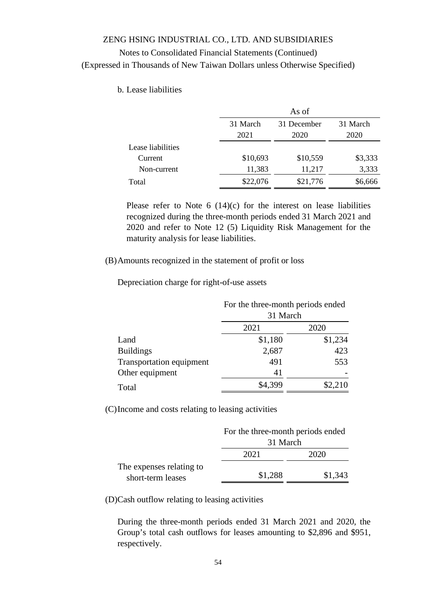### b. Lease liabilities

|                   |          | As of       |          |
|-------------------|----------|-------------|----------|
|                   | 31 March | 31 December | 31 March |
|                   | 2021     | 2020        | 2020     |
| Lease liabilities |          |             |          |
| Current           | \$10,693 | \$10,559    | \$3,333  |
| Non-current       | 11,383   | 11,217      | 3,333    |
| Total             | \$22,076 | \$21,776    | \$6,666  |

Please refer to Note  $6(14)(c)$  for the interest on lease liabilities recognized during the three-month periods ended 31 March 2021 and 2020 and refer to Note 12 (5) Liquidity Risk Management for the maturity analysis for lease liabilities.

(B)Amounts recognized in the statement of profit or loss

Depreciation charge for right-of-use assets

|                          | For the three-month periods ended |         |  |  |
|--------------------------|-----------------------------------|---------|--|--|
|                          | 31 March                          |         |  |  |
|                          | 2021                              | 2020    |  |  |
| Land                     | \$1,180                           | \$1,234 |  |  |
| <b>Buildings</b>         | 2,687                             | 423     |  |  |
| Transportation equipment | 491                               | 553     |  |  |
| Other equipment          | 41                                |         |  |  |
| Total                    | \$4,399                           | \$2,210 |  |  |

(C)Income and costs relating to leasing activities

|                          | For the three-month periods ended |         |  |
|--------------------------|-----------------------------------|---------|--|
|                          | 31 March                          |         |  |
|                          | 2021                              | 2020    |  |
| The expenses relating to |                                   |         |  |
| short-term leases        | \$1,288                           | \$1,343 |  |

(D)Cash outflow relating to leasing activities

During the three-month periods ended 31 March 2021 and 2020, the Group's total cash outflows for leases amounting to \$2,896 and \$951, respectively.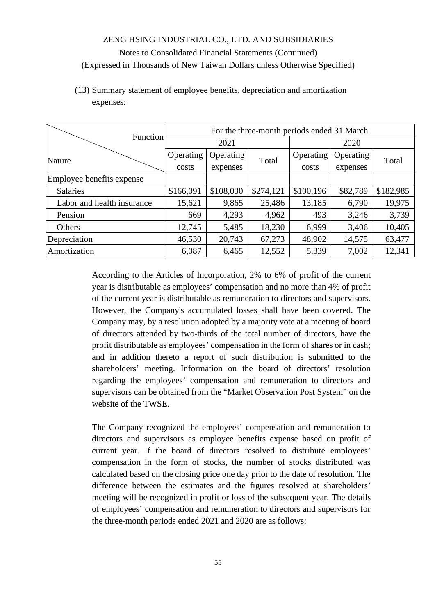(13) Summary statement of employee benefits, depreciation and amortization expenses:

|                            | For the three-month periods ended 31 March |                   |           |           |           |           |  |
|----------------------------|--------------------------------------------|-------------------|-----------|-----------|-----------|-----------|--|
| Function                   | 2021                                       |                   | 2020      |           |           |           |  |
| Nature                     | Operating                                  | Operating         |           | Operating | Operating | Total     |  |
|                            | costs                                      | Total<br>expenses |           | costs     | expenses  |           |  |
| Employee benefits expense  |                                            |                   |           |           |           |           |  |
| <b>Salaries</b>            | \$166,091                                  | \$108,030         | \$274,121 | \$100,196 | \$82,789  | \$182,985 |  |
| Labor and health insurance | 15,621                                     | 9,865             | 25,486    | 13,185    | 6,790     | 19,975    |  |
| Pension                    | 669                                        | 4,293             | 4,962     | 493       | 3,246     | 3,739     |  |
| Others                     | 12,745                                     | 5,485             | 18,230    | 6,999     | 3,406     | 10,405    |  |
| Depreciation               | 46,530                                     | 20,743            | 67,273    | 48,902    | 14,575    | 63,477    |  |
| Amortization               | 6,087                                      | 6,465             | 12,552    | 5,339     | 7,002     | 12,341    |  |

According to the Articles of Incorporation, 2% to 6% of profit of the current year is distributable as employees' compensation and no more than 4% of profit of the current year is distributable as remuneration to directors and supervisors. However, the Company's accumulated losses shall have been covered. The Company may, by a resolution adopted by a majority vote at a meeting of board of directors attended by two-thirds of the total number of directors, have the profit distributable as employees' compensation in the form of shares or in cash; and in addition thereto a report of such distribution is submitted to the shareholders' meeting. Information on the board of directors' resolution regarding the employees' compensation and remuneration to directors and supervisors can be obtained from the "Market Observation Post System" on the website of the TWSE.

The Company recognized the employees' compensation and remuneration to directors and supervisors as employee benefits expense based on profit of current year. If the board of directors resolved to distribute employees' compensation in the form of stocks, the number of stocks distributed was calculated based on the closing price one day prior to the date of resolution. The difference between the estimates and the figures resolved at shareholders' meeting will be recognized in profit or loss of the subsequent year. The details of employees' compensation and remuneration to directors and supervisors for the three-month periods ended 2021 and 2020 are as follows: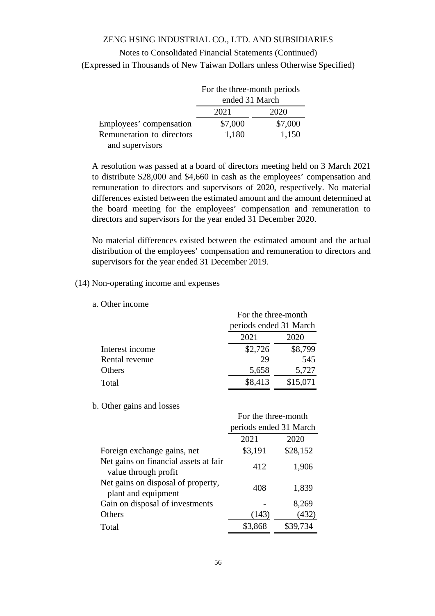Notes to Consolidated Financial Statements (Continued) (Expressed in Thousands of New Taiwan Dollars unless Otherwise Specified)

|                           | For the three-month periods |         |  |
|---------------------------|-----------------------------|---------|--|
|                           | ended 31 March              |         |  |
|                           | 2021<br>2020                |         |  |
| Employees' compensation   | \$7,000                     | \$7,000 |  |
| Remuneration to directors | 1,180                       | 1,150   |  |
| and supervisors           |                             |         |  |

A resolution was passed at a board of directors meeting held on 3 March 2021 to distribute \$28,000 and \$4,660 in cash as the employees' compensation and remuneration to directors and supervisors of 2020, respectively. No material differences existed between the estimated amount and the amount determined at the board meeting for the employees' compensation and remuneration to directors and supervisors for the year ended 31 December 2020.

No material differences existed between the estimated amount and the actual distribution of the employees' compensation and remuneration to directors and supervisors for the year ended 31 December 2019.

### (14) Non-operating income and expenses

a. Other income

|                 | For the three-month    |          |
|-----------------|------------------------|----------|
|                 | periods ended 31 March |          |
|                 | 2021                   | 2020     |
| Interest income | \$2,726                | \$8,799  |
| Rental revenue  | 29                     | 545      |
| Others          | 5,658                  | 5,727    |
| Total           | \$8,413                | \$15,071 |

#### b. Other gains and losses

|                                                               | For the three-month    |          |  |
|---------------------------------------------------------------|------------------------|----------|--|
|                                                               | periods ended 31 March |          |  |
|                                                               | 2021                   | 2020     |  |
| Foreign exchange gains, net                                   | \$3,191                | \$28,152 |  |
| Net gains on financial assets at fair<br>value through profit | 412                    | 1,906    |  |
| Net gains on disposal of property,<br>plant and equipment     | 408                    | 1,839    |  |
| Gain on disposal of investments                               |                        | 8,269    |  |
| Others                                                        | (143)                  | (432)    |  |
| Total                                                         | \$3,868                | \$39,734 |  |
|                                                               |                        |          |  |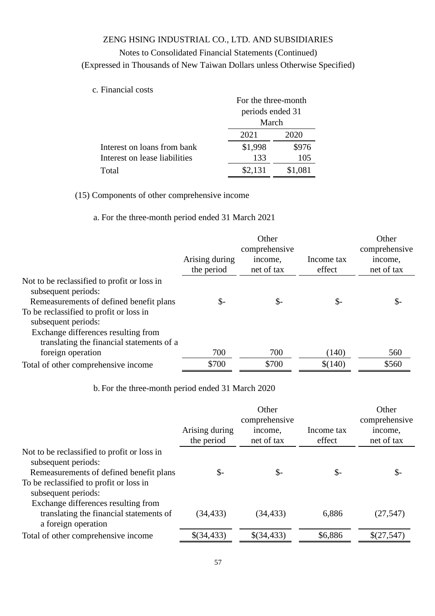## Notes to Consolidated Financial Statements (Continued)

(Expressed in Thousands of New Taiwan Dollars unless Otherwise Specified)

c. Financial costs

|                               | For the three-month<br>periods ended 31 |         |  |
|-------------------------------|-----------------------------------------|---------|--|
|                               | March                                   |         |  |
|                               | 2021<br>2020                            |         |  |
| Interest on loans from bank   | \$1,998                                 | \$976   |  |
| Interest on lease liabilities | 133                                     | 105     |  |
| Total                         | \$2,131                                 | \$1,081 |  |

(15) Components of other comprehensive income

a. For the three-month period ended 31 March 2021

|                                                                                                                                                    | Arising during<br>the period | Other<br>comprehensive<br>income,<br>net of tax | Income tax<br>effect | Other<br>comprehensive<br>income,<br>net of tax |
|----------------------------------------------------------------------------------------------------------------------------------------------------|------------------------------|-------------------------------------------------|----------------------|-------------------------------------------------|
| Not to be reclassified to profit or loss in<br>subsequent periods:<br>Remeasurements of defined benefit plans                                      | \$-                          | $\mathbb{S}^-$                                  | \$-                  | \$-                                             |
| To be reclassified to profit or loss in<br>subsequent periods:<br>Exchange differences resulting from<br>translating the financial statements of a |                              |                                                 |                      |                                                 |
| foreign operation                                                                                                                                  | 700                          | 700                                             | (140)                | 560                                             |
| Total of other comprehensive income                                                                                                                | \$700                        | \$700                                           | \$(140)              | \$560                                           |

b. For the three-month period ended 31 March 2020

|                                                                                                                                                                                 | Arising during<br>the period | Other<br>comprehensive<br>income,<br>net of tax | Income tax<br>effect | Other<br>comprehensive<br>income,<br>net of tax |
|---------------------------------------------------------------------------------------------------------------------------------------------------------------------------------|------------------------------|-------------------------------------------------|----------------------|-------------------------------------------------|
| Not to be reclassified to profit or loss in<br>subsequent periods:<br>Remeasurements of defined benefit plans<br>To be reclassified to profit or loss in<br>subsequent periods: | \$-                          | $S-$                                            | $\mathbb{S}^-$       | \$-                                             |
| Exchange differences resulting from<br>translating the financial statements of<br>a foreign operation                                                                           | (34, 433)                    | (34, 433)                                       | 6,886                | (27, 547)                                       |
| Total of other comprehensive income                                                                                                                                             | \$(34,433)                   | \$(34,433)                                      | \$6,886              | \$(27,547)                                      |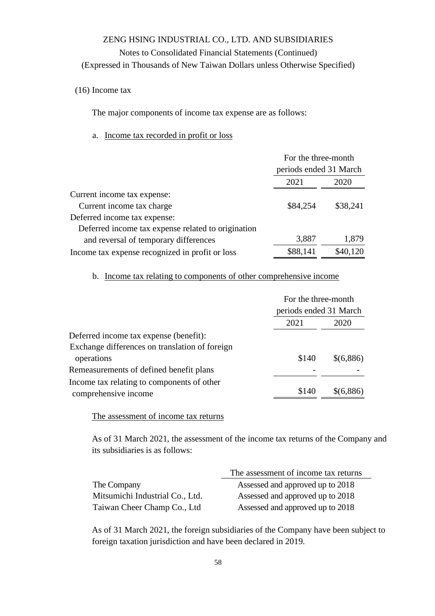### Notes to Consolidated Financial Statements (Continued)

(Expressed in Thousands of New Taiwan Dollars unless Otherwise Specified)

(16) Income tax

The major components of income tax expense are as follows:

#### a. Income tax recorded in profit or loss

|                                                    | For the three-month    |          |
|----------------------------------------------------|------------------------|----------|
|                                                    | periods ended 31 March |          |
|                                                    | 2021                   | 2020     |
| Current income tax expense:                        |                        |          |
| Current income tax charge                          | \$84,254               | \$38,241 |
| Deferred income tax expense:                       |                        |          |
| Deferred income tax expense related to origination |                        |          |
| and reversal of temporary differences              | 3,887                  | 1,879    |
| Income tax expense recognized in profit or loss    | \$88,141               | \$40,120 |

b. Income tax relating to components of other comprehensive income

| For the three-month    |           |  |
|------------------------|-----------|--|
| periods ended 31 March |           |  |
| 2021                   | 2020      |  |
|                        |           |  |
|                        |           |  |
| \$140                  | \$(6,886) |  |
|                        |           |  |
|                        |           |  |
| \$140                  | \$(6,886) |  |
|                        |           |  |

The assessment of income tax returns

As of 31 March 2021, the assessment of the income tax returns of the Company and its subsidiaries is as follows:

|                                 | The assessment of income tax returns |
|---------------------------------|--------------------------------------|
| The Company                     | Assessed and approved up to 2018     |
| Mitsumichi Industrial Co., Ltd. | Assessed and approved up to 2018     |
| Taiwan Cheer Champ Co., Ltd     | Assessed and approved up to 2018     |

As of 31 March 2021, the foreign subsidiaries of the Company have been subject to foreign taxation jurisdiction and have been declared in 2019.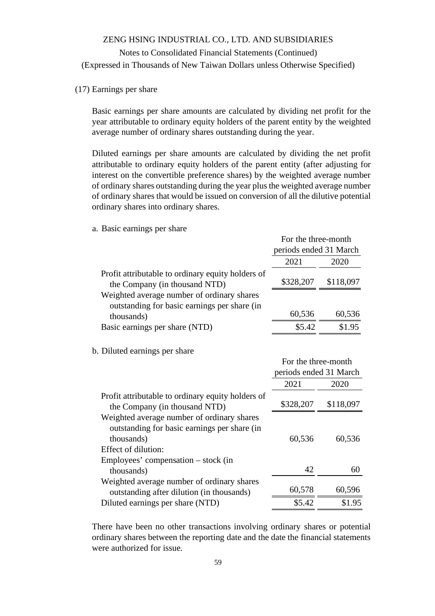#### (17) Earnings per share

Basic earnings per share amounts are calculated by dividing net profit for the year attributable to ordinary equity holders of the parent entity by the weighted average number of ordinary shares outstanding during the year.

Diluted earnings per share amounts are calculated by dividing the net profit attributable to ordinary equity holders of the parent entity (after adjusting for interest on the convertible preference shares) by the weighted average number of ordinary shares outstanding during the year plus the weighted average number of ordinary shares that would be issued on conversion of all the dilutive potential ordinary shares into ordinary shares.

For the three-month

a. Basic earnings per share

|                                                                                            | periods ended 31 March |           |
|--------------------------------------------------------------------------------------------|------------------------|-----------|
|                                                                                            | 2021                   | 2020      |
| Profit attributable to ordinary equity holders of<br>the Company (in thousand NTD)         | \$328,207              | \$118,097 |
| Weighted average number of ordinary shares<br>outstanding for basic earnings per share (in |                        |           |
| thousands)                                                                                 | 60,536                 | 60,536    |
| Basic earnings per share (NTD)                                                             | \$5.42                 | \$1.95    |

b. Diluted earnings per share

|                                                                                    | For the three-month<br>periods ended 31 March |           |  |
|------------------------------------------------------------------------------------|-----------------------------------------------|-----------|--|
|                                                                                    | 2021<br>2020                                  |           |  |
| Profit attributable to ordinary equity holders of<br>the Company (in thousand NTD) | \$328,207                                     | \$118,097 |  |
| Weighted average number of ordinary shares                                         |                                               |           |  |
| outstanding for basic earnings per share (in                                       |                                               |           |  |
| thousands)                                                                         | 60,536                                        | 60,536    |  |
| Effect of dilution:                                                                |                                               |           |  |
| Employees' compensation $-$ stock (in                                              |                                               |           |  |
| thousands)                                                                         | 42                                            | 60        |  |
| Weighted average number of ordinary shares                                         |                                               |           |  |
| outstanding after dilution (in thousands)                                          | 60,578                                        | 60,596    |  |
| Diluted earnings per share (NTD)                                                   | \$5.42                                        | \$1.95    |  |

There have been no other transactions involving ordinary shares or potential ordinary shares between the reporting date and the date the financial statements were authorized for issue.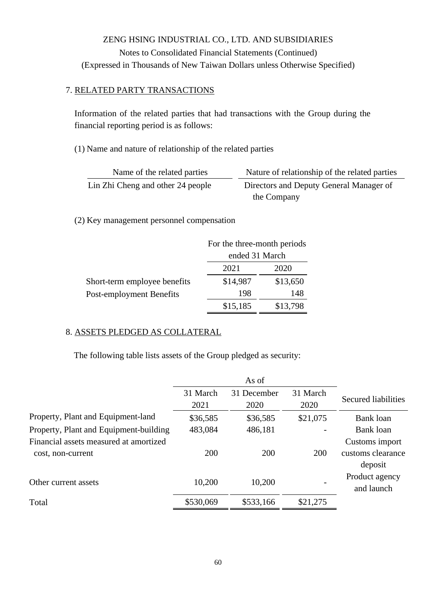### 7. RELATED PARTY TRANSACTIONS

Information of the related parties that had transactions with the Group during the financial reporting period is as follows:

(1) Name and nature of relationship of the related parties

| Name of the related parties       | Nature of relationship of the related parties |
|-----------------------------------|-----------------------------------------------|
| Lin Zhi Cheng and other 24 people | Directors and Deputy General Manager of       |
|                                   | the Company                                   |

(2) Key management personnel compensation

|                              | For the three-month periods |          |  |
|------------------------------|-----------------------------|----------|--|
|                              | ended 31 March              |          |  |
|                              | 2021<br>2020                |          |  |
| Short-term employee benefits | \$14,987                    | \$13,650 |  |
| Post-employment Benefits     | 198                         | 148      |  |
|                              | \$15,185                    | \$13,798 |  |

## 8. ASSETS PLEDGED AS COLLATERAL

The following table lists assets of the Group pledged as security:

|                                        | 31 March<br>2021 | 31 December<br>2020 | 31 March<br>2020 | Secured liabilities |
|----------------------------------------|------------------|---------------------|------------------|---------------------|
| Property, Plant and Equipment-land     | \$36,585         | \$36,585            | \$21,075         | Bank loan           |
| Property, Plant and Equipment-building | 483,084          | 486,181             |                  | Bank loan           |
| Financial assets measured at amortized |                  |                     |                  | Customs import      |
| cost, non-current                      | 200              | 200                 | 200              | customs clearance   |
|                                        |                  |                     |                  | deposit             |
| Other current assets                   | 10,200           | 10,200              |                  | Product agency      |
|                                        |                  |                     |                  | and launch          |
| Total                                  | \$530,069        | \$533,166           | \$21,275         |                     |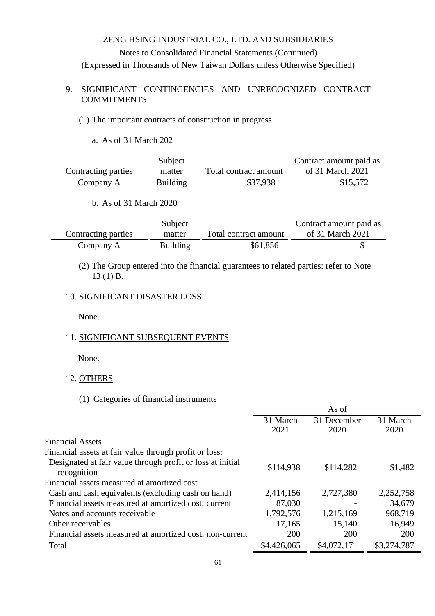### 9. SIGNIFICANT CONTINGENCIES AND UNRECOGNIZED CONTRACT **COMMITMENTS**

#### (1) The important contracts of construction in progress

a. As of 31 March 2021

|                     | Subject         |                       | Contract amount paid as |
|---------------------|-----------------|-----------------------|-------------------------|
| Contracting parties | matter          | Total contract amount | of 31 March 2021        |
| Company A           | <b>Building</b> | \$37,938              | \$15,572                |

b. As of 31 March 2020

|                     | Subject         |                       | Contract amount paid as |
|---------------------|-----------------|-----------------------|-------------------------|
| Contracting parties | matter          | Total contract amount | of 31 March 2021        |
| Company A           | <b>Building</b> | \$61,856              |                         |

### (2) The Group entered into the financial guarantees to related parties: refer to Note 13 (1) B.

#### 10. SIGNIFICANT DISASTER LOSS

None.

#### 11. SIGNIFICANT SUBSEQUENT EVENTS

None.

#### 12. OTHERS

### (1) Categories of financial instruments

|                                                                           |             | As of       |             |
|---------------------------------------------------------------------------|-------------|-------------|-------------|
|                                                                           | 31 March    | 31 December | 31 March    |
|                                                                           | 2021        | 2020        | 2020        |
| <b>Financial Assets</b>                                                   |             |             |             |
| Financial assets at fair value through profit or loss:                    |             |             |             |
| Designated at fair value through profit or loss at initial<br>recognition | \$114,938   | \$114,282   | \$1,482     |
| Financial assets measured at amortized cost                               |             |             |             |
| Cash and cash equivalents (excluding cash on hand)                        | 2,414,156   | 2,727,380   | 2,252,758   |
| Financial assets measured at amortized cost, current                      | 87,030      |             | 34,679      |
| Notes and accounts receivable                                             | 1,792,576   | 1,215,169   | 968,719     |
| Other receivables                                                         | 17,165      | 15,140      | 16,949      |
| Financial assets measured at amortized cost, non-current                  | 200         | 200         | 200         |
| Total                                                                     | \$4,426,065 | \$4,072,171 | \$3,274,787 |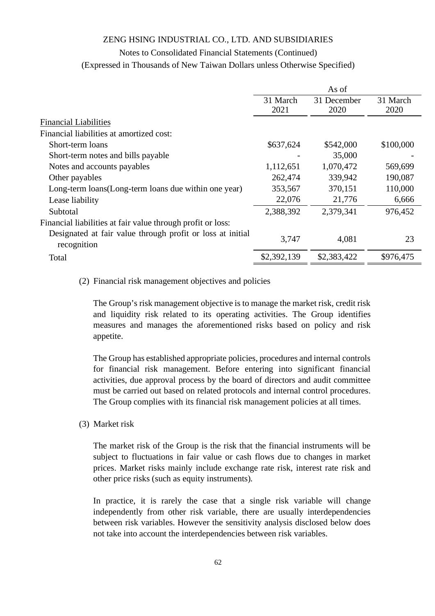#### Notes to Consolidated Financial Statements (Continued)

(Expressed in Thousands of New Taiwan Dollars unless Otherwise Specified)

|                                                                           |             | As of       |           |
|---------------------------------------------------------------------------|-------------|-------------|-----------|
|                                                                           | 31 March    | 31 December | 31 March  |
|                                                                           | 2021        | 2020        | 2020      |
| <b>Financial Liabilities</b>                                              |             |             |           |
| Financial liabilities at amortized cost:                                  |             |             |           |
| Short-term loans                                                          | \$637,624   | \$542,000   | \$100,000 |
| Short-term notes and bills payable                                        |             | 35,000      |           |
| Notes and accounts payables                                               | 1,112,651   | 1,070,472   | 569,699   |
| Other payables                                                            | 262,474     | 339,942     | 190,087   |
| Long-term loans(Long-term loans due within one year)                      | 353,567     | 370,151     | 110,000   |
| Lease liability                                                           | 22,076      | 21,776      | 6,666     |
| Subtotal                                                                  | 2,388,392   | 2,379,341   | 976,452   |
| Financial liabilities at fair value through profit or loss:               |             |             |           |
| Designated at fair value through profit or loss at initial<br>recognition | 3,747       | 4,081       | 23        |
| Total                                                                     | \$2,392,139 | \$2,383,422 | \$976,475 |

#### (2) Financial risk management objectives and policies

The Group's risk management objective is to manage the market risk, credit risk and liquidity risk related to its operating activities. The Group identifies measures and manages the aforementioned risks based on policy and risk appetite.

The Group has established appropriate policies, procedures and internal controls for financial risk management. Before entering into significant financial activities, due approval process by the board of directors and audit committee must be carried out based on related protocols and internal control procedures. The Group complies with its financial risk management policies at all times.

(3) Market risk

The market risk of the Group is the risk that the financial instruments will be subject to fluctuations in fair value or cash flows due to changes in market prices. Market risks mainly include exchange rate risk, interest rate risk and other price risks (such as equity instruments).

In practice, it is rarely the case that a single risk variable will change independently from other risk variable, there are usually interdependencies between risk variables. However the sensitivity analysis disclosed below does not take into account the interdependencies between risk variables.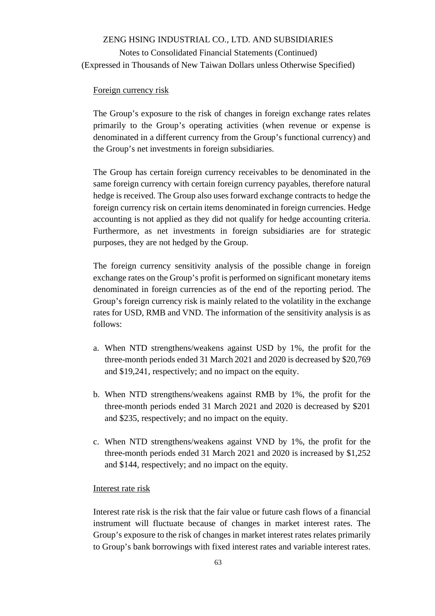#### Foreign currency risk

The Group's exposure to the risk of changes in foreign exchange rates relates primarily to the Group's operating activities (when revenue or expense is denominated in a different currency from the Group's functional currency) and the Group's net investments in foreign subsidiaries.

The Group has certain foreign currency receivables to be denominated in the same foreign currency with certain foreign currency payables, therefore natural hedge is received. The Group also uses forward exchange contracts to hedge the foreign currency risk on certain items denominated in foreign currencies. Hedge accounting is not applied as they did not qualify for hedge accounting criteria. Furthermore, as net investments in foreign subsidiaries are for strategic purposes, they are not hedged by the Group.

The foreign currency sensitivity analysis of the possible change in foreign exchange rates on the Group's profit is performed on significant monetary items denominated in foreign currencies as of the end of the reporting period. The Group's foreign currency risk is mainly related to the volatility in the exchange rates for USD, RMB and VND. The information of the sensitivity analysis is as follows:

- a. When NTD strengthens/weakens against USD by 1%, the profit for the three-month periods ended 31 March 2021 and 2020 is decreased by \$20,769 and \$19,241, respectively; and no impact on the equity.
- b. When NTD strengthens/weakens against RMB by 1%, the profit for the three-month periods ended 31 March 2021 and 2020 is decreased by \$201 and \$235, respectively; and no impact on the equity.
- c. When NTD strengthens/weakens against VND by 1%, the profit for the three-month periods ended 31 March 2021 and 2020 is increased by \$1,252 and \$144, respectively; and no impact on the equity.

#### Interest rate risk

Interest rate risk is the risk that the fair value or future cash flows of a financial instrument will fluctuate because of changes in market interest rates. The Group's exposure to the risk of changes in market interest rates relates primarily to Group's bank borrowings with fixed interest rates and variable interest rates.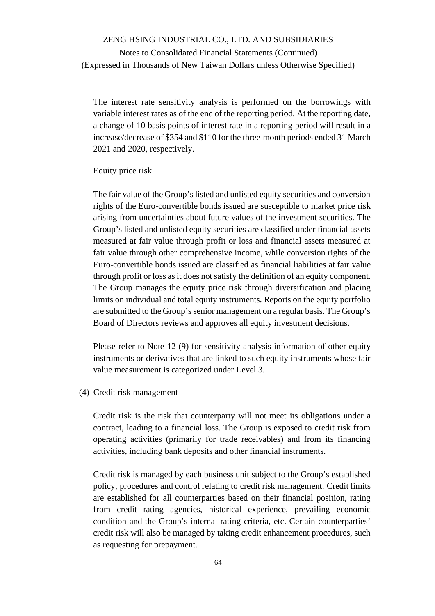Notes to Consolidated Financial Statements (Continued) (Expressed in Thousands of New Taiwan Dollars unless Otherwise Specified)

The interest rate sensitivity analysis is performed on the borrowings with variable interest rates as of the end of the reporting period. At the reporting date, a change of 10 basis points of interest rate in a reporting period will result in a increase/decrease of \$354 and \$110 for the three-month periods ended 31 March 2021 and 2020, respectively.

#### Equity price risk

The fair value of the Group's listed and unlisted equity securities and conversion rights of the Euro-convertible bonds issued are susceptible to market price risk arising from uncertainties about future values of the investment securities. The Group's listed and unlisted equity securities are classified under financial assets measured at fair value through profit or loss and financial assets measured at fair value through other comprehensive income, while conversion rights of the Euro-convertible bonds issued are classified as financial liabilities at fair value through profit or loss as it does not satisfy the definition of an equity component. The Group manages the equity price risk through diversification and placing limits on individual and total equity instruments. Reports on the equity portfolio are submitted to the Group's senior management on a regular basis. The Group's Board of Directors reviews and approves all equity investment decisions.

Please refer to Note 12 (9) for sensitivity analysis information of other equity instruments or derivatives that are linked to such equity instruments whose fair value measurement is categorized under Level 3.

(4) Credit risk management

Credit risk is the risk that counterparty will not meet its obligations under a contract, leading to a financial loss. The Group is exposed to credit risk from operating activities (primarily for trade receivables) and from its financing activities, including bank deposits and other financial instruments.

Credit risk is managed by each business unit subject to the Group's established policy, procedures and control relating to credit risk management. Credit limits are established for all counterparties based on their financial position, rating from credit rating agencies, historical experience, prevailing economic condition and the Group's internal rating criteria, etc. Certain counterparties' credit risk will also be managed by taking credit enhancement procedures, such as requesting for prepayment.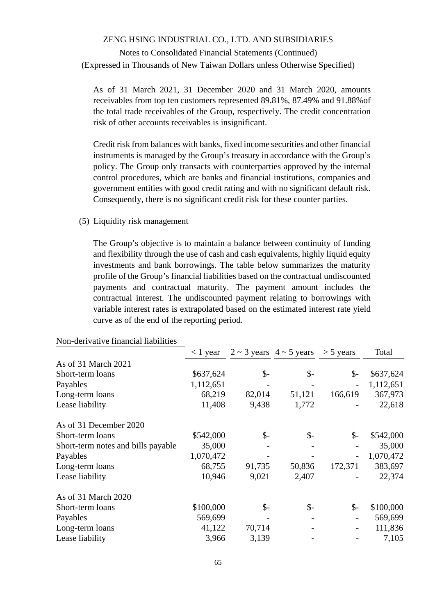Notes to Consolidated Financial Statements (Continued) (Expressed in Thousands of New Taiwan Dollars unless Otherwise Specified)

As of 31 March 2021, 31 December 2020 and 31 March 2020, amounts receivables from top ten customers represented 89.81%, 87.49% and 91.88%of the total trade receivables of the Group, respectively. The credit concentration risk of other accounts receivables is insignificant.

Credit risk from balances with banks, fixed income securities and other financial instruments is managed by the Group's treasury in accordance with the Group's policy. The Group only transacts with counterparties approved by the internal control procedures, which are banks and financial institutions, companies and government entities with good credit rating and with no significant default risk. Consequently, there is no significant credit risk for these counter parties.

(5) Liquidity risk management

The Group's objective is to maintain a balance between continuity of funding and flexibility through the use of cash and cash equivalents, highly liquid equity investments and bank borrowings. The table below summarizes the maturity profile of the Group's financial liabilities based on the contractual undiscounted payments and contractual maturity. The payment amount includes the contractual interest. The undiscounted payment relating to borrowings with variable interest rates is extrapolated based on the estimated interest rate yield curve as of the end of the reporting period.

|                                    | $< 1$ year |                 | $2 \sim 3$ years $4 \sim 5$ years | $>$ 5 years              | Total     |
|------------------------------------|------------|-----------------|-----------------------------------|--------------------------|-----------|
| As of 31 March 2021                |            |                 |                                   |                          |           |
| Short-term loans                   | \$637,624  | $\mathcal{S}$ - | $\mathcal{S}$ -                   | $\mathsf{S}$ -           | \$637,624 |
| Payables                           | 1,112,651  |                 |                                   |                          | 1,112,651 |
| Long-term loans                    | 68,219     | 82,014          | 51,121                            | 166,619                  | 367,973   |
| Lease liability                    | 11,408     | 9,438           | 1,772                             |                          | 22,618    |
| As of 31 December 2020             |            |                 |                                   |                          |           |
| Short-term loans                   | \$542,000  | \$-             | $\mathcal{S}$ -                   | $\mathcal{S}$ -          | \$542,000 |
| Short-term notes and bills payable | 35,000     |                 |                                   |                          | 35,000    |
| Payables                           | 1,070,472  |                 |                                   | $\overline{\phantom{0}}$ | 1,070,472 |
| Long-term loans                    | 68,755     | 91,735          | 50,836                            | 172,371                  | 383,697   |
| Lease liability                    | 10,946     | 9,021           | 2,407                             |                          | 22,374    |
| As of 31 March 2020                |            |                 |                                   |                          |           |
| Short-term loans                   | \$100,000  | \$-             | $\mathcal{S}$ -                   | $\mathcal{S}$ -          | \$100,000 |
| Payables                           | 569,699    |                 |                                   |                          | 569,699   |
| Long-term loans                    | 41,122     | 70,714          |                                   |                          | 111,836   |
| Lease liability                    | 3,966      | 3,139           |                                   |                          | 7,105     |

Non-derivative financial liabilities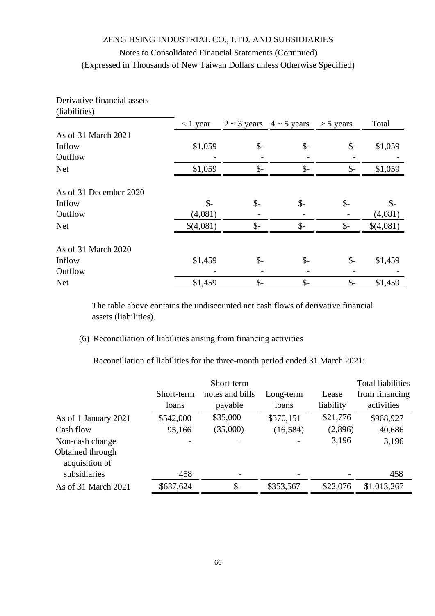| $\mu$ auli $\mu$ ucs   |                 |                 |                                   |                 |                 |
|------------------------|-----------------|-----------------|-----------------------------------|-----------------|-----------------|
|                        | $<$ 1 year      |                 | $2 \sim 3$ years $4 \sim 5$ years | $>$ 5 years     | Total           |
| As of 31 March 2021    |                 |                 |                                   |                 |                 |
| Inflow                 | \$1,059         | $\mathcal{S}$ - | $\mathcal{S}$ -                   | $\mathcal{S}$ - | \$1,059         |
| Outflow                |                 |                 |                                   |                 |                 |
| <b>Net</b>             | \$1,059         | $\mathcal{S}$ - | $\mathcal{S}$ -                   | $\mathcal{S}$ - | \$1,059         |
| As of 31 December 2020 |                 |                 |                                   |                 |                 |
| Inflow                 | $\mathcal{S}$ - | $\mathcal{S}$ - | $\mathsf{\$}$                     | $\mathcal{S}$ - | $\mathcal{S}$ - |
| Outflow                | (4,081)         |                 |                                   |                 | (4,081)         |
| <b>Net</b>             | \$(4,081)       | $\mathcal{S}$ - | $\mathsf{\$}$                     | $\mathcal{S}$ - | \$(4,081)       |
| As of 31 March 2020    |                 |                 |                                   |                 |                 |
| Inflow                 | \$1,459         | $\mathcal{S}$ - | $\mathcal{S}$ -                   | $\frac{1}{2}$   | \$1,459         |
| Outflow                |                 |                 |                                   |                 |                 |
| <b>Net</b>             | \$1,459         | $\mathcal{S}$ - | $\mathcal{S}$ -                   | $\mathcal{S}$ - | \$1,459         |

The table above contains the undiscounted net cash flows of derivative financial assets (liabilities).

(6) Reconciliation of liabilities arising from financing activities

Reconciliation of liabilities for the three-month period ended 31 March 2021:

|                                                       | Short-term<br>loans | Short-term<br>notes and bills<br>payable | Long-term<br>loans | Lease<br>liability | <b>Total liabilities</b><br>from financing<br>activities |
|-------------------------------------------------------|---------------------|------------------------------------------|--------------------|--------------------|----------------------------------------------------------|
| As of 1 January 2021                                  | \$542,000           | \$35,000                                 | \$370,151          | \$21,776           | \$968,927                                                |
| Cash flow                                             | 95,166              | (35,000)                                 | (16, 584)          | (2,896)            | 40,686                                                   |
| Non-cash change<br>Obtained through<br>acquisition of |                     |                                          |                    | 3,196              | 3,196                                                    |
| subsidiaries                                          | 458                 |                                          |                    |                    | 458                                                      |
| As of 31 March 2021                                   | \$637,624           | $\mathcal{S}$ -                          | \$353,567          | \$22,076           | \$1,013,267                                              |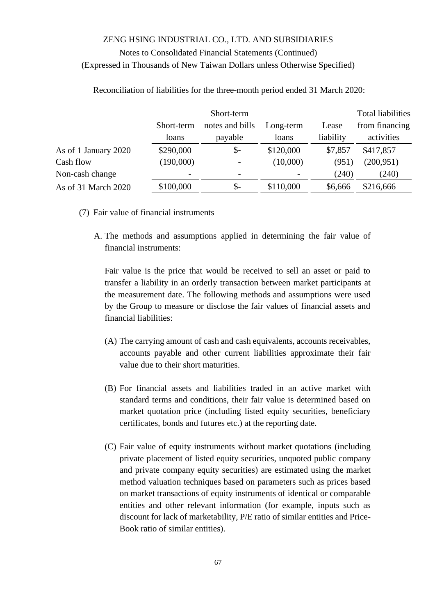|                      |            | Short-term               |           | <b>Total liabilities</b> |                |
|----------------------|------------|--------------------------|-----------|--------------------------|----------------|
|                      | Short-term | notes and bills          | Long-term | Lease                    | from financing |
|                      | loans      | payable                  | loans     | liability                | activities     |
| As of 1 January 2020 | \$290,000  | \$-                      | \$120,000 | \$7,857                  | \$417,857      |
| Cash flow            | (190,000)  |                          | (10,000)  | (951)                    | (200, 951)     |
| Non-cash change      |            | $\overline{\phantom{0}}$ |           | (240)                    | (240)          |
| As of 31 March 2020  | \$100,000  | $\mathcal{S}$ -          | \$110,000 | \$6,666                  | \$216,666      |

Reconciliation of liabilities for the three-month period ended 31 March 2020:

- (7) Fair value of financial instruments
	- A. The methods and assumptions applied in determining the fair value of financial instruments:

Fair value is the price that would be received to sell an asset or paid to transfer a liability in an orderly transaction between market participants at the measurement date. The following methods and assumptions were used by the Group to measure or disclose the fair values of financial assets and financial liabilities:

- (A) The carrying amount of cash and cash equivalents, accounts receivables, accounts payable and other current liabilities approximate their fair value due to their short maturities.
- (B) For financial assets and liabilities traded in an active market with standard terms and conditions, their fair value is determined based on market quotation price (including listed equity securities, beneficiary certificates, bonds and futures etc.) at the reporting date.
- (C) Fair value of equity instruments without market quotations (including private placement of listed equity securities, unquoted public company and private company equity securities) are estimated using the market method valuation techniques based on parameters such as prices based on market transactions of equity instruments of identical or comparable entities and other relevant information (for example, inputs such as discount for lack of marketability, P/E ratio of similar entities and Price-Book ratio of similar entities).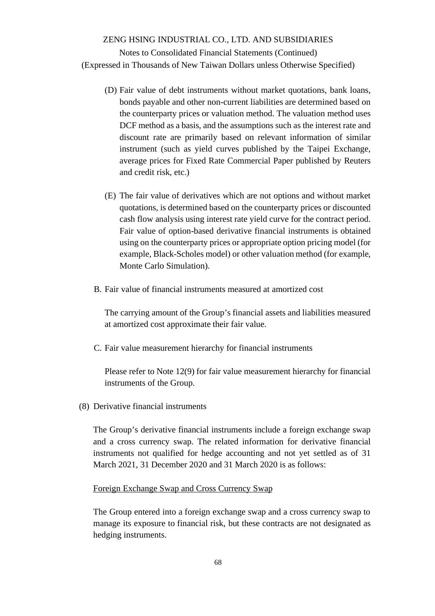Notes to Consolidated Financial Statements (Continued) (Expressed in Thousands of New Taiwan Dollars unless Otherwise Specified)

- (D) Fair value of debt instruments without market quotations, bank loans, bonds payable and other non-current liabilities are determined based on the counterparty prices or valuation method. The valuation method uses DCF method as a basis, and the assumptions such as the interest rate and discount rate are primarily based on relevant information of similar instrument (such as yield curves published by the Taipei Exchange, average prices for Fixed Rate Commercial Paper published by Reuters and credit risk, etc.)
- (E) The fair value of derivatives which are not options and without market quotations, is determined based on the counterparty prices or discounted cash flow analysis using interest rate yield curve for the contract period. Fair value of option-based derivative financial instruments is obtained using on the counterparty prices or appropriate option pricing model (for example, Black-Scholes model) or other valuation method (for example, Monte Carlo Simulation).
- B. Fair value of financial instruments measured at amortized cost

The carrying amount of the Group's financial assets and liabilities measured at amortized cost approximate their fair value.

C. Fair value measurement hierarchy for financial instruments

Please refer to Note 12(9) for fair value measurement hierarchy for financial instruments of the Group.

(8) Derivative financial instruments

The Group's derivative financial instruments include a foreign exchange swap and a cross currency swap. The related information for derivative financial instruments not qualified for hedge accounting and not yet settled as of 31 March 2021, 31 December 2020 and 31 March 2020 is as follows:

#### Foreign Exchange Swap and Cross Currency Swap

The Group entered into a foreign exchange swap and a cross currency swap to manage its exposure to financial risk, but these contracts are not designated as hedging instruments.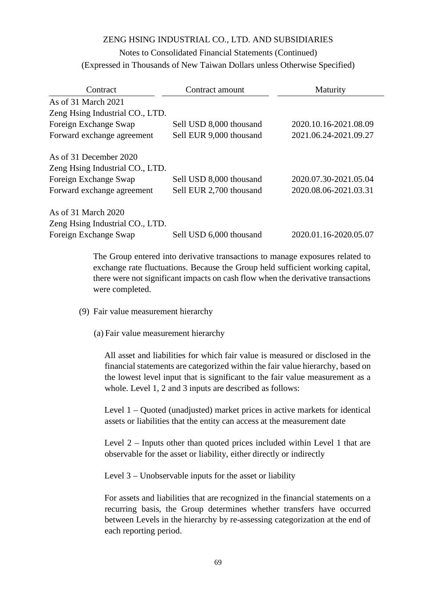## Notes to Consolidated Financial Statements (Continued) (Expressed in Thousands of New Taiwan Dollars unless Otherwise Specified)

| Contract                        | Contract amount         | Maturity              |
|---------------------------------|-------------------------|-----------------------|
| As of 31 March 2021             |                         |                       |
| Zeng Hsing Industrial CO., LTD. |                         |                       |
| Foreign Exchange Swap           | Sell USD 8,000 thousand | 2020.10.16-2021.08.09 |
| Forward exchange agreement      | Sell EUR 9,000 thousand | 2021.06.24-2021.09.27 |
| As of 31 December 2020          |                         |                       |
| Zeng Hsing Industrial CO., LTD. |                         |                       |
| Foreign Exchange Swap           | Sell USD 8,000 thousand | 2020.07.30-2021.05.04 |
| Forward exchange agreement      | Sell EUR 2,700 thousand | 2020.08.06-2021.03.31 |
| As of 31 March 2020             |                         |                       |
| Zeng Hsing Industrial CO., LTD. |                         |                       |
| Foreign Exchange Swap           | Sell USD 6,000 thousand | 2020.01.16-2020.05.07 |

The Group entered into derivative transactions to manage exposures related to exchange rate fluctuations. Because the Group held sufficient working capital, there were not significant impacts on cash flow when the derivative transactions were completed.

- (9) Fair value measurement hierarchy
	- (a) Fair value measurement hierarchy

All asset and liabilities for which fair value is measured or disclosed in the financial statements are categorized within the fair value hierarchy, based on the lowest level input that is significant to the fair value measurement as a whole. Level 1, 2 and 3 inputs are described as follows:

Level 1 – Quoted (unadjusted) market prices in active markets for identical assets or liabilities that the entity can access at the measurement date

Level 2 – Inputs other than quoted prices included within Level 1 that are observable for the asset or liability, either directly or indirectly

Level 3 – Unobservable inputs for the asset or liability

For assets and liabilities that are recognized in the financial statements on a recurring basis, the Group determines whether transfers have occurred between Levels in the hierarchy by re-assessing categorization at the end of each reporting period.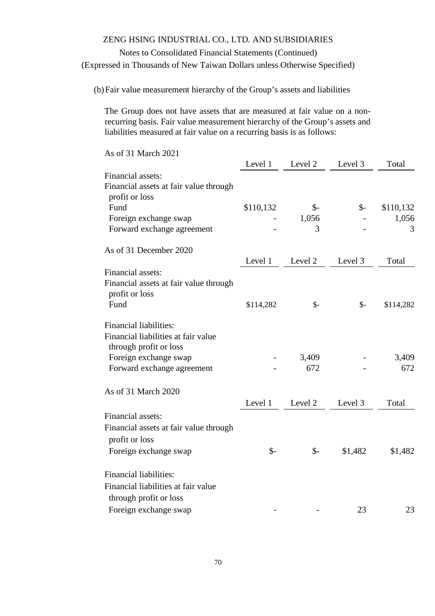## Notes to Consolidated Financial Statements (Continued) (Expressed in Thousands of New Taiwan Dollars unless Otherwise Specified)

(b)Fair value measurement hierarchy of the Group's assets and liabilities

The Group does not have assets that are measured at fair value on a nonrecurring basis. Fair value measurement hierarchy of the Group's assets and liabilities measured at fair value on a recurring basis is as follows:

| As of 31 March 2021                                                                                                                                   |                            |                          |                    |                  |
|-------------------------------------------------------------------------------------------------------------------------------------------------------|----------------------------|--------------------------|--------------------|------------------|
|                                                                                                                                                       | Level 1                    | Level 2                  | Level 3            | Total            |
| Financial assets:<br>Financial assets at fair value through<br>profit or loss<br>Fund                                                                 | \$110,132                  | $\mathcal{S}$ -          | $\mathcal{S}$ -    | \$110,132        |
| Foreign exchange swap<br>Forward exchange agreement                                                                                                   |                            | 1,056<br>3               |                    | 1,056<br>3       |
| As of 31 December 2020                                                                                                                                | Level 1                    | Level 2                  | Level 3            | Total            |
| Financial assets:<br>Financial assets at fair value through<br>profit or loss<br>Fund                                                                 | \$114,282                  | $\mathcal{S}$ -          | $\mathcal{S}$ -    | \$114,282        |
| <b>Financial liabilities:</b><br>Financial liabilities at fair value<br>through profit or loss<br>Foreign exchange swap<br>Forward exchange agreement |                            | 3,409<br>672             |                    | 3,409<br>672     |
| As of 31 March 2020                                                                                                                                   |                            |                          |                    |                  |
| Financial assets:<br>Financial assets at fair value through<br>profit or loss<br>Foreign exchange swap                                                | Level 1<br>$\mathcal{S}$ - | Level 2<br>$\frac{1}{2}$ | Level 3<br>\$1,482 | Total<br>\$1,482 |
| <b>Financial liabilities:</b><br>Financial liabilities at fair value<br>through profit or loss<br>Foreign exchange swap                               |                            |                          | 23                 | 23               |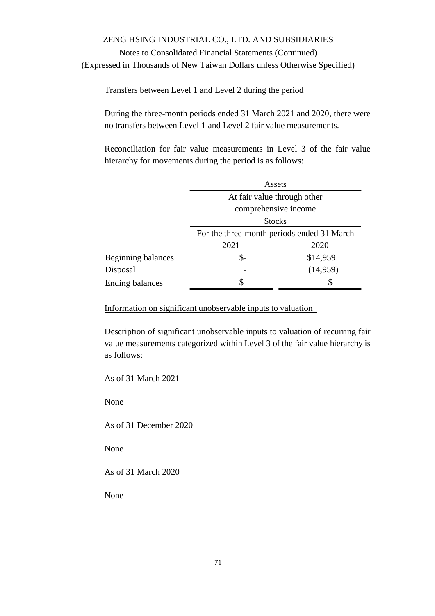Notes to Consolidated Financial Statements (Continued) (Expressed in Thousands of New Taiwan Dollars unless Otherwise Specified)

Transfers between Level 1 and Level 2 during the period

During the three-month periods ended 31 March 2021 and 2020, there were no transfers between Level 1 and Level 2 fair value measurements.

Reconciliation for fair value measurements in Level 3 of the fair value hierarchy for movements during the period is as follows:

|                        | Assets                                     |           |  |  |  |
|------------------------|--------------------------------------------|-----------|--|--|--|
|                        | At fair value through other                |           |  |  |  |
|                        | comprehensive income                       |           |  |  |  |
|                        | <b>Stocks</b>                              |           |  |  |  |
|                        | For the three-month periods ended 31 March |           |  |  |  |
|                        | 2021                                       | 2020      |  |  |  |
| Beginning balances     | \$-                                        | \$14,959  |  |  |  |
| Disposal               |                                            | (14, 959) |  |  |  |
| <b>Ending balances</b> | \$-                                        |           |  |  |  |

Information on significant unobservable inputs to valuation

Description of significant unobservable inputs to valuation of recurring fair value measurements categorized within Level 3 of the fair value hierarchy is as follows:

As of 31 March 2021

None

As of 31 December 2020

None

As of 31 March 2020

None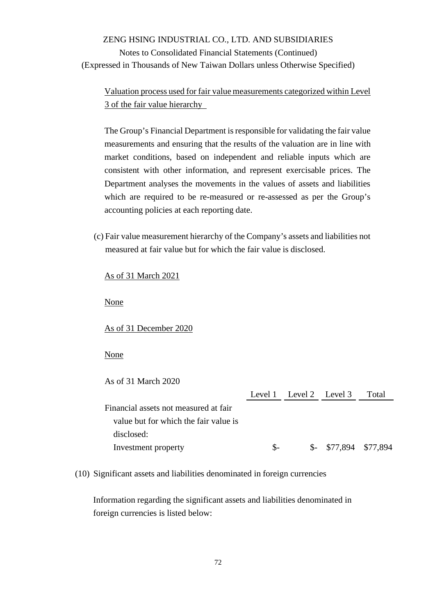Notes to Consolidated Financial Statements (Continued) (Expressed in Thousands of New Taiwan Dollars unless Otherwise Specified)

Valuation process used for fair value measurements categorized within Level 3 of the fair value hierarchy

The Group's Financial Department is responsible for validating the fair value measurements and ensuring that the results of the valuation are in line with market conditions, based on independent and reliable inputs which are consistent with other information, and represent exercisable prices. The Department analyses the movements in the values of assets and liabilities which are required to be re-measured or re-assessed as per the Group's accounting policies at each reporting date.

(c) Fair value measurement hierarchy of the Company's assets and liabilities not measured at fair value but for which the fair value is disclosed.

### As of 31 March 2021

None

As of 31 December 2020

None

As of 31 March 2020

|                                       |      | Level 1 Level 2 Level 3 | Total |
|---------------------------------------|------|-------------------------|-------|
| Financial assets not measured at fair |      |                         |       |
| value but for which the fair value is |      |                         |       |
| disclosed:                            |      |                         |       |
| Investment property                   | $S-$ | $$-$ \$77,894 \$77,894  |       |

(10) Significant assets and liabilities denominated in foreign currencies

Information regarding the significant assets and liabilities denominated in foreign currencies is listed below: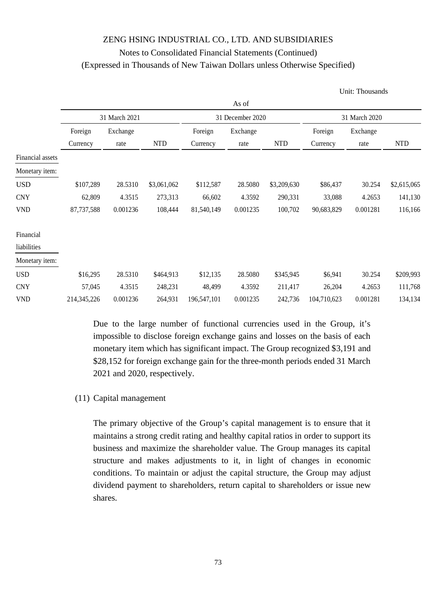|                  |             |               |             |             |                  |             |               | Unit: Thousands |             |
|------------------|-------------|---------------|-------------|-------------|------------------|-------------|---------------|-----------------|-------------|
|                  |             |               |             |             | As of            |             |               |                 |             |
|                  |             | 31 March 2021 |             |             | 31 December 2020 |             | 31 March 2020 |                 |             |
|                  | Foreign     | Exchange      |             | Foreign     | Exchange         |             | Foreign       | Exchange        |             |
|                  | Currency    | rate          | <b>NTD</b>  | Currency    | rate             | <b>NTD</b>  | Currency      | rate            | <b>NTD</b>  |
| Financial assets |             |               |             |             |                  |             |               |                 |             |
| Monetary item:   |             |               |             |             |                  |             |               |                 |             |
| <b>USD</b>       | \$107,289   | 28.5310       | \$3,061,062 | \$112,587   | 28.5080          | \$3,209,630 | \$86,437      | 30.254          | \$2,615,065 |
| <b>CNY</b>       | 62,809      | 4.3515        | 273,313     | 66,602      | 4.3592           | 290,331     | 33,088        | 4.2653          | 141,130     |
| <b>VND</b>       | 87,737,588  | 0.001236      | 108,444     | 81,540,149  | 0.001235         | 100,702     | 90,683,829    | 0.001281        | 116,166     |
| Financial        |             |               |             |             |                  |             |               |                 |             |
| liabilities      |             |               |             |             |                  |             |               |                 |             |
| Monetary item:   |             |               |             |             |                  |             |               |                 |             |
| <b>USD</b>       | \$16,295    | 28.5310       | \$464,913   | \$12,135    | 28.5080          | \$345,945   | \$6,941       | 30.254          | \$209,993   |
| <b>CNY</b>       | 57,045      | 4.3515        | 248,231     | 48,499      | 4.3592           | 211,417     | 26,204        | 4.2653          | 111,768     |
| <b>VND</b>       | 214,345,226 | 0.001236      | 264,931     | 196,547,101 | 0.001235         | 242,736     | 104,710,623   | 0.001281        | 134,134     |

Due to the large number of functional currencies used in the Group, it's impossible to disclose foreign exchange gains and losses on the basis of each monetary item which has significant impact. The Group recognized \$3,191 and \$28,152 for foreign exchange gain for the three-month periods ended 31 March 2021 and 2020, respectively.

### (11) Capital management

The primary objective of the Group's capital management is to ensure that it maintains a strong credit rating and healthy capital ratios in order to support its business and maximize the shareholder value. The Group manages its capital structure and makes adjustments to it, in light of changes in economic conditions. To maintain or adjust the capital structure, the Group may adjust dividend payment to shareholders, return capital to shareholders or issue new shares.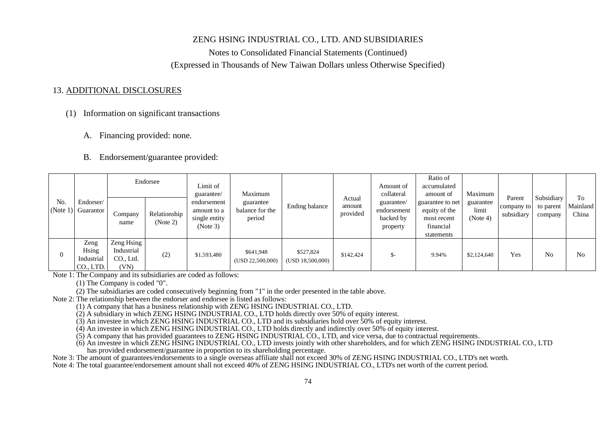### ZENG HSING INDUSTRIAL CO., LTD. AND SUBSIDIARIES

Notes to Consolidated Financial Statements (Continued) (Expressed in Thousands of New Taiwan Dollars unless Otherwise Specified)

#### 13. ADDITIONAL DISCLOSURES

#### (1) Information on significant transactions

A. Financing provided: none.

#### B. Endorsement/guarantee provided:

| No.<br>(Note 1) Guarantor |                                          |                                               | Endorsee                 | Limit of<br>guarantee/                                  | Maximum                                |                               | Actual             | Amount of<br>collateral                            | Ratio of<br>accumulated<br>amount of                                        | Maximum                        | Parent                   | Subsidiary           | To                |
|---------------------------|------------------------------------------|-----------------------------------------------|--------------------------|---------------------------------------------------------|----------------------------------------|-------------------------------|--------------------|----------------------------------------------------|-----------------------------------------------------------------------------|--------------------------------|--------------------------|----------------------|-------------------|
|                           | Endorser/                                | Company<br>name                               | Relationship<br>(Note 2) | endorsement<br>amount to a<br>single entity<br>(Note 3) | guarantee<br>balance for the<br>period | Ending balance                | amount<br>provided | guarantee/<br>endorsement<br>backed by<br>property | guarantee to net<br>equity of the<br>most recent<br>financial<br>statements | guarantee<br>limit<br>(Note 4) | company to<br>subsidiary | to parent<br>company | Mainland<br>China |
|                           | Zeng<br>Hsing<br>Industrial<br>CO., LTD. | Zeng Hsing<br>Industrial<br>CO., Ltd.<br>(VN) | (2)                      | \$1,593,480                                             | \$641,948<br>(USD 22,500,000)          | \$527,824<br>(USD 18,500,000) | \$142,424          | \$-                                                | 9.94%                                                                       | \$2,124,640                    | Yes                      | N <sub>o</sub>       | N <sub>o</sub>    |

Note 1: The Company and its subsidiaries are coded as follows:

(1) The Company is coded "0".

(2) The subsidiaries are coded consecutively beginning from "1" in the order presented in the table above.

Note 2: The relationship between the endorser and endorsee is listed as follows:<br>(1) A company that has a business relationship with ZENG HSING INDUSTRIAL CO., LTD.

 $(2)$  A subsidiary in which ZENG HSING INDUSTRIAL CO., LTD holds directly over 50% of equity interest.

(3) An investee in which ZENG HSING INDUSTRIAL CO., LTD and its subsidiaries hold over 50% of equity interest.

 $(4)$  An investee in which ZENG HSING INDUSTRIAL CO., LTD holds directly and indirectly over 50% of equity interest.<br>(5) A company that has provided guarantees to ZENG HSING INDUSTRIAL CO., LTD, and vice versa, due to con

(6) An investee in which ZENG HSING INDUSTRIAL CO., LTD invests jointly with other shareholders, and for which ZENG HSING INDUSTRIAL CO., LTD has provided endorsement/guarantee in proportion to its shareholding percentage.

Note 3: The amount of guarantees/endorsements to a single overseas affiliate shall not exceed 30% of ZENG HSING INDUSTRIAL CO., LTD's net worth.

Note 4: The total guarantee/endorsement amount shall not exceed 40% of ZENG HSING INDUSTRIAL CO., LTD's net worth of the current period.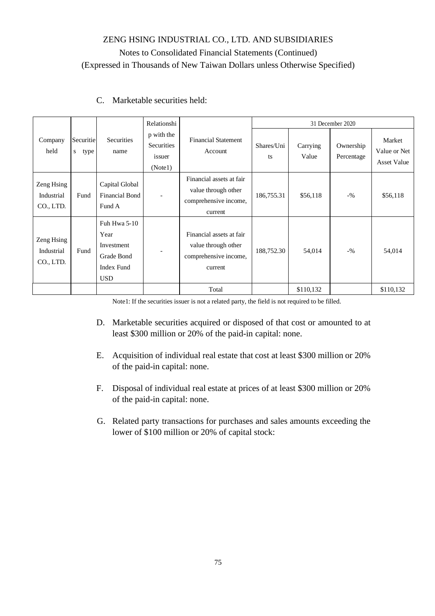|                                       |                     |                                                                              | Relationshi                                   |                                                                                     |                  | 31 December 2020  |                         |                                              |  |  |
|---------------------------------------|---------------------|------------------------------------------------------------------------------|-----------------------------------------------|-------------------------------------------------------------------------------------|------------------|-------------------|-------------------------|----------------------------------------------|--|--|
| Company<br>held                       | Securitie<br>s type | <b>Securities</b><br>name                                                    | p with the<br>Securities<br>issuer<br>(Note1) | <b>Financial Statement</b><br>Account                                               | Shares/Uni<br>ts | Carrying<br>Value | Ownership<br>Percentage | Market<br>Value or Net<br><b>Asset Value</b> |  |  |
| Zeng Hsing<br>Industrial<br>CO., LTD. | Fund                | Capital Global<br><b>Financial Bond</b><br>Fund A                            | $\overline{\phantom{a}}$                      | Financial assets at fair<br>value through other<br>comprehensive income,<br>current | 186,755.31       | \$56,118          | $-9/6$                  | \$56,118                                     |  |  |
| Zeng Hsing<br>Industrial<br>CO., LTD. | Fund                | Fuh Hwa 5-10<br>Year<br>Investment<br>Grade Bond<br>Index Fund<br><b>USD</b> | $\qquad \qquad$                               | Financial assets at fair<br>value through other<br>comprehensive income,<br>current | 188,752.30       | 54,014            | $-9/6$                  | 54,014                                       |  |  |
|                                       |                     |                                                                              |                                               | Total                                                                               |                  | \$110,132         |                         | \$110,132                                    |  |  |

### C. Marketable securities held:

Note1: If the securities issuer is not a related party, the field is not required to be filled.

- D. Marketable securities acquired or disposed of that cost or amounted to at least \$300 million or 20% of the paid-in capital: none.
- E. Acquisition of individual real estate that cost at least \$300 million or 20% of the paid-in capital: none.
- F. Disposal of individual real estate at prices of at least \$300 million or 20% of the paid-in capital: none.
- G. Related party transactions for purchases and sales amounts exceeding the lower of \$100 million or 20% of capital stock: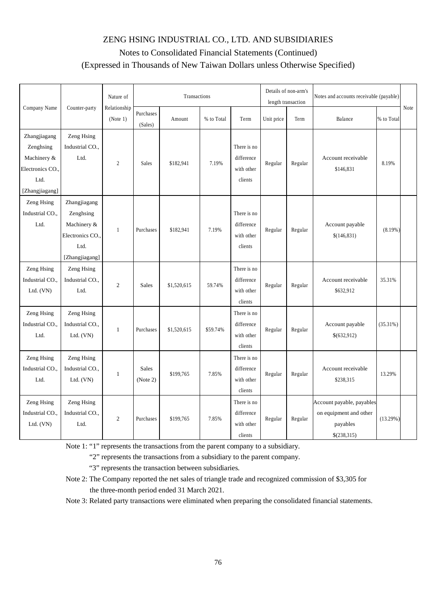|                                                                                        |                                                                                      | Nature of                |                          | Transactions |            |                                                    |            | Details of non-arm's<br>length transaction | Notes and accounts receivable (payable)                                        |             |      |
|----------------------------------------------------------------------------------------|--------------------------------------------------------------------------------------|--------------------------|--------------------------|--------------|------------|----------------------------------------------------|------------|--------------------------------------------|--------------------------------------------------------------------------------|-------------|------|
| Company Name                                                                           | Counter-party                                                                        | Relationship<br>(Note 1) | Purchases<br>(Sales)     | Amount       | % to Total | Term                                               | Unit price | Term                                       | Balance                                                                        | % to Total  | Note |
| Zhangjiagang<br>Zenghsing<br>Machinery &<br>Electronics CO.,<br>Ltd.<br>[Zhangjiagang] | Zeng Hsing<br>Industrial CO.,<br>Ltd.                                                | $\overline{2}$           | Sales                    | \$182,941    | 7.19%      | There is no<br>difference<br>with other<br>clients | Regular    | Regular                                    | Account receivable<br>\$146,831                                                | 8.19%       |      |
| Zeng Hsing<br>Industrial CO.,<br>Ltd.                                                  | Zhangjiagang<br>Zenghsing<br>Machinery &<br>Electronics CO<br>Ltd.<br>[Zhangjiagang] | 1                        | Purchases                | \$182,941    | 7.19%      | There is no<br>difference<br>with other<br>clients | Regular    | Regular                                    | Account payable<br>\$(146, 831)                                                | $(8.19\%)$  |      |
| Zeng Hsing<br>Industrial CO.,<br>Ltd. $(VN)$                                           | Zeng Hsing<br>Industrial CO.,<br>Ltd.                                                | $\overline{c}$           | <b>Sales</b>             | \$1,520,615  | 59.74%     | There is no<br>difference<br>with other<br>clients | Regular    | Regular                                    | Account receivable<br>\$632,912                                                | 35.31%      |      |
| Zeng Hsing<br>Industrial CO.,<br>Ltd.                                                  | Zeng Hsing<br>Industrial CO.,<br>Ltd. $(VN)$                                         | $\mathbf{1}$             | Purchases                | \$1,520,615  | \$59.74%   | There is no<br>difference<br>with other<br>clients | Regular    | Regular                                    | Account payable<br>\$(632,912)                                                 | (35.31%)    |      |
| Zeng Hsing<br>Industrial CO.,<br>Ltd.                                                  | Zeng Hsing<br>Industrial CO.,<br>Ltd. $(VN)$                                         | $\mathbf{1}$             | <b>Sales</b><br>(Note 2) | \$199,765    | 7.85%      | There is no<br>difference<br>with other<br>clients | Regular    | Regular                                    | Account receivable<br>\$238,315                                                | 13.29%      |      |
| Zeng Hsing<br>Industrial CO.,<br>Ltd. (VN)                                             | Zeng Hsing<br>Industrial CO.,<br>Ltd.                                                | $\mathfrak{2}$           | Purchases                | \$199,765    | 7.85%      | There is no<br>difference<br>with other<br>clients | Regular    | Regular                                    | Account payable, payables<br>on equipment and other<br>payables<br>\$(238,315) | $(13.29\%)$ |      |

Note 1: "1" represents the transactions from the parent company to a subsidiary.

"2" represents the transactions from a subsidiary to the parent company.

"3" represents the transaction between subsidiaries.

Note 2: The Company reported the net sales of triangle trade and recognized commission of \$3,305 for the three-month period ended 31 March 2021.

Note 3: Related party transactions were eliminated when preparing the consolidated financial statements.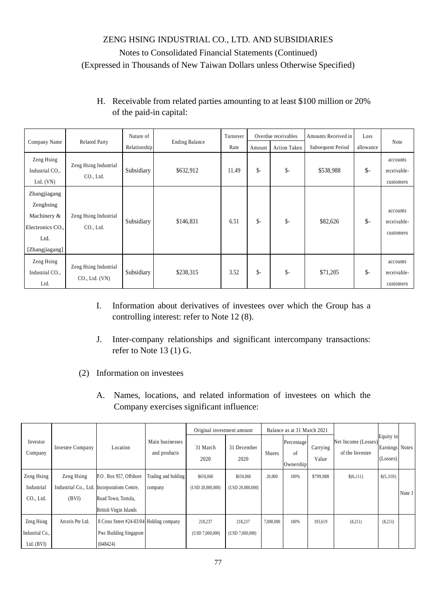### H. Receivable from related parties amounting to at least \$100 million or 20% of the paid-in capital:

| Company Name                                                                           | <b>Related Party</b>                       | Nature of    | <b>Ending Balance</b> | Turnover |                 | Overdue receivables | Amounts Received in | Loss           | Note                                 |
|----------------------------------------------------------------------------------------|--------------------------------------------|--------------|-----------------------|----------|-----------------|---------------------|---------------------|----------------|--------------------------------------|
|                                                                                        |                                            | Relationship |                       | Rate     | Amount          | <b>Action Taken</b> | Subsequent Period   | allowance      |                                      |
| Zeng Hsing<br>Industrial CO.,<br>Ltd. $(VN)$                                           | Zeng Hsing Industrial<br>CO., Ltd.         | Subsidiary   | \$632,912             | 11.49    | $\mathsf{\$}$ - | $\mathsf{\$}$ -     | \$538,988           | $\mathsf{S}$ - | accounts<br>receivable-<br>customers |
| Zhangjiagang<br>Zenghsing<br>Machinery &<br>Electronics CO.,<br>Ltd.<br>[Zhangjiagang] | Zeng Hsing Industrial<br>CO., Ltd.         | Subsidiary   | \$146,831             | 6.51     | \$-             | $\mathsf{\$}$ -     | \$82,626            | $\mathsf{S}$ - | accounts<br>receivable-<br>customers |
| Zeng Hsing<br>Industrial CO.,<br>Ltd.                                                  | Zeng Hsing Industrial<br>$CO1$ , Ltd. (VN) | Subsidiary   | \$238,315             | 3.52     | $\mathsf{S}$ -  | $\mathsf{\$}$ -     | \$71,205            | $\mathsf{S}$ - | accounts<br>receivable-<br>customers |

- I. Information about derivatives of investees over which the Group has a controlling interest: refer to Note 12 (8).
- J. Inter-company relationships and significant intercompany transactions: refer to Note 13 (1) G.
- (2) Information on investees
	- A. Names, locations, and related information of investees on which the Company exercises significant influence:

|                     |                  |                                             |                                 | Original investment amount |                     |               | Balance as at 31 March 2021   |                   |                                        |                                         |        |
|---------------------|------------------|---------------------------------------------|---------------------------------|----------------------------|---------------------|---------------|-------------------------------|-------------------|----------------------------------------|-----------------------------------------|--------|
| Investor<br>Company | Investee Company | Location                                    | Main businesses<br>and products | 31 March<br>2020           | 31 December<br>2020 | <b>Shares</b> | Percentage<br>of<br>Ownership | Carrying<br>Value | Net Income (Losses)<br>of the Investee | Equity in<br>Earnings Notes<br>(Losses) |        |
| Zeng Hsing          | Zeng Hsing       | P.O. Box 957, Offshore                      | Trading and holding             | \$650,060                  | \$650,060           | 20,000        | 100%                          | \$799,988         | \$(6,111)                              | \$(5,310)                               |        |
| Industrial          |                  | Industrial Co., Ltd. Incorporations Centre, | company                         | (USD 20,000,000)           | (USD 20,000,000)    |               |                               |                   |                                        |                                         | Note 1 |
| CO., Ltd.           | (BVI)            | Road Town, Tortola,                         |                                 |                            |                     |               |                               |                   |                                        |                                         |        |
|                     |                  | <b>British Virgin Islands</b>               |                                 |                            |                     |               |                               |                   |                                        |                                         |        |
| Zeng Hsing          | Arcoris Pte Ltd. | 8 Cross Street #24-03/04 Holding company    |                                 | 218,237                    | 218,237             | 7,000,000     | 100%                          | 193,619           | (8,211)                                | (8,211)                                 |        |
| Industrial Co.,     |                  | Pwc Building Singapore                      |                                 | (USD 7,000,000)            | (USD 7,000,000)     |               |                               |                   |                                        |                                         |        |
| Ltd. $(BVI)$        |                  | (048424)                                    |                                 |                            |                     |               |                               |                   |                                        |                                         |        |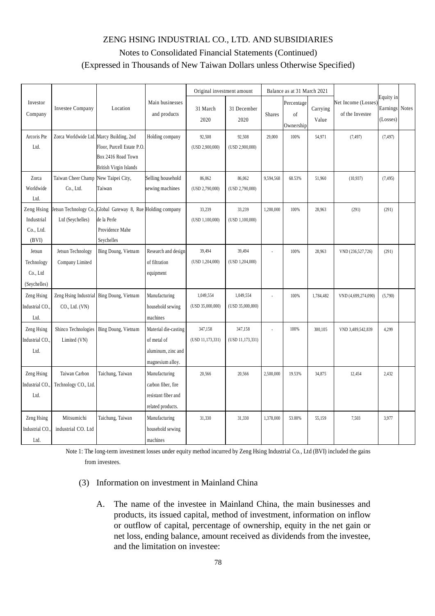|                     |                                          |                                                              |                                 | Original investment amount |                     |               | Balance as at 31 March 2021   |                   |                                       |                                   |              |
|---------------------|------------------------------------------|--------------------------------------------------------------|---------------------------------|----------------------------|---------------------|---------------|-------------------------------|-------------------|---------------------------------------|-----------------------------------|--------------|
| Investor<br>Company | Investee Company                         | Location                                                     | Main businesses<br>and products | 31 March<br>2020           | 31 December<br>2020 | <b>Shares</b> | Percentage<br>of<br>Ownership | Carrying<br>Value | Net Income (Losses<br>of the Investee | Equity in<br>Earnings<br>(Losses) | <b>Notes</b> |
| Arcoris Pte         | Zorca Worldwide Ltd. Marcy Building, 2nd |                                                              | Holding company                 | 92,508                     | 92,508              | 29,000        | 100%                          | 54,971            | (7, 497)                              | (7, 497)                          |              |
| Ltd.                |                                          | Floor, Purcell Estate P.O.                                   |                                 | (USD 2,900,000)            | (USD 2,900,000)     |               |                               |                   |                                       |                                   |              |
|                     |                                          | Box 2416 Road Town                                           |                                 |                            |                     |               |                               |                   |                                       |                                   |              |
|                     |                                          | <b>British Virgin Islands</b>                                |                                 |                            |                     |               |                               |                   |                                       |                                   |              |
| Zorca               | Taiwan Cheer Champ                       | New Taipei City,                                             | Selling household               | 86,062                     | 86,062              | 9,594,568     | 68.53%                        | 51,960            | (10, 937)                             | (7, 495)                          |              |
| Worldwide           | Co., Ltd.                                | Taiwan                                                       | sewing machines                 | (USD 2,790,000)            | (USD 2,790,000)     |               |                               |                   |                                       |                                   |              |
| Ltd.                |                                          |                                                              |                                 |                            |                     |               |                               |                   |                                       |                                   |              |
| Zeng Hsing          |                                          | Jetsun Technology Co., Global Gateway 8, Rue Holding company |                                 | 33,239                     | 33,239              | 1,200,000     | 100%                          | 28,963            | (291)                                 | (291)                             |              |
| Industrial          | Ltd (Seychelles)                         | de la Perle                                                  |                                 | (USD 1,100,000)            | (USD 1,100,000)     |               |                               |                   |                                       |                                   |              |
| Co., Ltd.           |                                          | Providence Mahe                                              |                                 |                            |                     |               |                               |                   |                                       |                                   |              |
| (BVI)               |                                          | Seychelles                                                   |                                 |                            |                     |               |                               |                   |                                       |                                   |              |
| Jetsun              | Jetsun Technology                        | Bing Doung, Vietnam                                          | Research and design             | 39,494                     | 39,494              |               | 100%                          | 28,963            | VND (236,527,726)                     | (291)                             |              |
| Technology          | Company Limited                          |                                                              | of filtration                   | (USD 1,204,000)            | (USD 1,204,000)     |               |                               |                   |                                       |                                   |              |
| Co., Ltd            |                                          |                                                              | equipment                       |                            |                     |               |                               |                   |                                       |                                   |              |
| (Seychelles)        |                                          |                                                              |                                 |                            |                     |               |                               |                   |                                       |                                   |              |
| Zeng Hsing          |                                          | Zeng Hsing Industrial Bing Doung, Vietnam                    | Manufacturing                   | 1.049.554                  | 1,049,554           |               | 100%                          | 1,784,482         | VND (4,699,274,090)                   | (5,790)                           |              |
| Industrial CO.,     | CO <sub>1</sub> , Ltd. (VN)              |                                                              | household sewing                | (USD 35,000,000)           | (USD 35,000,000)    |               |                               |                   |                                       |                                   |              |
| Ltd.                |                                          |                                                              | machines                        |                            |                     |               |                               |                   |                                       |                                   |              |
| Zeng Hsing          | Shinco Technologies                      | Bing Doung, Vietnam                                          | Material die-casting            | 347,158                    | 347,158             |               | 100%                          | 300,105           | VND 3,489,542,839                     | 4,299                             |              |
| Industrial CO.,     | Limited (VN)                             |                                                              | of metal of                     | (USD 11,173,331)           | (USD 11, 173, 331)  |               |                               |                   |                                       |                                   |              |
| Ltd.                |                                          |                                                              | aluminum, zinc and              |                            |                     |               |                               |                   |                                       |                                   |              |
|                     |                                          |                                                              | magnesium alloy.                |                            |                     |               |                               |                   |                                       |                                   |              |
| Zeng Hsing          | Taiwan Carbon                            | Taichung, Taiwan                                             | Manufacturing                   | 20,566                     | 20,566              | 2,500,000     | 19.53%                        | 34,875            | 12,454                                | 2,432                             |              |
| Industrial CO.,     | Technology CO., Ltd.                     |                                                              | carbon fiber, fire              |                            |                     |               |                               |                   |                                       |                                   |              |
| Ltd.                |                                          |                                                              | resistant fiber and             |                            |                     |               |                               |                   |                                       |                                   |              |
|                     |                                          |                                                              | related products.               |                            |                     |               |                               |                   |                                       |                                   |              |
| Zeng Hsing          | Mitsumichi                               | Taichung, Taiwan                                             | Manufacturing                   | 31,330                     | 31,330              | 1,378,000     | 53.00%                        | 55,159            | 7,503                                 | 3,977                             |              |
| Industrial CO.,     | industrial CO. Ltd                       |                                                              | household sewing                |                            |                     |               |                               |                   |                                       |                                   |              |
| Ltd.                |                                          |                                                              | machines                        |                            |                     |               |                               |                   |                                       |                                   |              |

Note 1: The long-term investment losses under equity method incurred by Zeng Hsing Industrial Co., Ltd (BVI) included the gains from investees.

### (3) Information on investment in Mainland China

A. The name of the investee in Mainland China, the main businesses and products, its issued capital, method of investment, information on inflow or outflow of capital, percentage of ownership, equity in the net gain or net loss, ending balance, amount received as dividends from the investee, and the limitation on investee: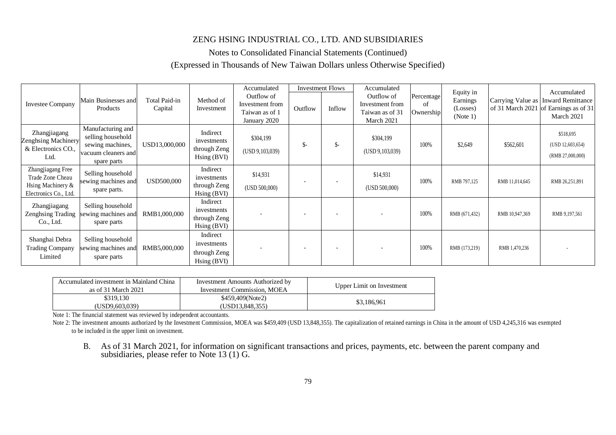### ZENG HSING INDUSTRIAL CO., LTD. AND SUBSIDIARIES

Notes to Consolidated Financial Statements (Continued)

#### (Expressed in Thousands of New Taiwan Dollars unless Otherwise Specified)

|                                                                                     |                                                                                                  |                                 |                                                            | Accumulated                                                     |         | <b>Investment Flows</b>  | Accumulated                                                    |                               |                                               |                |                                                                                                             |
|-------------------------------------------------------------------------------------|--------------------------------------------------------------------------------------------------|---------------------------------|------------------------------------------------------------|-----------------------------------------------------------------|---------|--------------------------|----------------------------------------------------------------|-------------------------------|-----------------------------------------------|----------------|-------------------------------------------------------------------------------------------------------------|
| <b>Investee Company</b>                                                             | Main Businesses and<br>Products                                                                  | <b>Total Paid-in</b><br>Capital | Method of<br>Investment                                    | Outflow of<br>Investment from<br>Taiwan as of 1<br>January 2020 | Outflow | Inflow                   | Outflow of<br>Investment from<br>Taiwan as of 31<br>March 2021 | Percentage<br>of<br>Ownership | Equity in<br>Earnings<br>(Losses)<br>(Note 1) |                | Accumulated<br>Carrying Value as   Inward Remittance<br>of 31 March 2021 of Earnings as of 31<br>March 2021 |
| Zhangjiagang<br>Zenghsing Machinery<br>& Electronics CO.,<br>Ltd.                   | Manufacturing and<br>selling household<br>sewing machines,<br>vacuum cleaners and<br>spare parts | USD13,000,000                   | Indirect<br>investments<br>through Zeng<br>Hsing (BVI)     | \$304,199<br>(USD 9, 103, 039)                                  | $S-$    | $\mathsf{S}$ -           | \$304,199<br>(USD 9, 103, 039)                                 | 100%                          | \$2,649                                       | \$562,601      | \$518,695<br>(USD 12,603,654)<br>(RMB 27,000,000)                                                           |
| Zhangjiagang Free<br>Trade Zone Cheau<br>Hsing Machinery &<br>Electronics Co., Ltd. | Selling household<br>sewing machines and<br>spare parts.                                         | USD500,000                      | Indirect<br>investments<br>through Zeng<br>$H\sin(g(BVI))$ | \$14,931<br>(USD 500,000)                                       |         | $\overline{\phantom{a}}$ | \$14,931<br>(USD 500,000)                                      | 100%                          | RMB 797,125                                   | RMB 11,014,645 | RMB 26,251,891                                                                                              |
| Zhangjiagang<br><b>Zenghsing Trading</b><br>Co., Ltd.                               | Selling household<br>sewing machines and<br>spare parts                                          | RMB1,000,000                    | Indirect<br>investments<br>through Zeng<br>Hsing (BVI)     |                                                                 |         |                          |                                                                | 100%                          | RMB (671,432)                                 | RMB 10,947,369 | RMB 9,197,561                                                                                               |
| Shanghai Debra<br><b>Trading Company</b><br>Limited                                 | Selling household<br>sewing machines and<br>spare parts                                          | RMB5,000,000                    | Indirect<br>investments<br>through Zeng<br>Hsing (BVI)     |                                                                 |         |                          |                                                                | 100%                          | RMB (173,219)                                 | RMB 1,470,236  |                                                                                                             |

| Accumulated investment in Mainland China<br>as of 31 March 2021 | Investment Amounts Authorized by<br>Investment Commission, MOEA | Upper Limit on Investment |
|-----------------------------------------------------------------|-----------------------------------------------------------------|---------------------------|
| \$319.130<br>(USD9,603,039)                                     | \$459,409(Note2)<br>(USD13.848.355)                             | \$3,186,961               |

Note 1: The financial statement was reviewed by independent accountants.

Note 2: The investment amounts authorized by the Investment Commission, MOEA was \$459,409 (USD 13,848,355). The capitalization of retained earnings in China in the amount of USD 4,245,316 was exempted to be included in the upper limit on investment.

B. As of 31 March 2021, for information on significant transactions and prices, payments, etc. between the parent company and subsidiaries, please refer to Note 13 (1) G.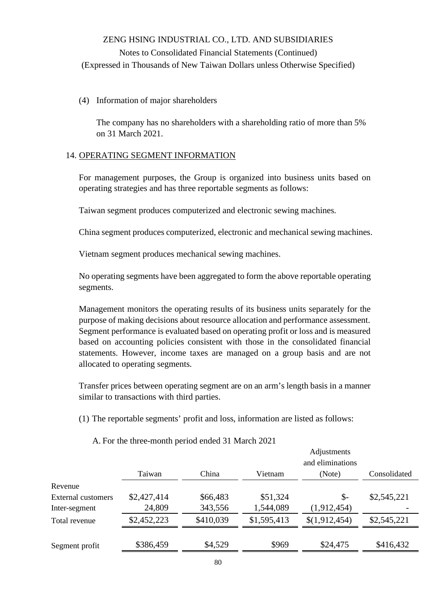#### (4) Information of major shareholders

The company has no shareholders with a shareholding ratio of more than 5% on 31 March 2021.

#### 14. OPERATING SEGMENT INFORMATION

For management purposes, the Group is organized into business units based on operating strategies and has three reportable segments as follows:

Taiwan segment produces computerized and electronic sewing machines.

China segment produces computerized, electronic and mechanical sewing machines.

Vietnam segment produces mechanical sewing machines.

No operating segments have been aggregated to form the above reportable operating segments.

Management monitors the operating results of its business units separately for the purpose of making decisions about resource allocation and performance assessment. Segment performance is evaluated based on operating profit or loss and is measured based on accounting policies consistent with those in the consolidated financial statements. However, income taxes are managed on a group basis and are not allocated to operating segments.

Transfer prices between operating segment are on an arm's length basis in a manner similar to transactions with third parties.

(1) The reportable segments' profit and loss, information are listed as follows:

|                           |             |           |             | Adjustments<br>and eliminations |              |
|---------------------------|-------------|-----------|-------------|---------------------------------|--------------|
|                           | Taiwan      | China     | Vietnam     | (Note)                          | Consolidated |
| Revenue                   |             |           |             |                                 |              |
| <b>External customers</b> | \$2,427,414 | \$66,483  | \$51,324    | $\mathcal{S}$ -                 | \$2,545,221  |
| Inter-segment             | 24,809      | 343,556   | 1,544,089   | (1,912,454)                     |              |
| Total revenue             | \$2,452,223 | \$410,039 | \$1,595,413 | \$(1,912,454)                   | \$2,545,221  |
|                           |             |           |             |                                 |              |
| Segment profit            | \$386,459   | \$4,529   | \$969       | \$24,475                        | \$416,432    |

A. For the three-month period ended 31 March 2021